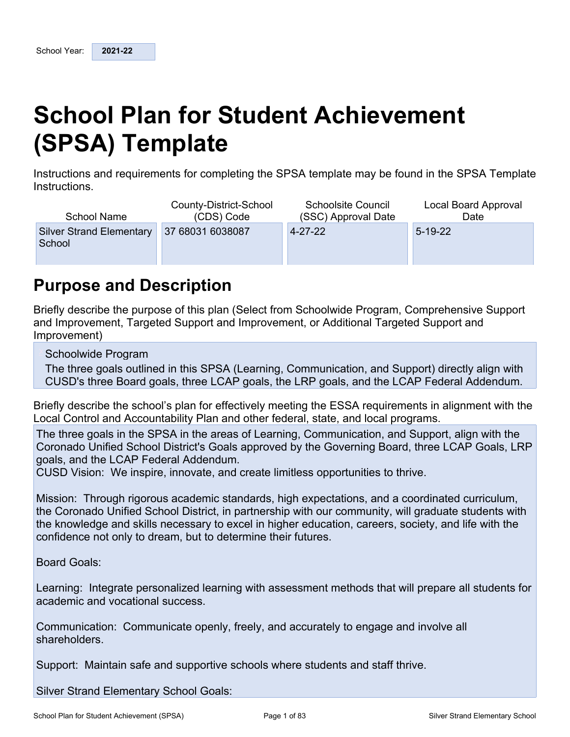# <span id="page-0-0"></span>**School Plan for Student Achievement (SPSA) Template**

Instructions and requirements for completing the SPSA template may be found in the SPSA Template Instructions.

| School Name                               | County-District-School<br>(CDS) Code | <b>Schoolsite Council</b><br>(SSC) Approval Date | Local Board Approval<br>Date |
|-------------------------------------------|--------------------------------------|--------------------------------------------------|------------------------------|
| <b>Silver Strand Elementary</b><br>School | 37 68031 6038087                     | $4 - 27 - 22$                                    | $5 - 19 - 22$                |
|                                           |                                      |                                                  |                              |

## <span id="page-0-1"></span>**Purpose and Description**

Briefly describe the purpose of this plan (Select from Schoolwide Program, Comprehensive Support and Improvement, Targeted Support and Improvement, or Additional Targeted Support and Improvement)

Schoolwide Program

The three goals outlined in this SPSA (Learning, Communication, and Support) directly align with CUSD's three Board goals, three LCAP goals, the LRP goals, and the LCAP Federal Addendum.

Briefly describe the school's plan for effectively meeting the ESSA requirements in alignment with the Local Control and Accountability Plan and other federal, state, and local programs.

The three goals in the SPSA in the areas of Learning, Communication, and Support, align with the Coronado Unified School District's Goals approved by the Governing Board, three LCAP Goals, LRP goals, and the LCAP Federal Addendum.

CUSD Vision: We inspire, innovate, and create limitless opportunities to thrive.

Mission: Through rigorous academic standards, high expectations, and a coordinated curriculum, the Coronado Unified School District, in partnership with our community, will graduate students with the knowledge and skills necessary to excel in higher education, careers, society, and life with the confidence not only to dream, but to determine their futures.

Board Goals:

Learning: Integrate personalized learning with assessment methods that will prepare all students for academic and vocational success.

Communication: Communicate openly, freely, and accurately to engage and involve all shareholders.

Support: Maintain safe and supportive schools where students and staff thrive.

Silver Strand Elementary School Goals: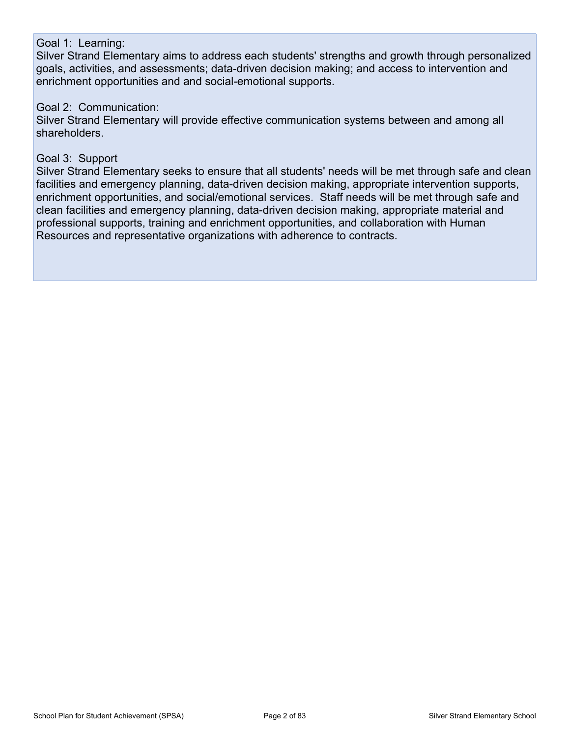#### Goal 1: Learning:

Silver Strand Elementary aims to address each students' strengths and growth through personalized goals, activities, and assessments; data-driven decision making; and access to intervention and enrichment opportunities and and social-emotional supports.

#### Goal 2: Communication:

Silver Strand Elementary will provide effective communication systems between and among all shareholders.

#### Goal 3: Support

Silver Strand Elementary seeks to ensure that all students' needs will be met through safe and clean facilities and emergency planning, data-driven decision making, appropriate intervention supports, enrichment opportunities, and social/emotional services. Staff needs will be met through safe and clean facilities and emergency planning, data-driven decision making, appropriate material and professional supports, training and enrichment opportunities, and collaboration with Human Resources and representative organizations with adherence to contracts.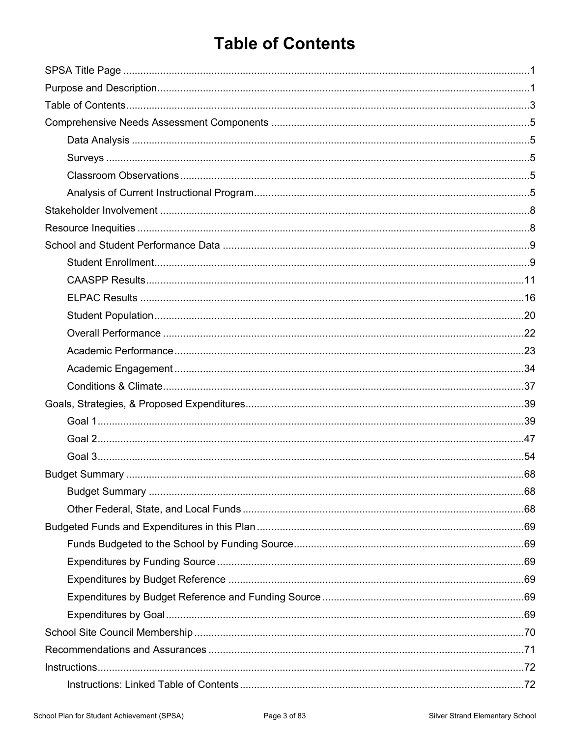## <span id="page-2-0"></span>**Table of Contents**

| Instructions. 72 |  |
|------------------|--|
|                  |  |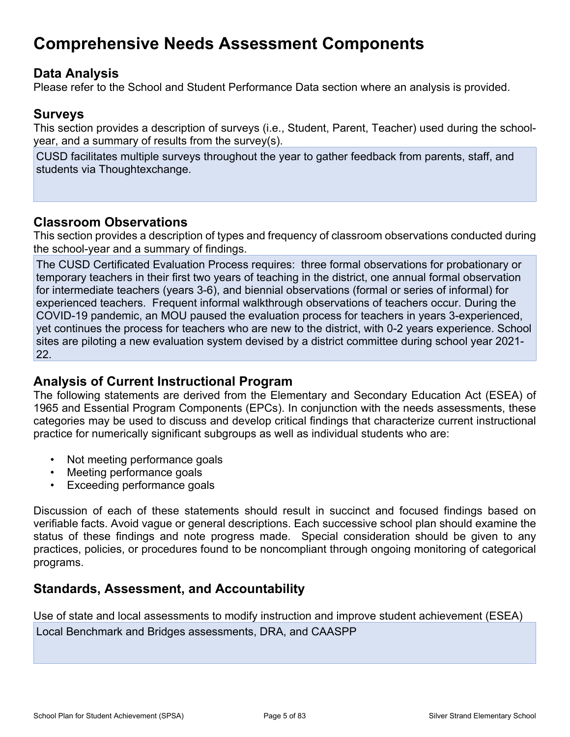## <span id="page-4-0"></span>**Comprehensive Needs Assessment Components**

### <span id="page-4-1"></span>**Data Analysis**

Please refer to the School and Student Performance Data section where an analysis is provided.

### <span id="page-4-2"></span>**Surveys**

This section provides a description of surveys (i.e., Student, Parent, Teacher) used during the schoolyear, and a summary of results from the survey(s).

CUSD facilitates multiple surveys throughout the year to gather feedback from parents, staff, and students via Thoughtexchange.

### <span id="page-4-3"></span>**Classroom Observations**

This section provides a description of types and frequency of classroom observations conducted during the school-year and a summary of findings.

The CUSD Certificated Evaluation Process requires: three formal observations for probationary or temporary teachers in their first two years of teaching in the district, one annual formal observation for intermediate teachers (years 3-6), and biennial observations (formal or series of informal) for experienced teachers. Frequent informal walkthrough observations of teachers occur. During the COVID-19 pandemic, an MOU paused the evaluation process for teachers in years 3-experienced, yet continues the process for teachers who are new to the district, with 0-2 years experience. School sites are piloting a new evaluation system devised by a district committee during school year 2021- 22.

### <span id="page-4-4"></span>**Analysis of Current Instructional Program**

The following statements are derived from the Elementary and Secondary Education Act (ESEA) of 1965 and Essential Program Components (EPCs). In conjunction with the needs assessments, these categories may be used to discuss and develop critical findings that characterize current instructional practice for numerically significant subgroups as well as individual students who are:

- Not meeting performance goals
- Meeting performance goals
- Exceeding performance goals

Discussion of each of these statements should result in succinct and focused findings based on verifiable facts. Avoid vague or general descriptions. Each successive school plan should examine the status of these findings and note progress made. Special consideration should be given to any practices, policies, or procedures found to be noncompliant through ongoing monitoring of categorical programs.

### **Standards, Assessment, and Accountability**

Use of state and local assessments to modify instruction and improve student achievement (ESEA) Local Benchmark and Bridges assessments, DRA, and CAASPP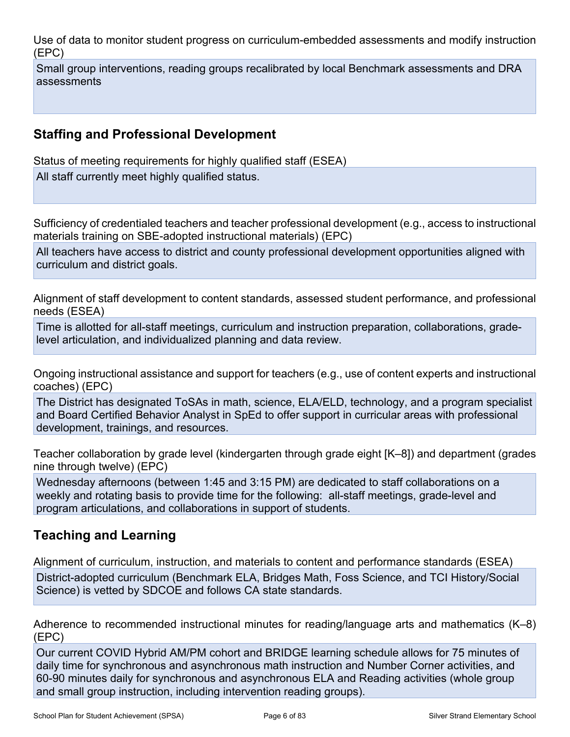Use of data to monitor student progress on curriculum-embedded assessments and modify instruction (EPC)

Small group interventions, reading groups recalibrated by local Benchmark assessments and DRA assessments

### **Staffing and Professional Development**

Status of meeting requirements for highly qualified staff (ESEA)

All staff currently meet highly qualified status.

Sufficiency of credentialed teachers and teacher professional development (e.g., access to instructional materials training on SBE-adopted instructional materials) (EPC)

All teachers have access to district and county professional development opportunities aligned with curriculum and district goals.

Alignment of staff development to content standards, assessed student performance, and professional needs (ESEA)

Time is allotted for all-staff meetings, curriculum and instruction preparation, collaborations, gradelevel articulation, and individualized planning and data review.

Ongoing instructional assistance and support for teachers (e.g., use of content experts and instructional coaches) (EPC)

The District has designated ToSAs in math, science, ELA/ELD, technology, and a program specialist and Board Certified Behavior Analyst in SpEd to offer support in curricular areas with professional development, trainings, and resources.

Teacher collaboration by grade level (kindergarten through grade eight [K–8]) and department (grades nine through twelve) (EPC)

Wednesday afternoons (between 1:45 and 3:15 PM) are dedicated to staff collaborations on a weekly and rotating basis to provide time for the following: all-staff meetings, grade-level and program articulations, and collaborations in support of students.

### **Teaching and Learning**

Alignment of curriculum, instruction, and materials to content and performance standards (ESEA) District-adopted curriculum (Benchmark ELA, Bridges Math, Foss Science, and TCI History/Social Science) is vetted by SDCOE and follows CA state standards.

Adherence to recommended instructional minutes for reading/language arts and mathematics (K–8) (EPC)

Our current COVID Hybrid AM/PM cohort and BRIDGE learning schedule allows for 75 minutes of daily time for synchronous and asynchronous math instruction and Number Corner activities, and 60-90 minutes daily for synchronous and asynchronous ELA and Reading activities (whole group and small group instruction, including intervention reading groups).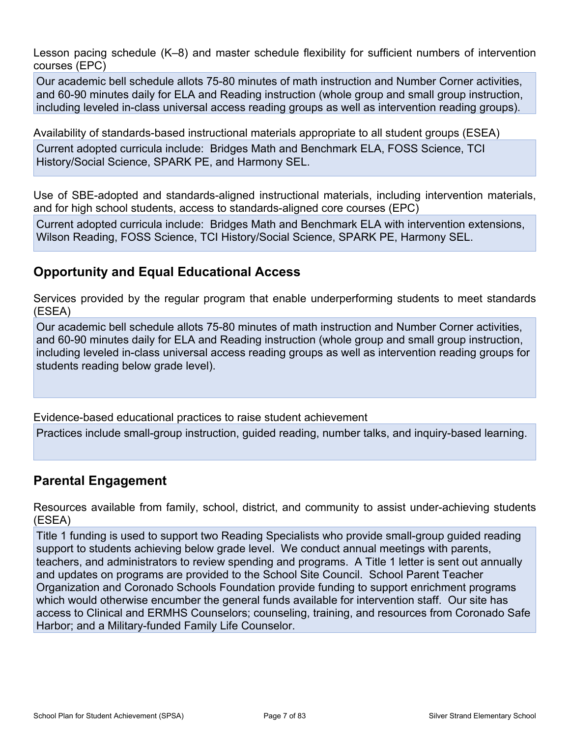Lesson pacing schedule (K–8) and master schedule flexibility for sufficient numbers of intervention courses (EPC)

Our academic bell schedule allots 75-80 minutes of math instruction and Number Corner activities, and 60-90 minutes daily for ELA and Reading instruction (whole group and small group instruction, including leveled in-class universal access reading groups as well as intervention reading groups).

Availability of standards-based instructional materials appropriate to all student groups (ESEA)

Current adopted curricula include: Bridges Math and Benchmark ELA, FOSS Science, TCI History/Social Science, SPARK PE, and Harmony SEL.

Use of SBE-adopted and standards-aligned instructional materials, including intervention materials, and for high school students, access to standards-aligned core courses (EPC)

Current adopted curricula include: Bridges Math and Benchmark ELA with intervention extensions, Wilson Reading, FOSS Science, TCI History/Social Science, SPARK PE, Harmony SEL.

### **Opportunity and Equal Educational Access**

Services provided by the regular program that enable underperforming students to meet standards (ESEA)

Our academic bell schedule allots 75-80 minutes of math instruction and Number Corner activities, and 60-90 minutes daily for ELA and Reading instruction (whole group and small group instruction, including leveled in-class universal access reading groups as well as intervention reading groups for students reading below grade level).

Evidence-based educational practices to raise student achievement

Practices include small-group instruction, guided reading, number talks, and inquiry-based learning.

### **Parental Engagement**

Resources available from family, school, district, and community to assist under-achieving students (ESEA)

Title 1 funding is used to support two Reading Specialists who provide small-group guided reading support to students achieving below grade level. We conduct annual meetings with parents, teachers, and administrators to review spending and programs. A Title 1 letter is sent out annually and updates on programs are provided to the School Site Council. School Parent Teacher Organization and Coronado Schools Foundation provide funding to support enrichment programs which would otherwise encumber the general funds available for intervention staff. Our site has access to Clinical and ERMHS Counselors; counseling, training, and resources from Coronado Safe Harbor; and a Military-funded Family Life Counselor.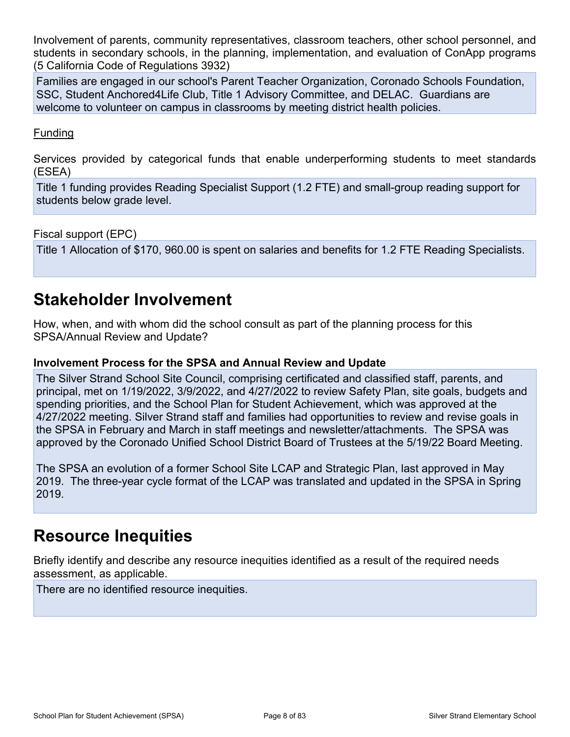Involvement of parents, community representatives, classroom teachers, other school personnel, and students in secondary schools, in the planning, implementation, and evaluation of ConApp programs (5 California Code of Regulations 3932)

Families are engaged in our school's Parent Teacher Organization, Coronado Schools Foundation, SSC, Student Anchored4Life Club, Title 1 Advisory Committee, and DELAC. Guardians are welcome to volunteer on campus in classrooms by meeting district health policies.

#### Funding

Services provided by categorical funds that enable underperforming students to meet standards (ESEA)

Title 1 funding provides Reading Specialist Support (1.2 FTE) and small-group reading support for students below grade level.

Fiscal support (EPC)

Title 1 Allocation of \$170, 960.00 is spent on salaries and benefits for 1.2 FTE Reading Specialists.

## <span id="page-7-0"></span>**Stakeholder Involvement**

How, when, and with whom did the school consult as part of the planning process for this SPSA/Annual Review and Update?

#### **Involvement Process for the SPSA and Annual Review and Update**

The Silver Strand School Site Council, comprising certificated and classified staff, parents, and principal, met on 1/19/2022, 3/9/2022, and 4/27/2022 to review Safety Plan, site goals, budgets and spending priorities, and the School Plan for Student Achievement, which was approved at the 4/27/2022 meeting. Silver Strand staff and families had opportunities to review and revise goals in the SPSA in February and March in staff meetings and newsletter/attachments. The SPSA was approved by the Coronado Unified School District Board of Trustees at the 5/19/22 Board Meeting.

The SPSA an evolution of a former School Site LCAP and Strategic Plan, last approved in May 2019. The three-year cycle format of the LCAP was translated and updated in the SPSA in Spring 2019.

## <span id="page-7-1"></span>**Resource Inequities**

Briefly identify and describe any resource inequities identified as a result of the required needs assessment, as applicable.

There are no identified resource inequities.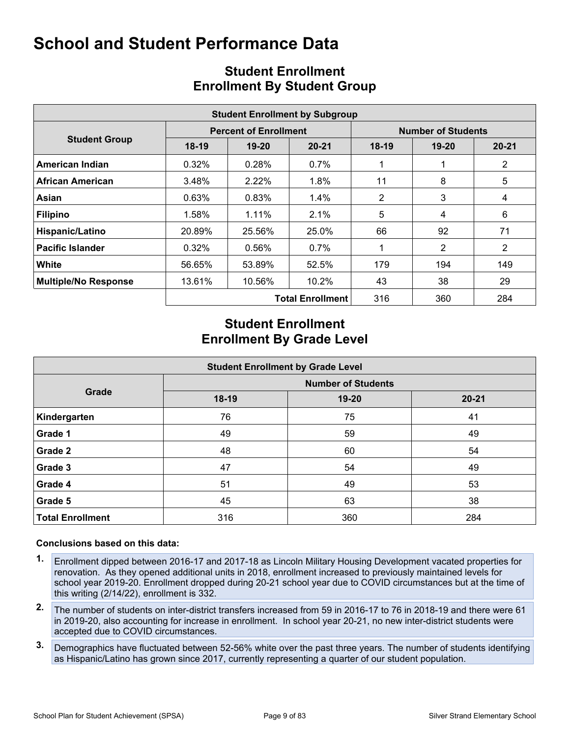<span id="page-8-0"></span>

| <b>Student Enrollment by Subgroup</b> |         |                              |                         |                           |           |                |  |  |  |  |  |
|---------------------------------------|---------|------------------------------|-------------------------|---------------------------|-----------|----------------|--|--|--|--|--|
|                                       |         | <b>Percent of Enrollment</b> |                         | <b>Number of Students</b> |           |                |  |  |  |  |  |
| <b>Student Group</b>                  | $18-19$ | 19-20                        | $20 - 21$               | $18-19$                   | $19 - 20$ | $20 - 21$      |  |  |  |  |  |
| American Indian                       | 0.32%   | 0.28%                        | $0.7\%$                 |                           |           | $\overline{2}$ |  |  |  |  |  |
| <b>African American</b>               | 3.48%   | 2.22%                        | 1.8%                    | 11                        | 8         | 5              |  |  |  |  |  |
| Asian                                 | 0.63%   | 0.83%                        | $1.4\%$                 | 2                         | 3         | 4              |  |  |  |  |  |
| <b>Filipino</b>                       | 1.58%   | 1.11%                        | 2.1%                    | 5                         | 4         | 6              |  |  |  |  |  |
| Hispanic/Latino                       | 20.89%  | 25.56%                       | 25.0%                   | 66                        | 92        | 71             |  |  |  |  |  |
| <b>Pacific Islander</b>               | 0.32%   | 0.56%                        | $0.7\%$                 |                           | 2         | $\overline{2}$ |  |  |  |  |  |
| White                                 | 56.65%  | 53.89%                       | 52.5%                   | 179                       | 194       | 149            |  |  |  |  |  |
| <b>Multiple/No Response</b>           | 13.61%  | 10.56%                       | $10.2\%$                | 43                        | 38        | 29             |  |  |  |  |  |
|                                       |         |                              | <b>Total Enrollment</b> | 316                       | 360       | 284            |  |  |  |  |  |

### <span id="page-8-1"></span>**Student Enrollment Enrollment By Student Group**

### **Student Enrollment Enrollment By Grade Level**

|                         | <b>Student Enrollment by Grade Level</b> |       |           |  |  |  |  |  |  |  |  |
|-------------------------|------------------------------------------|-------|-----------|--|--|--|--|--|--|--|--|
|                         | <b>Number of Students</b>                |       |           |  |  |  |  |  |  |  |  |
| Grade                   | 18-19                                    | 19-20 | $20 - 21$ |  |  |  |  |  |  |  |  |
| Kindergarten            | 76                                       | 75    | 41        |  |  |  |  |  |  |  |  |
| Grade 1                 | 49                                       | 59    | 49        |  |  |  |  |  |  |  |  |
| Grade 2                 | 48                                       | 60    | 54        |  |  |  |  |  |  |  |  |
| Grade 3                 | 47                                       | 54    | 49        |  |  |  |  |  |  |  |  |
| Grade 4                 | 51                                       | 49    | 53        |  |  |  |  |  |  |  |  |
| Grade 5                 | 45                                       | 63    | 38        |  |  |  |  |  |  |  |  |
| <b>Total Enrollment</b> | 316                                      | 360   | 284       |  |  |  |  |  |  |  |  |

#### **Conclusions based on this data:**

- **1.** Enrollment dipped between 2016-17 and 2017-18 as Lincoln Military Housing Development vacated properties for renovation. As they opened additional units in 2018, enrollment increased to previously maintained levels for school year 2019-20. Enrollment dropped during 20-21 school year due to COVID circumstances but at the time of this writing (2/14/22), enrollment is 332.
- **2.** The number of students on inter-district transfers increased from 59 in 2016-17 to 76 in 2018-19 and there were 61 in 2019-20, also accounting for increase in enrollment. In school year 20-21, no new inter-district students were accepted due to COVID circumstances.
- **3.** Demographics have fluctuated between 52-56% white over the past three years. The number of students identifying as Hispanic/Latino has grown since 2017, currently representing a quarter of our student population.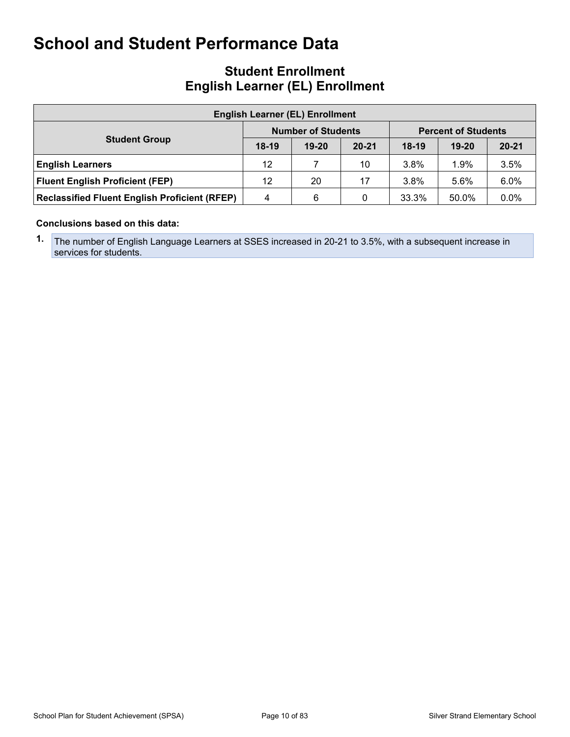### **Student Enrollment English Learner (EL) Enrollment**

| <b>English Learner (EL) Enrollment</b>               |         |                           |           |                            |           |           |  |  |  |  |
|------------------------------------------------------|---------|---------------------------|-----------|----------------------------|-----------|-----------|--|--|--|--|
|                                                      |         | <b>Number of Students</b> |           | <b>Percent of Students</b> |           |           |  |  |  |  |
| <b>Student Group</b>                                 | $18-19$ | $19 - 20$                 | $20 - 21$ | $18-19$                    | $19 - 20$ | $20 - 21$ |  |  |  |  |
| <b>English Learners</b>                              | 12      |                           | 10        | $3.8\%$                    | 1.9%      | 3.5%      |  |  |  |  |
| <b>Fluent English Proficient (FEP)</b>               | 12      | 20                        | 17        | 3.8%                       | 5.6%      | 6.0%      |  |  |  |  |
| <b>Reclassified Fluent English Proficient (RFEP)</b> | 4       | 6                         |           | 33.3%                      | 50.0%     | 0.0%      |  |  |  |  |

#### **Conclusions based on this data:**

**1.** The number of English Language Learners at SSES increased in 20-21 to 3.5%, with a subsequent increase in services for students.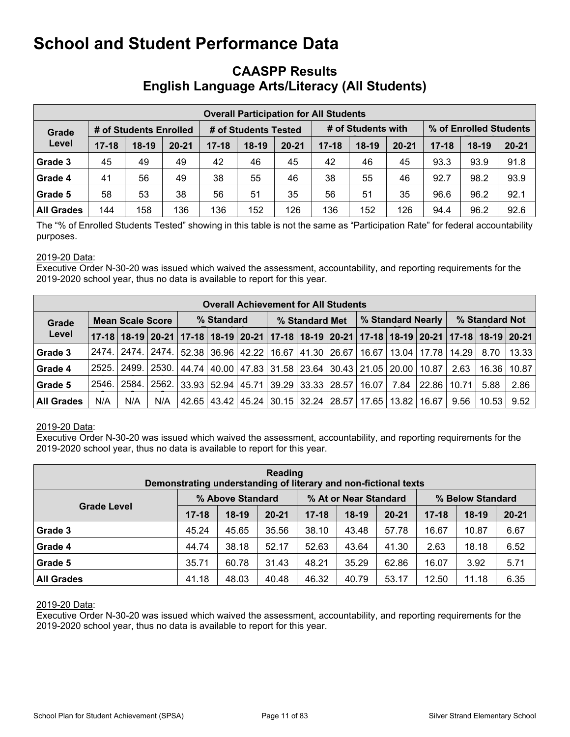### <span id="page-10-0"></span>**CAASPP Results English Language Arts/Literacy (All Students)**

|                                 | <b>Overall Participation for All Students</b> |         |           |                      |         |           |                    |         |           |           |                        |           |  |
|---------------------------------|-----------------------------------------------|---------|-----------|----------------------|---------|-----------|--------------------|---------|-----------|-----------|------------------------|-----------|--|
| # of Students Enrolled<br>Grade |                                               |         |           | # of Students Tested |         |           | # of Students with |         |           |           | % of Enrolled Students |           |  |
| Level                           | $17 - 18$                                     | $18-19$ | $20 - 21$ | $17 - 18$            | $18-19$ | $20 - 21$ | $17 - 18$          | $18-19$ | $20 - 21$ | $17 - 18$ | $18-19$                | $20 - 21$ |  |
| Grade 3                         | 45                                            | 49      | 49        | 42                   | 46      | 45        | 42                 | 46      | 45        | 93.3      | 93.9                   | 91.8      |  |
| Grade 4                         | 41                                            | 56      | 49        | 38                   | 55      | 46        | 38                 | 55      | 46        | 92.7      | 98.2                   | 93.9      |  |
| Grade 5                         | 58                                            | 53      | 38        | 56                   | 51      | 35        | 56                 | 51      | 35        | 96.6      | 96.2                   | 92.1      |  |
| <b>All Grades</b>               | 144                                           | 158     | 136       | 136                  | 152     | 126       | 136                | 152     | 126       | 94.4      | 96.2                   | 92.6      |  |

The "% of Enrolled Students Tested" showing in this table is not the same as "Participation Rate" for federal accountability purposes.

#### 2019-20 Data:

Executive Order N-30-20 was issued which waived the assessment, accountability, and reporting requirements for the 2019-2020 school year, thus no data is available to report for this year.

|                   | <b>Overall Achievement for All Students</b> |                   |       |                                                                                                             |  |  |                                                               |  |                   |       |        |                               |       |         |       |
|-------------------|---------------------------------------------|-------------------|-------|-------------------------------------------------------------------------------------------------------------|--|--|---------------------------------------------------------------|--|-------------------|-------|--------|-------------------------------|-------|---------|-------|
| Grade             | <b>Mean Scale Score</b>                     |                   |       | % Standard                                                                                                  |  |  | % Standard Met                                                |  | % Standard Nearly |       |        | % Standard Not                |       |         |       |
| Level             |                                             |                   |       | 17-18 18-19 20-21 17-18 18-19 20-21 17-18 18-19 20-21 17-18 18-19 20-21 17-18 18-19 20-21 17-18 18-19 20-21 |  |  |                                                               |  |                   |       |        |                               |       |         |       |
| Grade 3           |                                             |                   |       | 2474.   2474.   2474.   52.38   36.96   42.22   16.67   41.30   26.67                                       |  |  |                                                               |  |                   |       |        | 16.67   13.04   17.78   14.29 |       | 8.70    | 13.33 |
| Grade 4           |                                             | 2525. 2499. 2530. |       |                                                                                                             |  |  | 44.74   40.00   47.83   31.58   23.64   30.43   21.05   20.00 |  |                   |       |        | 10.87                         | 2.63  | 16.36 l | 10.87 |
| Grade 5           |                                             | 2546. 2584.       | 2562. | 33.93   52.94   45.71   39.29   33.33   28.57                                                               |  |  |                                                               |  |                   | 16.07 | 7.84 l | 22.86                         | 10.71 | 5.88    | 2.86  |
| <b>All Grades</b> | N/A                                         | N/A               | N/A   |                                                                                                             |  |  | 42.65   43.42   45.24   30.15   32.24   28.57   17.65         |  |                   |       | 13.82  | 16.67                         | 9.56  | 10.53   | 9.52  |

#### 2019-20 Data:

Executive Order N-30-20 was issued which waived the assessment, accountability, and reporting requirements for the 2019-2020 school year, thus no data is available to report for this year.

| Reading<br>Demonstrating understanding of literary and non-fictional texts |                  |         |           |                       |         |           |                  |         |           |  |  |
|----------------------------------------------------------------------------|------------------|---------|-----------|-----------------------|---------|-----------|------------------|---------|-----------|--|--|
|                                                                            | % Above Standard |         |           | % At or Near Standard |         |           | % Below Standard |         |           |  |  |
| <b>Grade Level</b>                                                         | $17 - 18$        | $18-19$ | $20 - 21$ | $17 - 18$             | $18-19$ | $20 - 21$ | $17 - 18$        | $18-19$ | $20 - 21$ |  |  |
| Grade 3                                                                    | 45.24            | 45.65   | 35.56     | 38.10                 | 43.48   | 57.78     | 16.67            | 10.87   | 6.67      |  |  |
| Grade 4                                                                    | 44.74            | 38.18   | 52.17     | 52.63                 | 43.64   | 41.30     | 2.63             | 18.18   | 6.52      |  |  |
| Grade 5                                                                    | 35.71            | 60.78   | 31.43     | 48.21                 | 35.29   | 62.86     | 16.07            | 3.92    | 5.71      |  |  |
| <b>All Grades</b>                                                          | 41.18            | 48.03   | 40.48     | 46.32                 | 40.79   | 53.17     | 12.50            | 11.18   | 6.35      |  |  |

#### 2019-20 Data: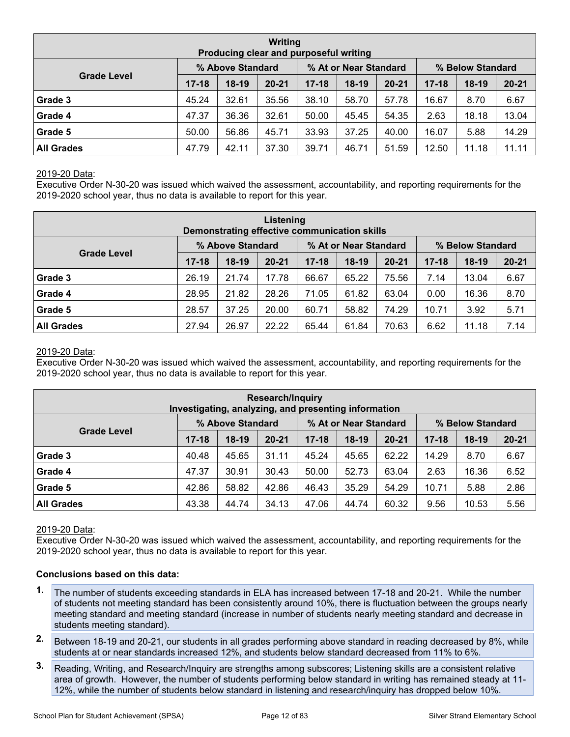| Writing<br>Producing clear and purposeful writing |                  |         |           |                       |         |           |                  |         |           |  |  |
|---------------------------------------------------|------------------|---------|-----------|-----------------------|---------|-----------|------------------|---------|-----------|--|--|
|                                                   | % Above Standard |         |           | % At or Near Standard |         |           | % Below Standard |         |           |  |  |
| <b>Grade Level</b>                                | $17 - 18$        | $18-19$ | $20 - 21$ | $17 - 18$             | $18-19$ | $20 - 21$ | $17 - 18$        | $18-19$ | $20 - 21$ |  |  |
| Grade 3                                           | 45.24            | 32.61   | 35.56     | 38.10                 | 58.70   | 57.78     | 16.67            | 8.70    | 6.67      |  |  |
| Grade 4                                           | 47.37            | 36.36   | 32.61     | 50.00                 | 45.45   | 54.35     | 2.63             | 18.18   | 13.04     |  |  |
| Grade 5                                           | 50.00            | 56.86   | 45.71     | 33.93                 | 37.25   | 40.00     | 16.07            | 5.88    | 14.29     |  |  |
| <b>All Grades</b>                                 | 47.79            | 42.11   | 37.30     | 39.71                 | 46.71   | 51.59     | 12.50            | 11.18   | 11.11     |  |  |

Executive Order N-30-20 was issued which waived the assessment, accountability, and reporting requirements for the 2019-2020 school year, thus no data is available to report for this year.

| Listening<br>Demonstrating effective communication skills |                  |         |           |                       |         |           |                  |         |           |  |  |
|-----------------------------------------------------------|------------------|---------|-----------|-----------------------|---------|-----------|------------------|---------|-----------|--|--|
|                                                           | % Above Standard |         |           | % At or Near Standard |         |           | % Below Standard |         |           |  |  |
| <b>Grade Level</b>                                        | $17 - 18$        | $18-19$ | $20 - 21$ | $17 - 18$             | $18-19$ | $20 - 21$ | $17 - 18$        | $18-19$ | $20 - 21$ |  |  |
| Grade 3                                                   | 26.19            | 21.74   | 17.78     | 66.67                 | 65.22   | 75.56     | 7.14             | 13.04   | 6.67      |  |  |
| Grade 4                                                   | 28.95            | 21.82   | 28.26     | 71.05                 | 61.82   | 63.04     | 0.00             | 16.36   | 8.70      |  |  |
| Grade 5                                                   | 28.57            | 37.25   | 20.00     | 60.71                 | 58.82   | 74.29     | 10.71            | 3.92    | 5.71      |  |  |
| <b>All Grades</b>                                         | 27.94            | 26.97   | 22.22     | 65.44                 | 61.84   | 70.63     | 6.62             | 11.18   | 7.14      |  |  |

#### 2019-20 Data:

Executive Order N-30-20 was issued which waived the assessment, accountability, and reporting requirements for the 2019-2020 school year, thus no data is available to report for this year.

| <b>Research/Inquiry</b><br>Investigating, analyzing, and presenting information |                  |         |           |                       |         |           |                  |         |           |  |  |
|---------------------------------------------------------------------------------|------------------|---------|-----------|-----------------------|---------|-----------|------------------|---------|-----------|--|--|
|                                                                                 | % Above Standard |         |           | % At or Near Standard |         |           | % Below Standard |         |           |  |  |
| <b>Grade Level</b>                                                              | $17 - 18$        | $18-19$ | $20 - 21$ | $17 - 18$             | $18-19$ | $20 - 21$ | $17 - 18$        | $18-19$ | $20 - 21$ |  |  |
| Grade 3                                                                         | 40.48            | 45.65   | 31.11     | 45.24                 | 45.65   | 62.22     | 14.29            | 8.70    | 6.67      |  |  |
| Grade 4                                                                         | 47.37            | 30.91   | 30.43     | 50.00                 | 52.73   | 63.04     | 2.63             | 16.36   | 6.52      |  |  |
| Grade 5                                                                         | 42.86            | 58.82   | 42.86     | 46.43                 | 35.29   | 54.29     | 10.71            | 5.88    | 2.86      |  |  |
| <b>All Grades</b>                                                               | 43.38            | 44.74   | 34.13     | 47.06                 | 44.74   | 60.32     | 9.56             | 10.53   | 5.56      |  |  |

#### 2019-20 Data:

Executive Order N-30-20 was issued which waived the assessment, accountability, and reporting requirements for the 2019-2020 school year, thus no data is available to report for this year.

#### **Conclusions based on this data:**

- **1.** The number of students exceeding standards in ELA has increased between 17-18 and 20-21. While the number of students not meeting standard has been consistently around 10%, there is fluctuation between the groups nearly meeting standard and meeting standard (increase in number of students nearly meeting standard and decrease in students meeting standard).
- **2.** Between 18-19 and 20-21, our students in all grades performing above standard in reading decreased by 8%, while students at or near standards increased 12%, and students below standard decreased from 11% to 6%.
- **3.** Reading, Writing, and Research/Inquiry are strengths among subscores; Listening skills are a consistent relative area of growth. However, the number of students performing below standard in writing has remained steady at 11- 12%, while the number of students below standard in listening and research/inquiry has dropped below 10%.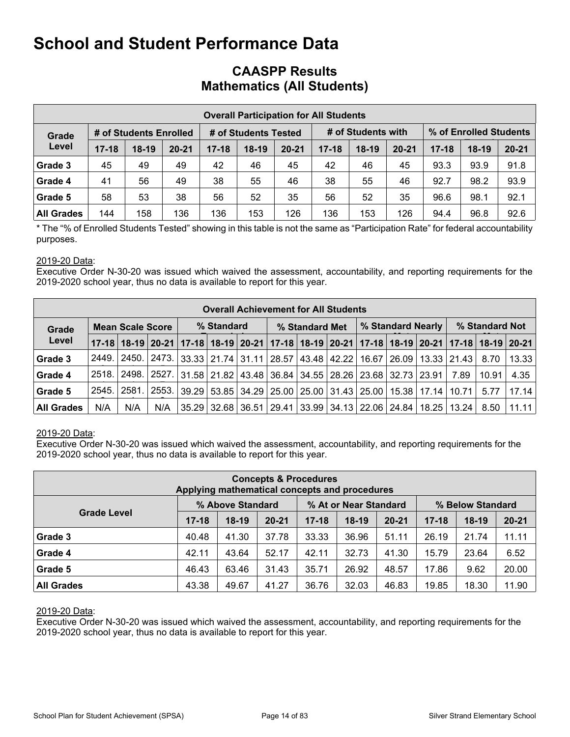### **CAASPP Results Mathematics (All Students)**

|                   |           |                        |           |           |                      | <b>Overall Participation for All Students</b> |           |                    |           |           |                        |           |
|-------------------|-----------|------------------------|-----------|-----------|----------------------|-----------------------------------------------|-----------|--------------------|-----------|-----------|------------------------|-----------|
| Grade             |           | # of Students Enrolled |           |           | # of Students Tested |                                               |           | # of Students with |           |           | % of Enrolled Students |           |
| Level             | $17 - 18$ | $18-19$                | $20 - 21$ | $17 - 18$ | $18-19$              | $20 - 21$                                     | $17 - 18$ | $18-19$            | $20 - 21$ | $17 - 18$ | $18-19$                | $20 - 21$ |
| Grade 3           | 45        | 49                     | 49        | 42        | 46                   | 45                                            | 42        | 46                 | 45        | 93.3      | 93.9                   | 91.8      |
| Grade 4           | 41        | 56                     | 49        | 38        | 55                   | 46                                            | 38        | 55                 | 46        | 92.7      | 98.2                   | 93.9      |
| Grade 5           | 58        | 53                     | 38        | 56        | 52                   | 35                                            | 56        | 52                 | 35        | 96.6      | 98.1                   | 92.1      |
| <b>All Grades</b> | 144       | 158                    | 136       | 136       | 153                  | 126                                           | 136       | 153                | 126       | 94.4      | 96.8                   | 92.6      |

\* The "% of Enrolled Students Tested" showing in this table is not the same as "Participation Rate" for federal accountability purposes.

#### 2019-20 Data:

Executive Order N-30-20 was issued which waived the assessment, accountability, and reporting requirements for the 2019-2020 school year, thus no data is available to report for this year.

|                   |              |                         |               |            | <b>Overall Achievement for All Students</b>                           |                |  |                   |                                                             |                |                                                                                                       |
|-------------------|--------------|-------------------------|---------------|------------|-----------------------------------------------------------------------|----------------|--|-------------------|-------------------------------------------------------------|----------------|-------------------------------------------------------------------------------------------------------|
| Grade             |              | <b>Mean Scale Score</b> |               | % Standard |                                                                       | % Standard Met |  | % Standard Nearly |                                                             | % Standard Not |                                                                                                       |
| Level             |              |                         |               |            |                                                                       |                |  |                   |                                                             |                | 17-18 18-19 20-21 17-18 18-19 20-21 17-18 18-19 20-21 17-18 20-21 17-18 18-19 20-21 17-18 18-19 20-21 |
| Grade 3           | 2449. l      |                         | 2450.   2473. |            | 33.33   21.74   31.11   28.57   43.48   42.22                         |                |  |                   | 16.67   26.09   13.33   21.43                               | 8.70           | 13.33                                                                                                 |
| Grade 4           | <b>2518.</b> |                         | 2498.   2527. |            | 31.58   21.82   43.48   36.84   34.55   28.26   23.68   32.73   23.91 |                |  |                   | 7.89                                                        | 10.91          | 4.35                                                                                                  |
| Grade 5           | 2545.        | <u>2581. l</u>          | 2553.         |            |                                                                       |                |  |                   | 39.29 53.85 34.29 25.00 25.00 31.43 25.00 15.38 17.14 10.71 | 5.77           | 17.14                                                                                                 |
| <b>All Grades</b> | N/A          | N/A                     | N/A           |            |                                                                       |                |  |                   | 35.29 32.68 36.51 29.41 33.99 34.13 22.06 24.84 18.25 13.24 | 8.50           | 11.11                                                                                                 |

#### 2019-20 Data:

Executive Order N-30-20 was issued which waived the assessment, accountability, and reporting requirements for the 2019-2020 school year, thus no data is available to report for this year.

|                    | Applying mathematical concepts and procedures |                  | <b>Concepts &amp; Procedures</b> |           |                       |           |           |                  |           |
|--------------------|-----------------------------------------------|------------------|----------------------------------|-----------|-----------------------|-----------|-----------|------------------|-----------|
|                    |                                               | % Above Standard |                                  |           | % At or Near Standard |           |           | % Below Standard |           |
| <b>Grade Level</b> | $17 - 18$                                     | $18-19$          | $20 - 21$                        | $17 - 18$ | $18-19$               | $20 - 21$ | $17 - 18$ | $18-19$          | $20 - 21$ |
| Grade 3            | 40.48                                         | 41.30            | 37.78                            | 33.33     | 36.96                 | 51.11     | 26.19     | 21.74            | 11.11     |
| Grade 4            | 42.11                                         | 43.64            | 52.17                            | 42.11     | 32.73                 | 41.30     | 15.79     | 23.64            | 6.52      |
| Grade 5            | 46.43                                         | 63.46            | 31.43                            | 35.71     | 26.92                 | 48.57     | 17.86     | 9.62             | 20.00     |
| <b>All Grades</b>  | 43.38                                         | 49.67            | 41.27                            | 36.76     | 32.03                 | 46.83     | 19.85     | 18.30            | 11.90     |

#### 2019-20 Data: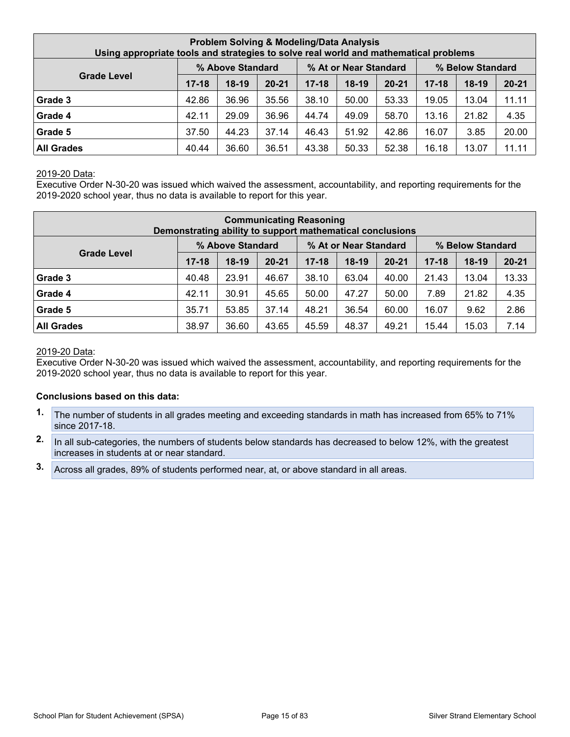| Using appropriate tools and strategies to solve real world and mathematical problems |           |                  |           | <b>Problem Solving &amp; Modeling/Data Analysis</b> |                       |           |           |                  |           |
|--------------------------------------------------------------------------------------|-----------|------------------|-----------|-----------------------------------------------------|-----------------------|-----------|-----------|------------------|-----------|
|                                                                                      |           | % Above Standard |           |                                                     | % At or Near Standard |           |           | % Below Standard |           |
| <b>Grade Level</b>                                                                   | $17 - 18$ | $18-19$          | $20 - 21$ | $17 - 18$                                           | $18-19$               | $20 - 21$ | $17 - 18$ | $18-19$          | $20 - 21$ |
| Grade 3                                                                              | 42.86     | 36.96            | 35.56     | 38.10                                               | 50.00                 | 53.33     | 19.05     | 13.04            | 11.11     |
| Grade 4                                                                              | 42.11     | 29.09            | 36.96     | 44.74                                               | 49.09                 | 58.70     | 13.16     | 21.82            | 4.35      |
| Grade 5                                                                              | 37.50     | 44.23            | 37.14     | 46.43                                               | 51.92                 | 42.86     | 16.07     | 3.85             | 20.00     |
| <b>All Grades</b>                                                                    | 40.44     | 36.60            | 36.51     | 43.38                                               | 50.33                 | 52.38     | 16.18     | 13.07            | 11.11     |

Executive Order N-30-20 was issued which waived the assessment, accountability, and reporting requirements for the 2019-2020 school year, thus no data is available to report for this year.

|                    |           |                  |           | <b>Communicating Reasoning</b><br>Demonstrating ability to support mathematical conclusions |                       |           |           |                  |           |
|--------------------|-----------|------------------|-----------|---------------------------------------------------------------------------------------------|-----------------------|-----------|-----------|------------------|-----------|
|                    |           | % Above Standard |           |                                                                                             | % At or Near Standard |           |           | % Below Standard |           |
| <b>Grade Level</b> | $17 - 18$ | $18-19$          | $20 - 21$ | $17 - 18$                                                                                   | $18-19$               | $20 - 21$ | $17 - 18$ | $18-19$          | $20 - 21$ |
| Grade 3            | 40.48     | 23.91            | 46.67     | 38.10                                                                                       | 63.04                 | 40.00     | 21.43     | 13.04            | 13.33     |
| Grade 4            | 42.11     | 30.91            | 45.65     | 50.00                                                                                       | 47.27                 | 50.00     | 7.89      | 21.82            | 4.35      |
| Grade 5            | 35.71     | 53.85            | 37.14     | 48.21                                                                                       | 36.54                 | 60.00     | 16.07     | 9.62             | 2.86      |
| <b>All Grades</b>  | 38.97     | 36.60            | 43.65     | 45.59                                                                                       | 48.37                 | 49.21     | 15.44     | 15.03            | 7.14      |

#### 2019-20 Data:

Executive Order N-30-20 was issued which waived the assessment, accountability, and reporting requirements for the 2019-2020 school year, thus no data is available to report for this year.

#### **Conclusions based on this data:**

- **1.** The number of students in all grades meeting and exceeding standards in math has increased from 65% to 71% since 2017-18.
- **2.** In all sub-categories, the numbers of students below standards has decreased to below 12%, with the greatest increases in students at or near standard.
- **3.** Across all grades, 89% of students performed near, at, or above standard in all areas.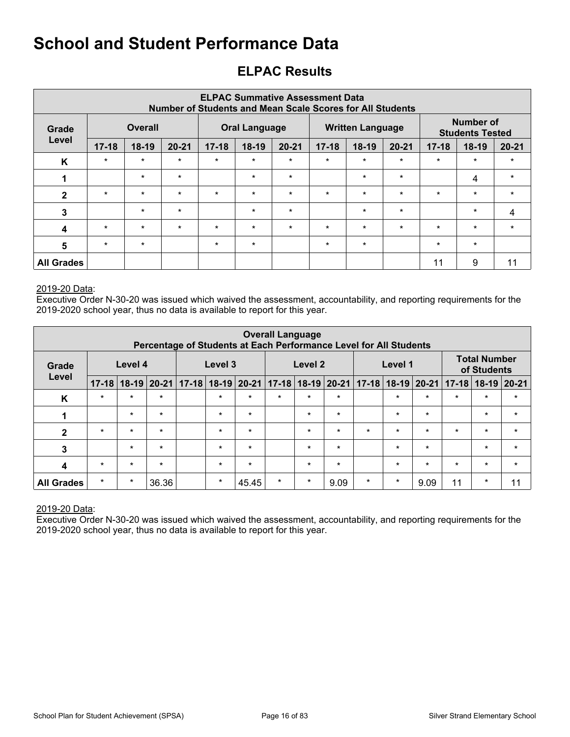### <span id="page-15-0"></span>**ELPAC Results**

|                   |           |                |           | Number of Students and Mean Scale Scores for All Students |                      |           | <b>ELPAC Summative Assessment Data</b> |                         |           |           |                                            |           |
|-------------------|-----------|----------------|-----------|-----------------------------------------------------------|----------------------|-----------|----------------------------------------|-------------------------|-----------|-----------|--------------------------------------------|-----------|
| Grade             |           | <b>Overall</b> |           |                                                           | <b>Oral Language</b> |           |                                        | <b>Written Language</b> |           |           | <b>Number of</b><br><b>Students Tested</b> |           |
| Level             | $17 - 18$ | 18-19          | $20 - 21$ | $17 - 18$                                                 | 18-19                | $20 - 21$ | $17 - 18$                              | $18-19$                 | $20 - 21$ | $17 - 18$ | $18-19$                                    | $20 - 21$ |
| K                 | $\star$   | $\star$        | $\star$   | $\star$                                                   | $\star$              | $\star$   | $\star$                                | $\star$                 | $\star$   | $\star$   | $\star$                                    | $\star$   |
| 1                 |           | $\star$        | $\star$   |                                                           | $\star$              | $\star$   |                                        | $\star$                 | $\star$   |           | 4                                          | $\star$   |
| $\mathbf{2}$      | $\star$   | $\star$        | $\star$   | $\star$                                                   | $\star$              | $\star$   | $\star$                                | $\star$                 | $\star$   | $\star$   | $\star$                                    | $\star$   |
| 3                 |           | $\star$        | $\star$   |                                                           | $\star$              | $\star$   |                                        | $\star$                 | $\star$   |           | $\star$                                    | 4         |
| $\boldsymbol{4}$  | $\star$   | $\star$        | $\star$   | $\star$                                                   | $\star$              | $\star$   | $\star$                                | $\star$                 | $\star$   | $\star$   | $\star$                                    | $\star$   |
| 5                 | $\star$   | $\star$        |           | $\star$                                                   | $\star$              |           | $\star$                                | $\star$                 |           | $\star$   | $\star$                                    |           |
| <b>All Grades</b> |           |                |           |                                                           |                      |           |                                        |                         |           | 11        | 9                                          | 11        |

#### 2019-20 Data:

Executive Order N-30-20 was issued which waived the assessment, accountability, and reporting requirements for the 2019-2020 school year, thus no data is available to report for this year.

|                   |           |         | Percentage of Students at Each Performance Level for All Students |           |         |           | <b>Overall Language</b> |                     |         |           |         |             |           |                                    |           |
|-------------------|-----------|---------|-------------------------------------------------------------------|-----------|---------|-----------|-------------------------|---------------------|---------|-----------|---------|-------------|-----------|------------------------------------|-----------|
| Grade             |           | Level 4 |                                                                   |           | Level 3 |           |                         | Level 2             |         |           | Level 1 |             |           | <b>Total Number</b><br>of Students |           |
| Level             | $17 - 18$ |         | $18-19$   20-21                                                   | $17 - 18$ | $18-19$ | $ 20-21 $ |                         | $17-18$ 18-19 20-21 |         | $17 - 18$ |         | 18-19 20-21 | $17 - 18$ | $18-19$                            | $ 20-21 $ |
| K                 | $\star$   | $\star$ | $\star$                                                           |           | $\star$ | $\star$   | $\star$                 | $\star$             | $\star$ |           | $\star$ | $\star$     | $\star$   | $\star$                            | $\star$   |
| 1                 |           | $\star$ | $\star$                                                           |           | $\star$ | $\star$   |                         | $\star$             | $\star$ |           | $\star$ | $\star$     |           | $\star$                            | $\star$   |
| $\overline{2}$    | $\star$   | $\star$ | $\star$                                                           |           | $\star$ | $\star$   |                         | $\star$             | $\star$ | $\star$   | $\star$ | $\star$     | $\star$   | $\star$                            | $\star$   |
| 3                 |           | $\star$ | $\star$                                                           |           | $\star$ | $\star$   |                         | $\star$             | $\star$ |           | $\star$ | $\star$     |           | $\star$                            | $\star$   |
| 4                 | $\star$   | $\star$ | $\star$                                                           |           | $\star$ | $\star$   |                         | $\star$             | $\star$ |           | $\star$ | $\star$     | $\star$   | $\star$                            | $\star$   |
| <b>All Grades</b> | $\star$   | $\star$ | 36.36                                                             |           | $\star$ | 45.45     | $\star$                 | $\star$             | 9.09    | $\star$   | $\star$ | 9.09        | 11        | $\star$                            | 11        |

#### 2019-20 Data: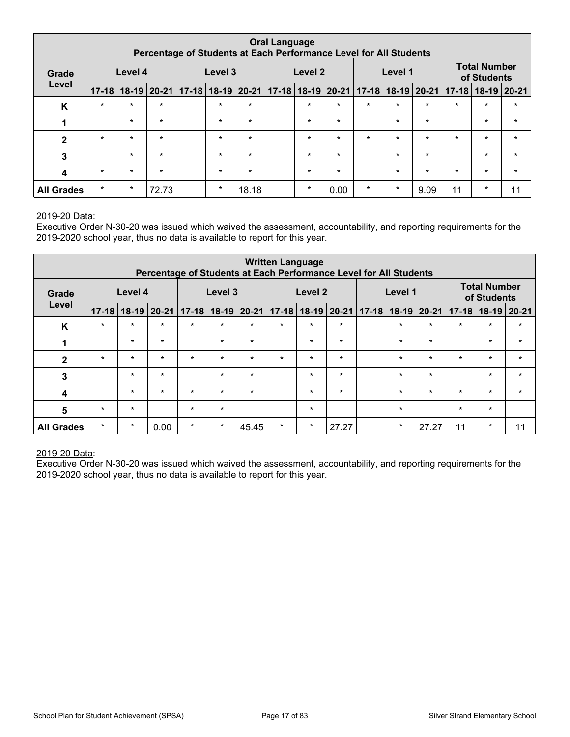|                   |                                                                                                                         |         | Percentage of Students at Each Performance Level for All Students |  |         |         | <b>Oral Language</b> |         |         |         |         |         |         |                                    |         |
|-------------------|-------------------------------------------------------------------------------------------------------------------------|---------|-------------------------------------------------------------------|--|---------|---------|----------------------|---------|---------|---------|---------|---------|---------|------------------------------------|---------|
| Grade             |                                                                                                                         | Level 4 |                                                                   |  | Level 3 |         |                      | Level 2 |         |         | Level 1 |         |         | <b>Total Number</b><br>of Students |         |
| Level             | $17-18$ 18-19 20-21<br>$17-18$ 18-19 20-21 17-18 18-19 20-21<br>$18-19$ 20-21<br>$18-19$   20-21   17-18  <br>$17 - 18$ |         |                                                                   |  |         |         |                      |         |         |         |         |         |         |                                    |         |
| K                 | $\star$                                                                                                                 | $\star$ | $\star$                                                           |  | $\star$ | $\star$ |                      | $\star$ | $\star$ | $\star$ | $\star$ | $\star$ | $\star$ | $\star$                            | $\star$ |
| 1                 |                                                                                                                         | $\star$ | $\star$                                                           |  | $\star$ | $\star$ |                      | $\star$ | $\star$ |         | $\star$ | $\star$ |         | $\star$                            | $\star$ |
| $\mathbf{2}$      | $\star$                                                                                                                 | $\star$ | $\star$                                                           |  | $\star$ | $\star$ |                      | $\star$ | $\star$ | $\star$ | $\star$ | $\star$ | $\star$ | $\star$                            | $\star$ |
| 3                 |                                                                                                                         | $\star$ | $\star$                                                           |  | $\star$ | $\star$ |                      | $\star$ | $\star$ |         | $\star$ | $\star$ |         | $\star$                            | $\star$ |
| 4                 | $\star$                                                                                                                 | $\star$ | $\star$                                                           |  | $\star$ | $\star$ |                      | $\star$ | $\star$ |         | $\star$ | $\star$ | $\star$ | $\star$                            | $\star$ |
| <b>All Grades</b> | $\star$                                                                                                                 | $\star$ | 72.73                                                             |  | $\star$ | 18.18   |                      | $\star$ | 0.00    | $\star$ | $\star$ | 9.09    | 11      | $\star$                            | 11      |

Executive Order N-30-20 was issued which waived the assessment, accountability, and reporting requirements for the 2019-2020 school year, thus no data is available to report for this year.

|                   |           |         |                 | Percentage of Students at Each Performance Level for All Students |         |               | <b>Written Language</b> |                    |               |           |         |         |                         |                                    |               |
|-------------------|-----------|---------|-----------------|-------------------------------------------------------------------|---------|---------------|-------------------------|--------------------|---------------|-----------|---------|---------|-------------------------|------------------------------------|---------------|
| Grade             |           | Level 4 |                 |                                                                   | Level 3 |               |                         | Level <sub>2</sub> |               |           | Level 1 |         |                         | <b>Total Number</b><br>of Students |               |
| Level             | $17 - 18$ |         | $18-19$   20-21 | $17 - 18$                                                         |         | $18-19$ 20-21 | $17 - 18$               |                    | $18-19$ 20-21 | $17 - 18$ |         |         | $18-19$ $20-21$ $17-18$ |                                    | $18-19$ 20-21 |
| K                 | $\star$   | $\star$ | $\star$         | $\star$                                                           | $\star$ | $\star$       | $\star$                 | $\star$            | $\star$       |           | $\star$ | $\star$ | $\star$                 | $\star$                            | $\star$       |
| 1                 |           | $\star$ | $\star$         |                                                                   | $\star$ | $\star$       |                         | $\star$            | $\star$       |           | $\star$ | $\star$ |                         | $\star$                            | $\star$       |
| $\overline{2}$    | $\ast$    | $\star$ | $\star$         | $\star$                                                           | $\star$ | $\star$       | $\star$                 | $\star$            | $\star$       |           | $\star$ | $\star$ | $\star$                 | $\star$                            | $\star$       |
| $\mathbf{3}$      |           | $\star$ | $\star$         |                                                                   | $\star$ | $\star$       |                         | $\star$            | $\star$       |           | $\star$ | $\star$ |                         | $\star$                            | $\star$       |
| $\boldsymbol{4}$  |           | $\star$ | $\star$         | $\star$                                                           | $\star$ | $\star$       |                         | $\star$            | $\star$       |           | $\star$ | $\star$ | $\star$                 | $\star$                            | $\star$       |
| 5                 | $\ast$    | $\star$ |                 | $\star$                                                           | $\star$ |               |                         | $\star$            |               |           | $\star$ |         | $\star$                 | $\star$                            |               |
| <b>All Grades</b> | $\star$   | $\star$ | 0.00            | $\star$                                                           | $\star$ | 45.45         | $\star$                 | $\star$            | 27.27         |           | $\star$ | 27.27   | 11                      | $\ast$                             | 11            |

#### 2019-20 Data: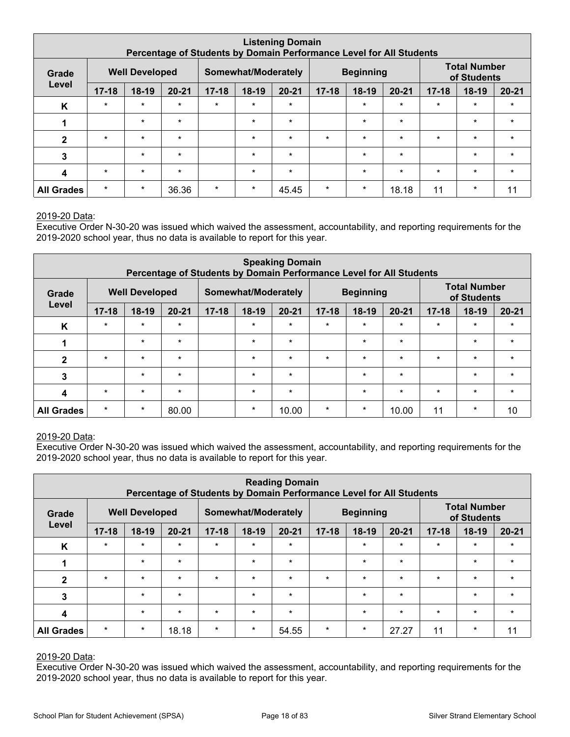|                   |           |                       |           |           |                     | <b>Listening Domain</b><br>Percentage of Students by Domain Performance Level for All Students |           |                  |           |           |                                    |           |
|-------------------|-----------|-----------------------|-----------|-----------|---------------------|------------------------------------------------------------------------------------------------|-----------|------------------|-----------|-----------|------------------------------------|-----------|
| Grade             |           | <b>Well Developed</b> |           |           | Somewhat/Moderately |                                                                                                |           | <b>Beginning</b> |           |           | <b>Total Number</b><br>of Students |           |
| Level             | $17 - 18$ | $18-19$               | $20 - 21$ | $17 - 18$ | 18-19               | $20 - 21$                                                                                      | $17 - 18$ | $18-19$          | $20 - 21$ | $17 - 18$ | $18-19$                            | $20 - 21$ |
| K                 | $\star$   | $\star$               | $\star$   | $\star$   | $\star$             | $\star$                                                                                        |           | $\star$          | $\star$   | $\star$   | $\star$                            | $\star$   |
|                   |           | $\star$               | $\star$   |           | $\star$             | $\star$                                                                                        |           | $\star$          | $\star$   |           | $\star$                            | $\star$   |
| $\mathbf{2}$      | $\star$   | $\star$               | $\star$   |           | $\star$             | $\star$                                                                                        | $\star$   | $\star$          | $\star$   | $\star$   | $\star$                            | $\star$   |
| 3                 |           | $\star$               | $\star$   |           | $\star$             | $\star$                                                                                        |           | $\star$          | $\star$   |           | $\star$                            | $\star$   |
| 4                 | $\star$   | $\star$               | $\star$   |           | $\star$             | $\ast$                                                                                         |           | $\star$          | $\star$   | $\star$   | $\star$                            | $\star$   |
| <b>All Grades</b> | $\star$   | $\star$               | 36.36     | $\star$   | $\star$             | 45.45                                                                                          | $\star$   | $\star$          | 18.18     | 11        | $\star$                            | 11        |

Executive Order N-30-20 was issued which waived the assessment, accountability, and reporting requirements for the 2019-2020 school year, thus no data is available to report for this year.

|                   |           |                       | Percentage of Students by Domain Performance Level for All Students |           |                     | <b>Speaking Domain</b> |           |                  |           |           |                                    |           |
|-------------------|-----------|-----------------------|---------------------------------------------------------------------|-----------|---------------------|------------------------|-----------|------------------|-----------|-----------|------------------------------------|-----------|
| Grade             |           | <b>Well Developed</b> |                                                                     |           | Somewhat/Moderately |                        |           | <b>Beginning</b> |           |           | <b>Total Number</b><br>of Students |           |
| Level             | $17 - 18$ | $18-19$               | $20 - 21$                                                           | $17 - 18$ | $18-19$             | $20 - 21$              | $17 - 18$ | $18-19$          | $20 - 21$ | $17 - 18$ | $18-19$                            | $20 - 21$ |
| K                 | $\star$   | $\star$               | $\star$                                                             |           | $\star$             | $\star$                | $\star$   | $\star$          | $\star$   | $\star$   | $\star$                            | $\star$   |
| 1                 |           | $\star$               | $\star$                                                             |           | $\star$             | $\star$                |           | $\star$          | $\star$   |           | $\star$                            | $\star$   |
| $\mathbf{2}$      | $\star$   | $\star$               | $\star$                                                             |           | $\star$             | $\star$                | $\star$   | $\star$          | $\star$   | $\star$   | $\star$                            | $\star$   |
| 3                 |           | $\star$               | $\star$                                                             |           | $\star$             | $\star$                |           | $\ast$           | $\star$   |           | $\star$                            | $\star$   |
| 4                 | $\star$   | $\star$               | $\star$                                                             |           | $\star$             | $\star$                |           | $\star$          | $\star$   | $\star$   | $\star$                            | $\star$   |
| <b>All Grades</b> | $\star$   | $\star$               | 80.00                                                               |           | $\ast$              | 10.00                  | $\star$   | $\ast$           | 10.00     | 11        | $\star$                            | 10        |

#### 2019-20 Data:

Executive Order N-30-20 was issued which waived the assessment, accountability, and reporting requirements for the 2019-2020 school year, thus no data is available to report for this year.

|                   |           |                       |           | Percentage of Students by Domain Performance Level for All Students |                     | <b>Reading Domain</b> |           |                  |           |           |                                    |           |
|-------------------|-----------|-----------------------|-----------|---------------------------------------------------------------------|---------------------|-----------------------|-----------|------------------|-----------|-----------|------------------------------------|-----------|
| Grade             |           | <b>Well Developed</b> |           |                                                                     | Somewhat/Moderately |                       |           | <b>Beginning</b> |           |           | <b>Total Number</b><br>of Students |           |
| Level             | $17 - 18$ | $18-19$               | $20 - 21$ | $17 - 18$                                                           | $18-19$             | $20 - 21$             | $17 - 18$ | $18-19$          | $20 - 21$ | $17 - 18$ | $18-19$                            | $20 - 21$ |
| K                 | $\star$   | $\star$               | $\star$   | $\star$                                                             | $\star$             | $\star$               |           | $\star$          | $\star$   | $\star$   | $\star$                            | $\star$   |
|                   |           | $\star$               | $\star$   |                                                                     | $\star$             | $\star$               |           | $\ast$           | $\star$   |           | $\star$                            | $\star$   |
| $\mathbf{2}$      | $\star$   | $\star$               | $\star$   | $\star$                                                             | $\star$             | $\star$               | $\star$   | $\star$          | $\star$   | $\star$   | $\star$                            | $\star$   |
| 3                 |           | $\star$               | $\star$   |                                                                     | $\star$             | $\star$               |           | $\ast$           | $\star$   |           | $\star$                            | $\star$   |
| $\boldsymbol{4}$  |           | $\star$               | $\star$   | $\star$                                                             | $\star$             | $\star$               |           | $\star$          | $\star$   | $\star$   | $\star$                            | $\star$   |
| <b>All Grades</b> | $\star$   | $\star$               | 18.18     | $\star$                                                             | $\star$             | 54.55                 | $\star$   | $\ast$           | 27.27     | 11        | $\star$                            | 11        |

#### 2019-20 Data: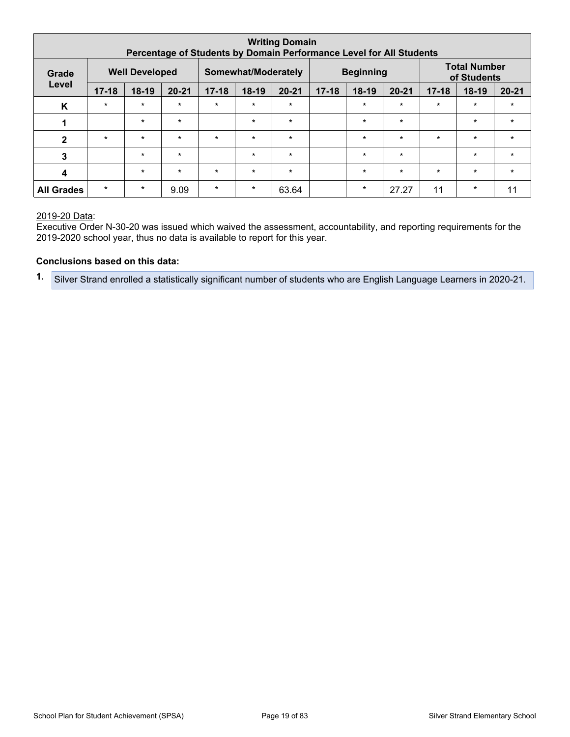| <b>Writing Domain</b><br>Percentage of Students by Domain Performance Level for All Students |           |                       |           |                     |         |                  |           |                                    |           |           |         |           |
|----------------------------------------------------------------------------------------------|-----------|-----------------------|-----------|---------------------|---------|------------------|-----------|------------------------------------|-----------|-----------|---------|-----------|
| Grade                                                                                        |           | <b>Well Developed</b> |           | Somewhat/Moderately |         | <b>Beginning</b> |           | <b>Total Number</b><br>of Students |           |           |         |           |
| Level                                                                                        | $17 - 18$ | $18-19$               | $20 - 21$ | $17 - 18$           | 18-19   | $20 - 21$        | $17 - 18$ | $18-19$                            | $20 - 21$ | $17 - 18$ | $18-19$ | $20 - 21$ |
| K                                                                                            | $\star$   | $\star$               | $\star$   | $\star$             | $\star$ | $\star$          |           | $\ast$                             | $\star$   | $\star$   | $\star$ | $\star$   |
| 1                                                                                            |           | $\star$               | $\star$   |                     | $\star$ | $\star$          |           | $\star$                            | $\star$   |           | $\star$ | $\star$   |
| $\mathbf{2}$                                                                                 | $\star$   | $\star$               | $\star$   | $\star$             | $\star$ | $\star$          |           | $\star$                            | $\star$   | $\star$   | $\star$ | $\star$   |
| 3                                                                                            |           | $\star$               | $\star$   |                     | $\star$ | $\star$          |           | $\star$                            | $\star$   |           | $\star$ | $\star$   |
| $\overline{\mathbf{4}}$                                                                      |           | $\star$               | $\star$   | $\star$             | $\star$ | $\star$          |           | $\star$                            | $\star$   | $\star$   | $\star$ | $\star$   |
| <b>All Grades</b>                                                                            | $\star$   | $\star$               | 9.09      | $\star$             | $\ast$  | 63.64            |           | $\ast$                             | 27.27     | 11        | $\star$ | 11        |

Executive Order N-30-20 was issued which waived the assessment, accountability, and reporting requirements for the 2019-2020 school year, thus no data is available to report for this year.

#### **Conclusions based on this data:**

**1.** Silver Strand enrolled a statistically significant number of students who are English Language Learners in 2020-21.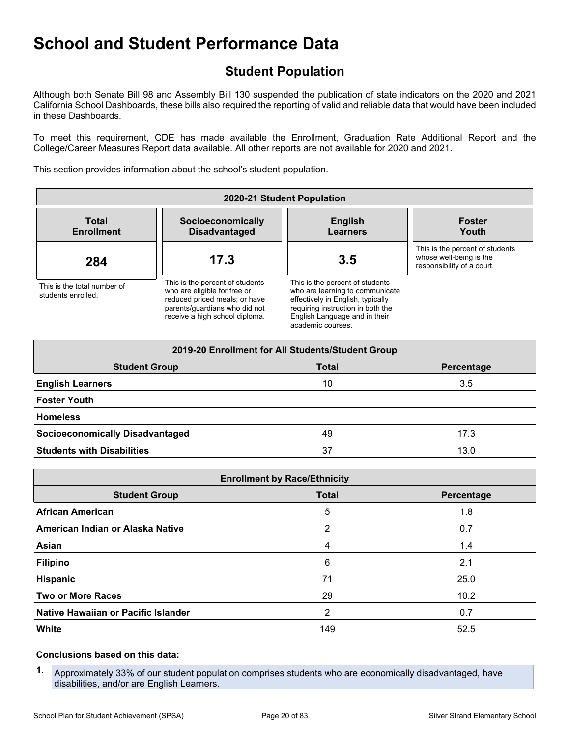### <span id="page-19-0"></span>**Student Population**

Although both Senate Bill 98 and Assembly Bill 130 suspended the publication of state indicators on the 2020 and 2021 California School Dashboards, these bills also required the reporting of valid and reliable data that would have been included in these Dashboards.

To meet this requirement, CDE has made available the Enrollment, Graduation Rate Additional Report and the College/Career Measures Report data available. All other reports are not available for 2020 and 2021.

This section provides information about the school's student population.

| 2020-21 Student Population                        |                                                                                                                                                                     |                                                                                                                                                                                                    |                                                                                          |  |  |
|---------------------------------------------------|---------------------------------------------------------------------------------------------------------------------------------------------------------------------|----------------------------------------------------------------------------------------------------------------------------------------------------------------------------------------------------|------------------------------------------------------------------------------------------|--|--|
| <b>Total</b><br><b>Enrollment</b>                 | Socioeconomically<br><b>Disadvantaged</b>                                                                                                                           | <b>English</b><br><b>Learners</b>                                                                                                                                                                  | <b>Foster</b><br>Youth                                                                   |  |  |
| 284                                               | 17.3                                                                                                                                                                | 3.5                                                                                                                                                                                                | This is the percent of students<br>whose well-being is the<br>responsibility of a court. |  |  |
| This is the total number of<br>students enrolled. | This is the percent of students<br>who are eligible for free or<br>reduced priced meals; or have<br>parents/quardians who did not<br>receive a high school diploma. | This is the percent of students<br>who are learning to communicate<br>effectively in English, typically<br>requiring instruction in both the<br>English Language and in their<br>academic courses. |                                                                                          |  |  |

| 2019-20 Enrollment for All Students/Student Group    |              |            |  |  |  |  |
|------------------------------------------------------|--------------|------------|--|--|--|--|
| <b>Student Group</b>                                 | <b>Total</b> | Percentage |  |  |  |  |
| <b>English Learners</b>                              | 10           | 3.5        |  |  |  |  |
| <b>Foster Youth</b>                                  |              |            |  |  |  |  |
| <b>Homeless</b>                                      |              |            |  |  |  |  |
| <b>Socioeconomically Disadvantaged</b><br>49<br>17.3 |              |            |  |  |  |  |
| <b>Students with Disabilities</b>                    | 37           | 13.0       |  |  |  |  |

| <b>Enrollment by Race/Ethnicity</b> |              |            |  |  |  |
|-------------------------------------|--------------|------------|--|--|--|
| <b>Student Group</b>                | <b>Total</b> | Percentage |  |  |  |
| <b>African American</b>             | 5            | 1.8        |  |  |  |
| American Indian or Alaska Native    | 2            | 0.7        |  |  |  |
| Asian                               | 4            | 1.4        |  |  |  |
| <b>Filipino</b>                     | 6            | 2.1        |  |  |  |
| Hispanic                            | 71           | 25.0       |  |  |  |
| <b>Two or More Races</b>            | 29           | 10.2       |  |  |  |
| Native Hawaiian or Pacific Islander | 2            | 0.7        |  |  |  |
| <b>White</b>                        | 149          | 52.5       |  |  |  |

#### **Conclusions based on this data:**

**1.** Approximately 33% of our student population comprises students who are economically disadvantaged, have disabilities, and/or are English Learners.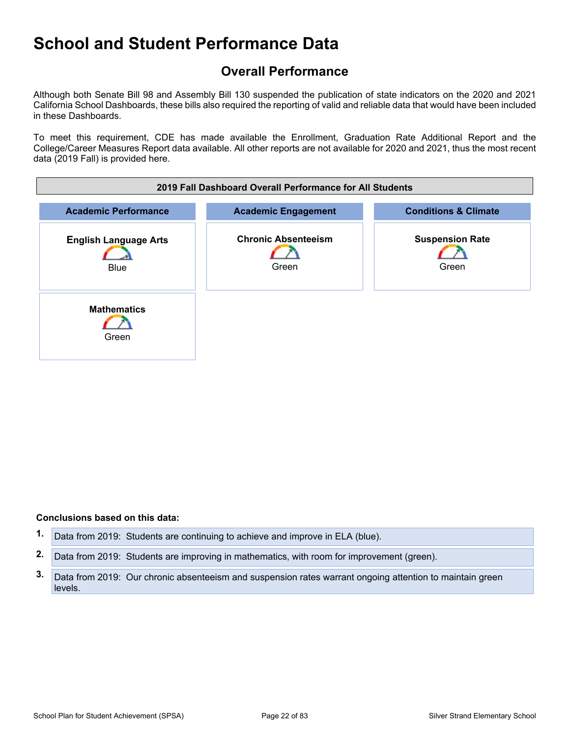### <span id="page-21-0"></span>**Overall Performance**

Although both Senate Bill 98 and Assembly Bill 130 suspended the publication of state indicators on the 2020 and 2021 California School Dashboards, these bills also required the reporting of valid and reliable data that would have been included in these Dashboards.

To meet this requirement, CDE has made available the Enrollment, Graduation Rate Additional Report and the College/Career Measures Report data available. All other reports are not available for 2020 and 2021, thus the most recent data (2019 Fall) is provided here.



#### **Conclusions based on this data:**

**1.** Data from 2019: Students are continuing to achieve and improve in ELA (blue).

**2.** Data from 2019: Students are improving in mathematics, with room for improvement (green).

**3.** Data from 2019: Our chronic absenteeism and suspension rates warrant ongoing attention to maintain green levels.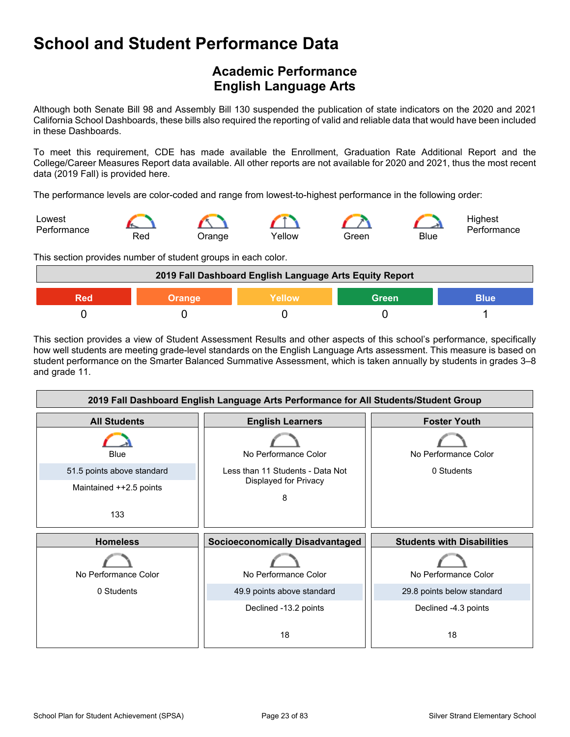### <span id="page-22-0"></span>**Academic Performance English Language Arts**

Although both Senate Bill 98 and Assembly Bill 130 suspended the publication of state indicators on the 2020 and 2021 California School Dashboards, these bills also required the reporting of valid and reliable data that would have been included in these Dashboards.

To meet this requirement, CDE has made available the Enrollment, Graduation Rate Additional Report and the College/Career Measures Report data available. All other reports are not available for 2020 and 2021, thus the most recent data (2019 Fall) is provided here.

The performance levels are color-coded and range from lowest-to-highest performance in the following order:



This section provides number of student groups in each color.



This section provides a view of Student Assessment Results and other aspects of this school's performance, specifically how well students are meeting grade-level standards on the English Language Arts assessment. This measure is based on student performance on the Smarter Balanced Summative Assessment, which is taken annually by students in grades 3–8 and grade 11.

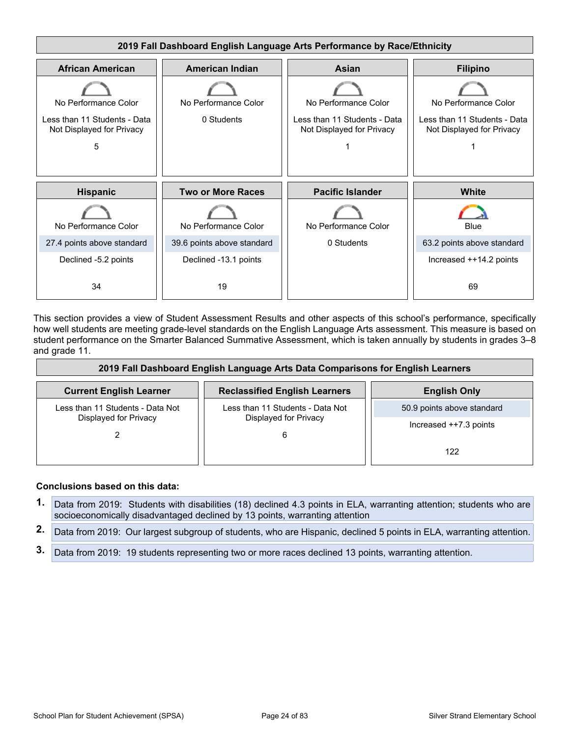

This section provides a view of Student Assessment Results and other aspects of this school's performance, specifically how well students are meeting grade-level standards on the English Language Arts assessment. This measure is based on student performance on the Smarter Balanced Summative Assessment, which is taken annually by students in grades 3–8 and grade 11.

| 2019 Fall Dashboard English Language Arts Data Comparisons for English Learners |                                      |                            |  |  |  |
|---------------------------------------------------------------------------------|--------------------------------------|----------------------------|--|--|--|
| <b>Current English Learner</b>                                                  | <b>Reclassified English Learners</b> | <b>English Only</b>        |  |  |  |
| Less than 11 Students - Data Not                                                | Less than 11 Students - Data Not     | 50.9 points above standard |  |  |  |
| Displayed for Privacy                                                           | Displayed for Privacy                | Increased $++7.3$ points   |  |  |  |
|                                                                                 |                                      | 122                        |  |  |  |

#### **Conclusions based on this data:**

- **1.** Data from 2019: Students with disabilities (18) declined 4.3 points in ELA, warranting attention; students who are socioeconomically disadvantaged declined by 13 points, warranting attention
- **2.** Data from 2019: Our largest subgroup of students, who are Hispanic, declined 5 points in ELA, warranting attention.
- **3.** Data from 2019: 19 students representing two or more races declined 13 points, warranting attention.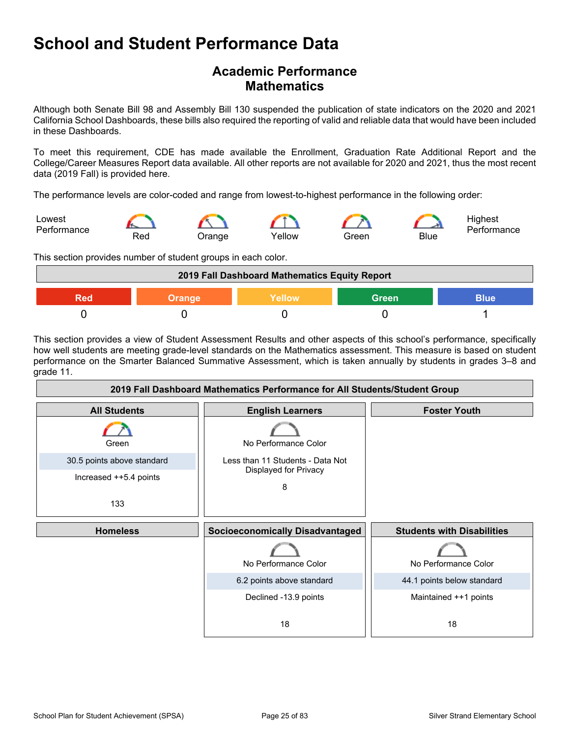### **Academic Performance Mathematics**

Although both Senate Bill 98 and Assembly Bill 130 suspended the publication of state indicators on the 2020 and 2021 California School Dashboards, these bills also required the reporting of valid and reliable data that would have been included in these Dashboards.

To meet this requirement, CDE has made available the Enrollment, Graduation Rate Additional Report and the College/Career Measures Report data available. All other reports are not available for 2020 and 2021, thus the most recent data (2019 Fall) is provided here.

The performance levels are color-coded and range from lowest-to-highest performance in the following order:



This section provides number of student groups in each color.

| 2019 Fall Dashboard Mathematics Equity Report   |  |  |  |  |  |
|-------------------------------------------------|--|--|--|--|--|
| <b>Green</b><br>Yellow<br>Blue<br>Orange<br>200 |  |  |  |  |  |
|                                                 |  |  |  |  |  |

This section provides a view of Student Assessment Results and other aspects of this school's performance, specifically how well students are meeting grade-level standards on the Mathematics assessment. This measure is based on student performance on the Smarter Balanced Summative Assessment, which is taken annually by students in grades 3–8 and grade 11.

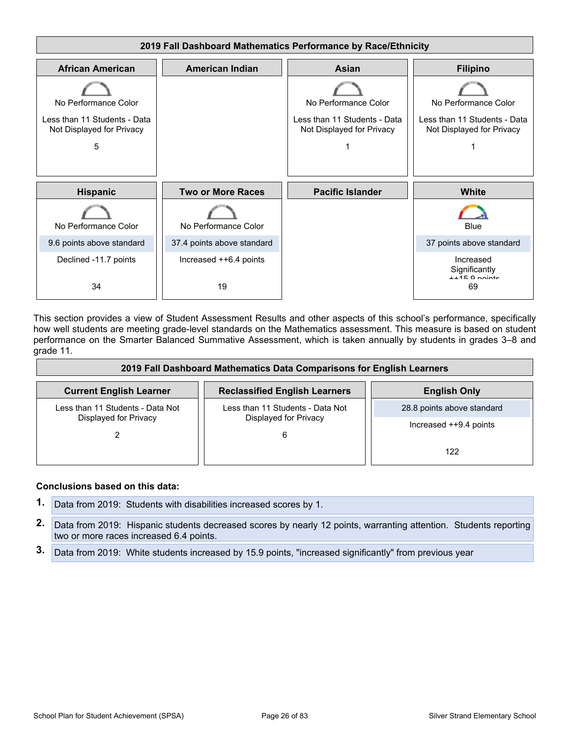

This section provides a view of Student Assessment Results and other aspects of this school's performance, specifically how well students are meeting grade-level standards on the Mathematics assessment. This measure is based on student performance on the Smarter Balanced Summative Assessment, which is taken annually by students in grades 3–8 and grade 11.

| 2019 Fall Dashboard Mathematics Data Comparisons for English Learners |                                      |                            |  |  |  |
|-----------------------------------------------------------------------|--------------------------------------|----------------------------|--|--|--|
| <b>Current English Learner</b>                                        | <b>Reclassified English Learners</b> | <b>English Only</b>        |  |  |  |
| Less than 11 Students - Data Not                                      | Less than 11 Students - Data Not     | 28.8 points above standard |  |  |  |
| Displayed for Privacy                                                 | Displayed for Privacy<br>6           | Increased ++9.4 points     |  |  |  |
|                                                                       |                                      | 122                        |  |  |  |

#### **Conclusions based on this data:**

- **1.** Data from 2019: Students with disabilities increased scores by 1.
- **2.** Data from 2019: Hispanic students decreased scores by nearly 12 points, warranting attention. Students reporting two or more races increased 6.4 points.
- **3.** Data from 2019: White students increased by 15.9 points, "increased significantly" from previous year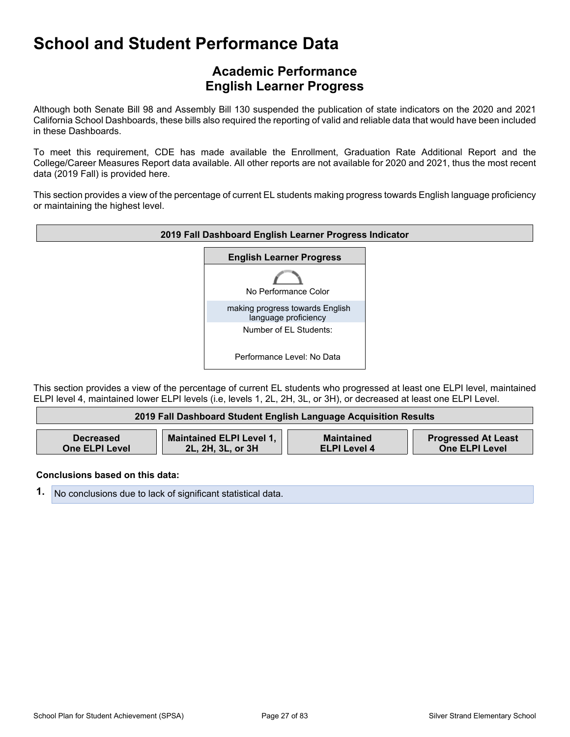### **Academic Performance English Learner Progress**

Although both Senate Bill 98 and Assembly Bill 130 suspended the publication of state indicators on the 2020 and 2021 California School Dashboards, these bills also required the reporting of valid and reliable data that would have been included in these Dashboards.

To meet this requirement, CDE has made available the Enrollment, Graduation Rate Additional Report and the College/Career Measures Report data available. All other reports are not available for 2020 and 2021, thus the most recent data (2019 Fall) is provided here.

This section provides a view of the percentage of current EL students making progress towards English language proficiency or maintaining the highest level.



This section provides a view of the percentage of current EL students who progressed at least one ELPI level, maintained ELPI level 4, maintained lower ELPI levels (i.e, levels 1, 2L, 2H, 3L, or 3H), or decreased at least one ELPI Level.

| 2019 Fall Dashboard Student English Language Acquisition Results |                                 |                     |                            |  |  |  |
|------------------------------------------------------------------|---------------------------------|---------------------|----------------------------|--|--|--|
| <b>Decreased</b>                                                 | <b>Maintained ELPI Level 1,</b> | <b>Maintained</b>   | <b>Progressed At Least</b> |  |  |  |
| <b>One ELPI Level</b>                                            | 2L, 2H, 3L, or 3H               | <b>ELPI Level 4</b> | <b>One ELPI Level</b>      |  |  |  |

**Conclusions based on this data:**

**1.** No conclusions due to lack of significant statistical data.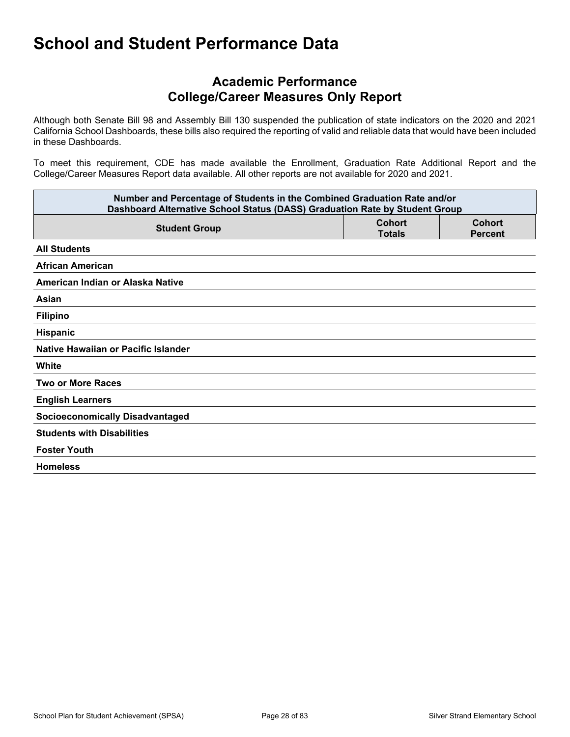### **Academic Performance College/Career Measures Only Report**

Although both Senate Bill 98 and Assembly Bill 130 suspended the publication of state indicators on the 2020 and 2021 California School Dashboards, these bills also required the reporting of valid and reliable data that would have been included in these Dashboards.

To meet this requirement, CDE has made available the Enrollment, Graduation Rate Additional Report and the College/Career Measures Report data available. All other reports are not available for 2020 and 2021.

| Number and Percentage of Students in the Combined Graduation Rate and/or<br>Dashboard Alternative School Status (DASS) Graduation Rate by Student Group |                                |                                 |  |  |  |
|---------------------------------------------------------------------------------------------------------------------------------------------------------|--------------------------------|---------------------------------|--|--|--|
| <b>Student Group</b>                                                                                                                                    | <b>Cohort</b><br><b>Totals</b> | <b>Cohort</b><br><b>Percent</b> |  |  |  |
| <b>All Students</b>                                                                                                                                     |                                |                                 |  |  |  |
| <b>African American</b>                                                                                                                                 |                                |                                 |  |  |  |
| American Indian or Alaska Native                                                                                                                        |                                |                                 |  |  |  |
| Asian                                                                                                                                                   |                                |                                 |  |  |  |
| <b>Filipino</b>                                                                                                                                         |                                |                                 |  |  |  |
| Hispanic                                                                                                                                                |                                |                                 |  |  |  |
| Native Hawaiian or Pacific Islander                                                                                                                     |                                |                                 |  |  |  |
| White                                                                                                                                                   |                                |                                 |  |  |  |
| <b>Two or More Races</b>                                                                                                                                |                                |                                 |  |  |  |
| <b>English Learners</b>                                                                                                                                 |                                |                                 |  |  |  |
| <b>Socioeconomically Disadvantaged</b>                                                                                                                  |                                |                                 |  |  |  |
| <b>Students with Disabilities</b>                                                                                                                       |                                |                                 |  |  |  |
| <b>Foster Youth</b>                                                                                                                                     |                                |                                 |  |  |  |
| <b>Homeless</b>                                                                                                                                         |                                |                                 |  |  |  |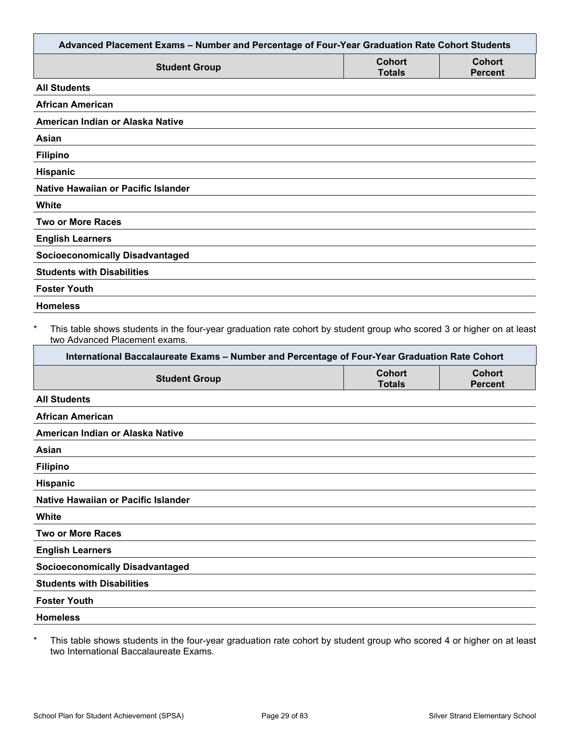| Advanced Placement Exams - Number and Percentage of Four-Year Graduation Rate Cohort Students                                                          |                                |                                 |
|--------------------------------------------------------------------------------------------------------------------------------------------------------|--------------------------------|---------------------------------|
| <b>Student Group</b>                                                                                                                                   | <b>Cohort</b><br><b>Totals</b> | <b>Cohort</b><br><b>Percent</b> |
| <b>All Students</b>                                                                                                                                    |                                |                                 |
| <b>African American</b>                                                                                                                                |                                |                                 |
| American Indian or Alaska Native                                                                                                                       |                                |                                 |
| Asian                                                                                                                                                  |                                |                                 |
| <b>Filipino</b>                                                                                                                                        |                                |                                 |
| Hispanic                                                                                                                                               |                                |                                 |
| Native Hawaiian or Pacific Islander                                                                                                                    |                                |                                 |
| <b>White</b>                                                                                                                                           |                                |                                 |
| <b>Two or More Races</b>                                                                                                                               |                                |                                 |
| <b>English Learners</b>                                                                                                                                |                                |                                 |
| <b>Socioeconomically Disadvantaged</b>                                                                                                                 |                                |                                 |
| <b>Students with Disabilities</b>                                                                                                                      |                                |                                 |
| <b>Foster Youth</b>                                                                                                                                    |                                |                                 |
|                                                                                                                                                        |                                |                                 |
| This table shows students in the four-year graduation rate cohort by student group who scored 3 or higher on at least<br>two Advanced Placement exams. |                                |                                 |
| International Baccalaureate Exams - Number and Percentage of Four-Year Graduation Rate Cohort                                                          |                                |                                 |
| <b>Student Group</b>                                                                                                                                   | <b>Cohort</b><br><b>Totals</b> | <b>Cohort</b><br><b>Percent</b> |
|                                                                                                                                                        |                                |                                 |
| <b>Homeless</b><br>$\ast$<br><b>All Students</b><br><b>African American</b>                                                                            |                                |                                 |
| American Indian or Alaska Native                                                                                                                       |                                |                                 |
| Asian                                                                                                                                                  |                                |                                 |
| <b>Filipino</b>                                                                                                                                        |                                |                                 |
| <b>Hispanic</b>                                                                                                                                        |                                |                                 |
| Native Hawaiian or Pacific Islander                                                                                                                    |                                |                                 |
| White                                                                                                                                                  |                                |                                 |
| <b>Two or More Races</b>                                                                                                                               |                                |                                 |
| <b>English Learners</b>                                                                                                                                |                                |                                 |
|                                                                                                                                                        |                                |                                 |
| <b>Socioeconomically Disadvantaged</b><br><b>Students with Disabilities</b>                                                                            |                                |                                 |
| <b>Foster Youth</b>                                                                                                                                    |                                |                                 |

\* This table shows students in the four-year graduation rate cohort by student group who scored 4 or higher on at least two International Baccalaureate Exams.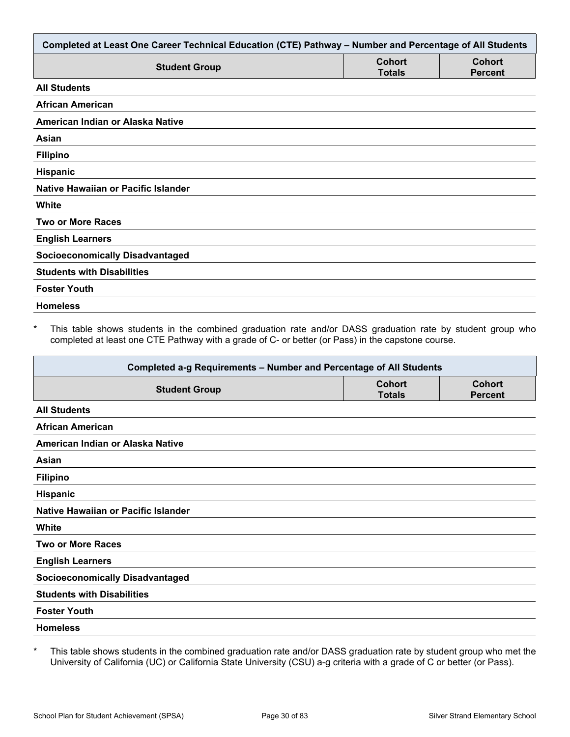| Completed at Least One Career Technical Education (CTE) Pathway - Number and Percentage of All Students |                                |                                 |  |  |  |
|---------------------------------------------------------------------------------------------------------|--------------------------------|---------------------------------|--|--|--|
| <b>Student Group</b>                                                                                    | <b>Cohort</b><br><b>Totals</b> | <b>Cohort</b><br><b>Percent</b> |  |  |  |
| <b>All Students</b>                                                                                     |                                |                                 |  |  |  |
| <b>African American</b>                                                                                 |                                |                                 |  |  |  |
| American Indian or Alaska Native                                                                        |                                |                                 |  |  |  |
| Asian                                                                                                   |                                |                                 |  |  |  |
| <b>Filipino</b>                                                                                         |                                |                                 |  |  |  |
| Hispanic                                                                                                |                                |                                 |  |  |  |
| Native Hawaiian or Pacific Islander                                                                     |                                |                                 |  |  |  |
| White                                                                                                   |                                |                                 |  |  |  |
| <b>Two or More Races</b>                                                                                |                                |                                 |  |  |  |
| <b>English Learners</b>                                                                                 |                                |                                 |  |  |  |
| <b>Socioeconomically Disadvantaged</b>                                                                  |                                |                                 |  |  |  |
| <b>Students with Disabilities</b>                                                                       |                                |                                 |  |  |  |
| <b>Foster Youth</b>                                                                                     |                                |                                 |  |  |  |
| <b>Homeless</b>                                                                                         |                                |                                 |  |  |  |

\* This table shows students in the combined graduation rate and/or DASS graduation rate by student group who completed at least one CTE Pathway with a grade of C- or better (or Pass) in the capstone course.

| Completed a-g Requirements - Number and Percentage of All Students |                                |                                 |  |  |  |
|--------------------------------------------------------------------|--------------------------------|---------------------------------|--|--|--|
| <b>Student Group</b>                                               | <b>Cohort</b><br><b>Totals</b> | <b>Cohort</b><br><b>Percent</b> |  |  |  |
| <b>All Students</b>                                                |                                |                                 |  |  |  |
| <b>African American</b>                                            |                                |                                 |  |  |  |
| American Indian or Alaska Native                                   |                                |                                 |  |  |  |
| Asian                                                              |                                |                                 |  |  |  |
| <b>Filipino</b>                                                    |                                |                                 |  |  |  |
| Hispanic                                                           |                                |                                 |  |  |  |
| Native Hawaiian or Pacific Islander                                |                                |                                 |  |  |  |
| White                                                              |                                |                                 |  |  |  |
| <b>Two or More Races</b>                                           |                                |                                 |  |  |  |
| <b>English Learners</b>                                            |                                |                                 |  |  |  |
| <b>Socioeconomically Disadvantaged</b>                             |                                |                                 |  |  |  |
| <b>Students with Disabilities</b>                                  |                                |                                 |  |  |  |
| <b>Foster Youth</b>                                                |                                |                                 |  |  |  |
| <b>Homeless</b>                                                    |                                |                                 |  |  |  |

\* This table shows students in the combined graduation rate and/or DASS graduation rate by student group who met the University of California (UC) or California State University (CSU) a-g criteria with a grade of C or better (or Pass).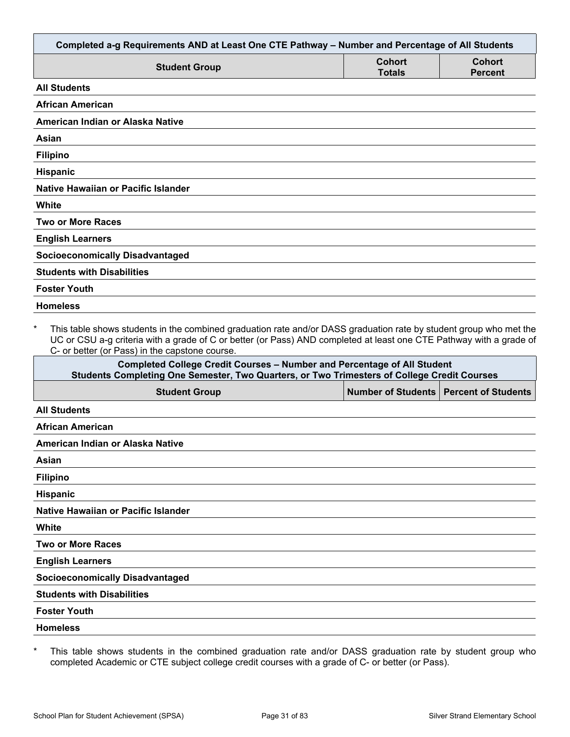| Completed a-g Requirements AND at Least One CTE Pathway - Number and Percentage of All Students                                                                                                                                                                                                        |                                          |                          |
|--------------------------------------------------------------------------------------------------------------------------------------------------------------------------------------------------------------------------------------------------------------------------------------------------------|------------------------------------------|--------------------------|
| <b>Student Group</b>                                                                                                                                                                                                                                                                                   | Cohort<br><b>Totals</b>                  | Cohort<br><b>Percent</b> |
| <b>All Students</b>                                                                                                                                                                                                                                                                                    |                                          |                          |
| <b>African American</b>                                                                                                                                                                                                                                                                                |                                          |                          |
| American Indian or Alaska Native                                                                                                                                                                                                                                                                       |                                          |                          |
| Asian                                                                                                                                                                                                                                                                                                  |                                          |                          |
| <b>Filipino</b>                                                                                                                                                                                                                                                                                        |                                          |                          |
| <b>Hispanic</b>                                                                                                                                                                                                                                                                                        |                                          |                          |
| Native Hawaiian or Pacific Islander                                                                                                                                                                                                                                                                    |                                          |                          |
| White                                                                                                                                                                                                                                                                                                  |                                          |                          |
| <b>Two or More Races</b>                                                                                                                                                                                                                                                                               |                                          |                          |
| <b>English Learners</b>                                                                                                                                                                                                                                                                                |                                          |                          |
| <b>Socioeconomically Disadvantaged</b>                                                                                                                                                                                                                                                                 |                                          |                          |
| <b>Students with Disabilities</b>                                                                                                                                                                                                                                                                      |                                          |                          |
| <b>Foster Youth</b>                                                                                                                                                                                                                                                                                    |                                          |                          |
| <b>Homeless</b>                                                                                                                                                                                                                                                                                        |                                          |                          |
| $\star$<br>This table shows students in the combined graduation rate and/or DASS graduation rate by student group who met the<br>UC or CSU a-g criteria with a grade of C or better (or Pass) AND completed at least one CTE Pathway with a grade of<br>C- or better (or Pass) in the capstone course. |                                          |                          |
| <b>Completed College Credit Courses - Number and Percentage of All Student</b><br>Students Completing One Semester, Two Quarters, or Two Trimesters of College Credit Courses                                                                                                                          |                                          |                          |
| <b>Student Group</b>                                                                                                                                                                                                                                                                                   | Number of Students   Percent of Students |                          |
| <b>All Students</b>                                                                                                                                                                                                                                                                                    |                                          |                          |
| <b>African American</b>                                                                                                                                                                                                                                                                                |                                          |                          |
| American Indian or Alaska Native                                                                                                                                                                                                                                                                       |                                          |                          |
| Asian                                                                                                                                                                                                                                                                                                  |                                          |                          |
| <b>Filipino</b>                                                                                                                                                                                                                                                                                        |                                          |                          |
| <b>Hispanic</b>                                                                                                                                                                                                                                                                                        |                                          |                          |

**Native Hawaiian or Pacific Islander**

**White**

**Two or More Races**

**English Learners**

**Socioeconomically Disadvantaged**

**Students with Disabilities**

**Foster Youth**

**Homeless**

\* This table shows students in the combined graduation rate and/or DASS graduation rate by student group who completed Academic or CTE subject college credit courses with a grade of C- or better (or Pass).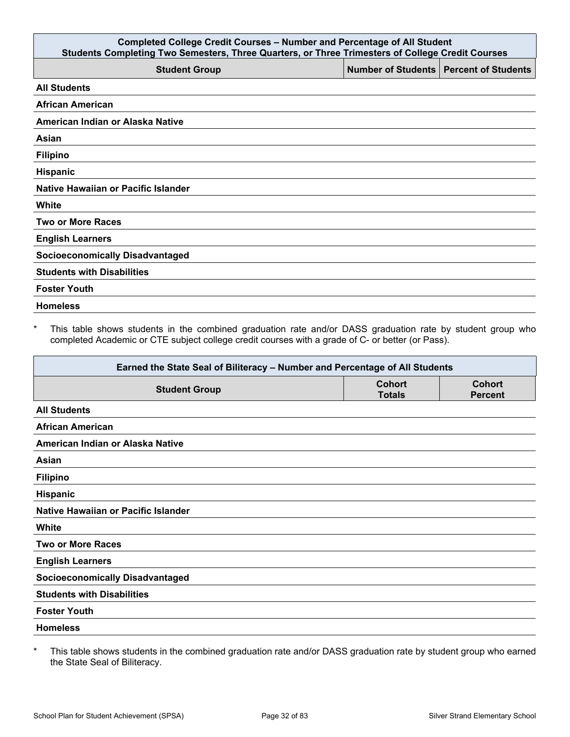| <b>Completed College Credit Courses - Number and Percentage of All Student</b><br>Students Completing Two Semesters, Three Quarters, or Three Trimesters of College Credit Courses |                                          |  |  |  |  |  |
|------------------------------------------------------------------------------------------------------------------------------------------------------------------------------------|------------------------------------------|--|--|--|--|--|
| <b>Student Group</b>                                                                                                                                                               | Number of Students   Percent of Students |  |  |  |  |  |
| <b>All Students</b>                                                                                                                                                                |                                          |  |  |  |  |  |
| <b>African American</b>                                                                                                                                                            |                                          |  |  |  |  |  |
| American Indian or Alaska Native                                                                                                                                                   |                                          |  |  |  |  |  |
| Asian                                                                                                                                                                              |                                          |  |  |  |  |  |
| <b>Filipino</b>                                                                                                                                                                    |                                          |  |  |  |  |  |
| Hispanic                                                                                                                                                                           |                                          |  |  |  |  |  |
| Native Hawaiian or Pacific Islander                                                                                                                                                |                                          |  |  |  |  |  |
| White                                                                                                                                                                              |                                          |  |  |  |  |  |
| <b>Two or More Races</b>                                                                                                                                                           |                                          |  |  |  |  |  |
| <b>English Learners</b>                                                                                                                                                            |                                          |  |  |  |  |  |
| <b>Socioeconomically Disadvantaged</b>                                                                                                                                             |                                          |  |  |  |  |  |
| <b>Students with Disabilities</b>                                                                                                                                                  |                                          |  |  |  |  |  |
| <b>Foster Youth</b>                                                                                                                                                                |                                          |  |  |  |  |  |
| <b>Homeless</b>                                                                                                                                                                    |                                          |  |  |  |  |  |

\* This table shows students in the combined graduation rate and/or DASS graduation rate by student group who completed Academic or CTE subject college credit courses with a grade of C- or better (or Pass).

| Earned the State Seal of Biliteracy - Number and Percentage of All Students |                                |                                 |  |  |
|-----------------------------------------------------------------------------|--------------------------------|---------------------------------|--|--|
| <b>Student Group</b>                                                        | <b>Cohort</b><br><b>Totals</b> | <b>Cohort</b><br><b>Percent</b> |  |  |
| <b>All Students</b>                                                         |                                |                                 |  |  |
| <b>African American</b>                                                     |                                |                                 |  |  |
| American Indian or Alaska Native                                            |                                |                                 |  |  |
| Asian                                                                       |                                |                                 |  |  |
| <b>Filipino</b>                                                             |                                |                                 |  |  |
| Hispanic                                                                    |                                |                                 |  |  |
| Native Hawaiian or Pacific Islander                                         |                                |                                 |  |  |
| White                                                                       |                                |                                 |  |  |
| <b>Two or More Races</b>                                                    |                                |                                 |  |  |
| <b>English Learners</b>                                                     |                                |                                 |  |  |
| <b>Socioeconomically Disadvantaged</b>                                      |                                |                                 |  |  |
| <b>Students with Disabilities</b>                                           |                                |                                 |  |  |
| <b>Foster Youth</b>                                                         |                                |                                 |  |  |
| <b>Homeless</b>                                                             |                                |                                 |  |  |
|                                                                             |                                |                                 |  |  |

\* This table shows students in the combined graduation rate and/or DASS graduation rate by student group who earned the State Seal of Biliteracy.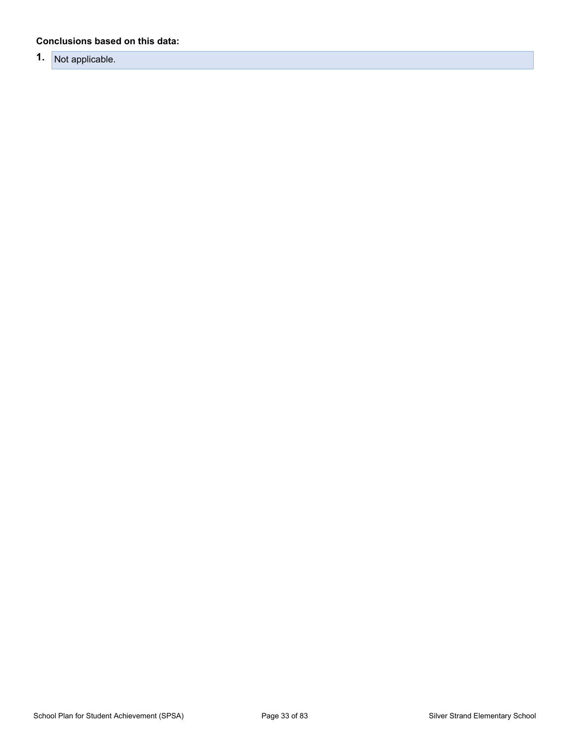#### **Conclusions based on this data:**

### **1.** Not applicable.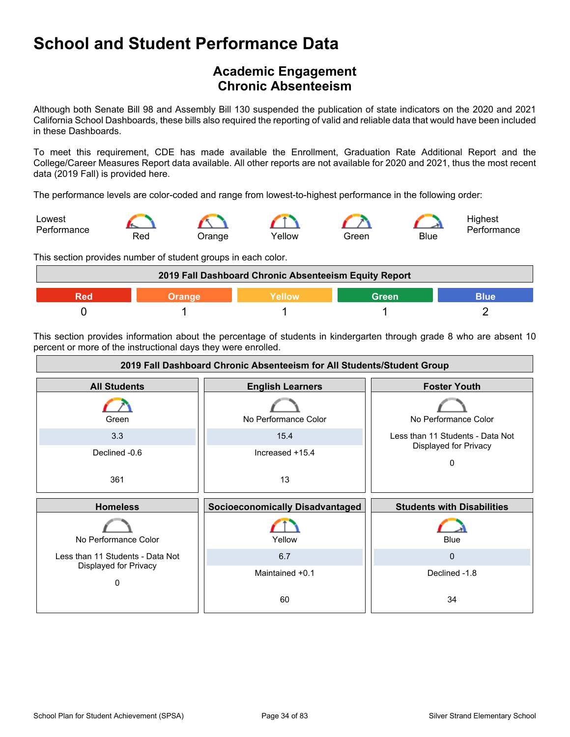### <span id="page-33-0"></span>**Academic Engagement Chronic Absenteeism**

Although both Senate Bill 98 and Assembly Bill 130 suspended the publication of state indicators on the 2020 and 2021 California School Dashboards, these bills also required the reporting of valid and reliable data that would have been included in these Dashboards.

To meet this requirement, CDE has made available the Enrollment, Graduation Rate Additional Report and the College/Career Measures Report data available. All other reports are not available for 2020 and 2021, thus the most recent data (2019 Fall) is provided here.

The performance levels are color-coded and range from lowest-to-highest performance in the following order:



This section provides number of student groups in each color.



This section provides information about the percentage of students in kindergarten through grade 8 who are absent 10 percent or more of the instructional days they were enrolled.

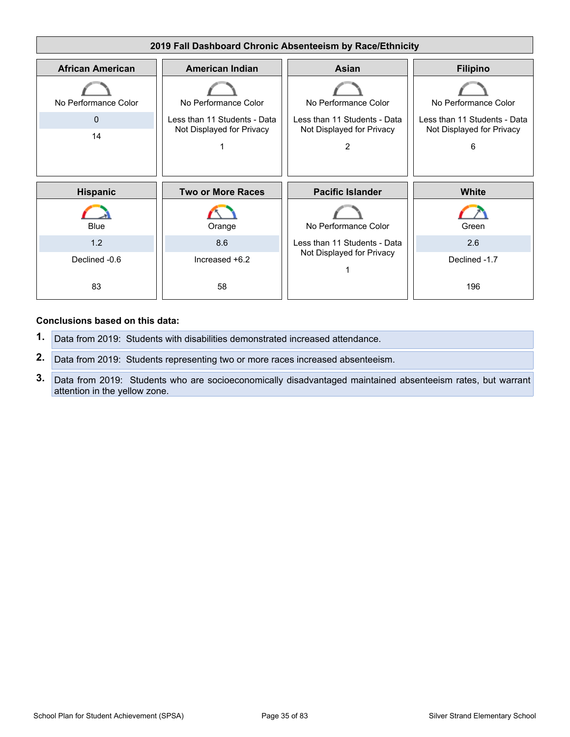

#### **Conclusions based on this data:**

- **1.** Data from 2019: Students with disabilities demonstrated increased attendance.
- **2.** Data from 2019: Students representing two or more races increased absenteeism.
- **3.** Data from 2019: Students who are socioeconomically disadvantaged maintained absenteeism rates, but warrant attention in the yellow zone.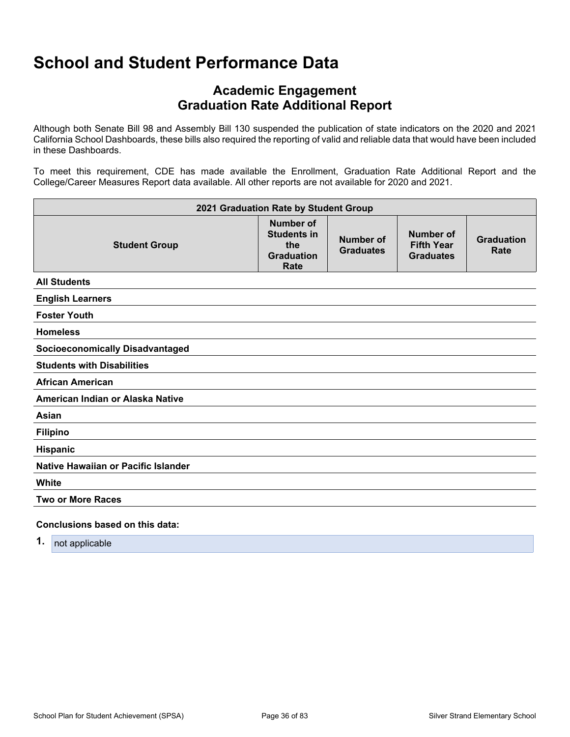### **Academic Engagement Graduation Rate Additional Report**

Although both Senate Bill 98 and Assembly Bill 130 suspended the publication of state indicators on the 2020 and 2021 California School Dashboards, these bills also required the reporting of valid and reliable data that would have been included in these Dashboards.

To meet this requirement, CDE has made available the Enrollment, Graduation Rate Additional Report and the College/Career Measures Report data available. All other reports are not available for 2020 and 2021.

| 2021 Graduation Rate by Student Group  |                                                                            |                               |                                                    |                           |  |  |
|----------------------------------------|----------------------------------------------------------------------------|-------------------------------|----------------------------------------------------|---------------------------|--|--|
| <b>Student Group</b>                   | <b>Number of</b><br><b>Students in</b><br>the<br><b>Graduation</b><br>Rate | Number of<br><b>Graduates</b> | Number of<br><b>Fifth Year</b><br><b>Graduates</b> | <b>Graduation</b><br>Rate |  |  |
| <b>All Students</b>                    |                                                                            |                               |                                                    |                           |  |  |
| <b>English Learners</b>                |                                                                            |                               |                                                    |                           |  |  |
| <b>Foster Youth</b>                    |                                                                            |                               |                                                    |                           |  |  |
| <b>Homeless</b>                        |                                                                            |                               |                                                    |                           |  |  |
| <b>Socioeconomically Disadvantaged</b> |                                                                            |                               |                                                    |                           |  |  |
| <b>Students with Disabilities</b>      |                                                                            |                               |                                                    |                           |  |  |
| <b>African American</b>                |                                                                            |                               |                                                    |                           |  |  |
| American Indian or Alaska Native       |                                                                            |                               |                                                    |                           |  |  |
| Asian                                  |                                                                            |                               |                                                    |                           |  |  |
| <b>Filipino</b>                        |                                                                            |                               |                                                    |                           |  |  |
| Hispanic                               |                                                                            |                               |                                                    |                           |  |  |
| Native Hawaiian or Pacific Islander    |                                                                            |                               |                                                    |                           |  |  |
| White                                  |                                                                            |                               |                                                    |                           |  |  |
| <b>Two or More Races</b>               |                                                                            |                               |                                                    |                           |  |  |
| Conclusions based on this data:        |                                                                            |                               |                                                    |                           |  |  |

**1.** not applicable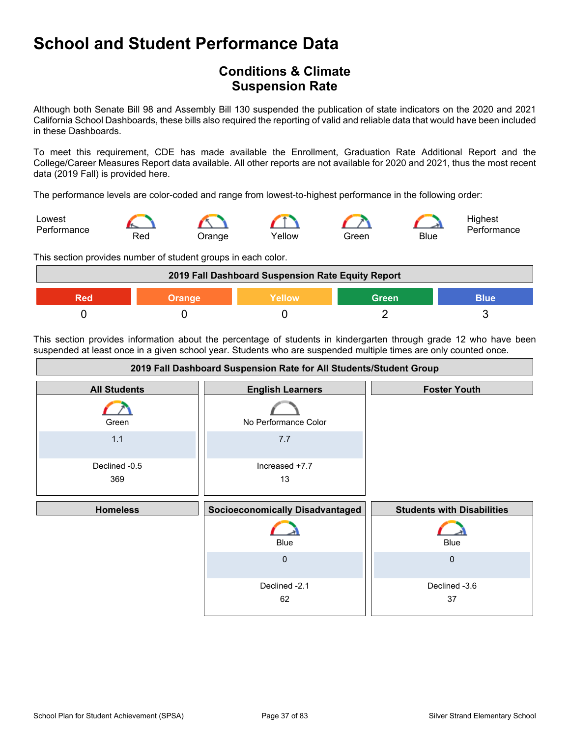## **School and Student Performance Data**

## **Conditions & Climate Suspension Rate**

Although both Senate Bill 98 and Assembly Bill 130 suspended the publication of state indicators on the 2020 and 2021 California School Dashboards, these bills also required the reporting of valid and reliable data that would have been included in these Dashboards.

To meet this requirement, CDE has made available the Enrollment, Graduation Rate Additional Report and the College/Career Measures Report data available. All other reports are not available for 2020 and 2021, thus the most recent data (2019 Fall) is provided here.

The performance levels are color-coded and range from lowest-to-highest performance in the following order:



This section provides number of student groups in each color.



This section provides information about the percentage of students in kindergarten through grade 12 who have been suspended at least once in a given school year. Students who are suspended multiple times are only counted once.

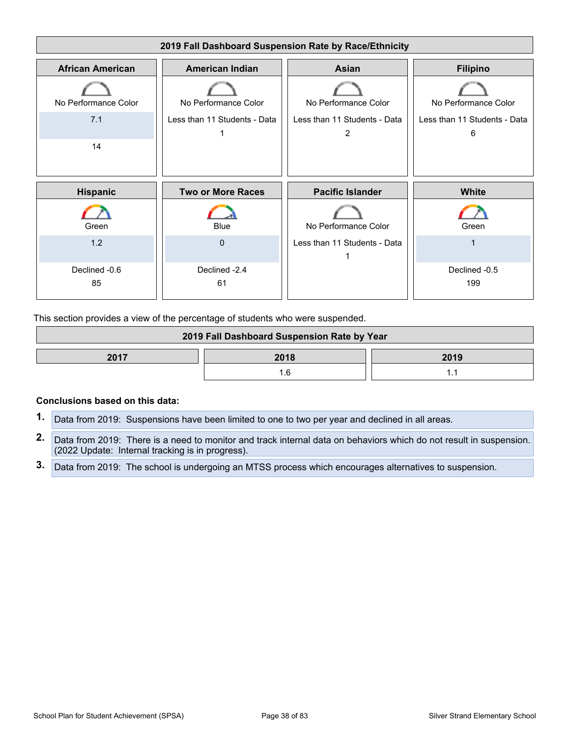

This section provides a view of the percentage of students who were suspended.

| 2019 Fall Dashboard Suspension Rate by Year |  |  |  |
|---------------------------------------------|--|--|--|
| 2017<br>2018<br>2019                        |  |  |  |
|                                             |  |  |  |

#### **Conclusions based on this data:**

- **1.** Data from 2019: Suspensions have been limited to one to two per year and declined in all areas.
- **2.** Data from 2019: There is a need to monitor and track internal data on behaviors which do not result in suspension. (2022 Update: Internal tracking is in progress).
- **3.** Data from 2019: The school is undergoing an MTSS process which encourages alternatives to suspension.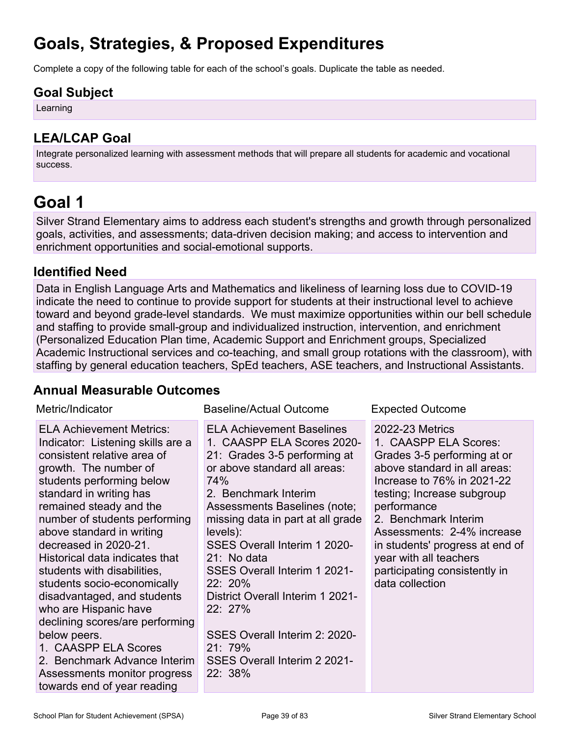## **Goals, Strategies, & Proposed Expenditures**

Complete a copy of the following table for each of the school's goals. Duplicate the table as needed.

### **Goal Subject**

Learning

## **LEA/LCAP Goal**

Integrate personalized learning with assessment methods that will prepare all students for academic and vocational success.

## **Goal 1**

Silver Strand Elementary aims to address each student's strengths and growth through personalized goals, activities, and assessments; data-driven decision making; and access to intervention and enrichment opportunities and social-emotional supports.

## **Identified Need**

Data in English Language Arts and Mathematics and likeliness of learning loss due to COVID-19 indicate the need to continue to provide support for students at their instructional level to achieve toward and beyond grade-level standards. We must maximize opportunities within our bell schedule and staffing to provide small-group and individualized instruction, intervention, and enrichment (Personalized Education Plan time, Academic Support and Enrichment groups, Specialized Academic Instructional services and co-teaching, and small group rotations with the classroom), with staffing by general education teachers, SpEd teachers, ASE teachers, and Instructional Assistants.

## **Annual Measurable Outcomes**

| Metric/Indicator                                                                                                                                                                                                                                                                                                                                                                                                                                                                                                                                                                                                                         | <b>Baseline/Actual Outcome</b>                                                                                                                                                                                                                                                                                                                                                                                                                                                       | <b>Expected Outcome</b>                                                                                                                                                                                                                                                                                                                                          |
|------------------------------------------------------------------------------------------------------------------------------------------------------------------------------------------------------------------------------------------------------------------------------------------------------------------------------------------------------------------------------------------------------------------------------------------------------------------------------------------------------------------------------------------------------------------------------------------------------------------------------------------|--------------------------------------------------------------------------------------------------------------------------------------------------------------------------------------------------------------------------------------------------------------------------------------------------------------------------------------------------------------------------------------------------------------------------------------------------------------------------------------|------------------------------------------------------------------------------------------------------------------------------------------------------------------------------------------------------------------------------------------------------------------------------------------------------------------------------------------------------------------|
| <b>ELA Achievement Metrics:</b><br>Indicator: Listening skills are a<br>consistent relative area of<br>growth. The number of<br>students performing below<br>standard in writing has<br>remained steady and the<br>number of students performing<br>above standard in writing<br>decreased in 2020-21.<br>Historical data indicates that<br>students with disabilities,<br>students socio-economically<br>disadvantaged, and students<br>who are Hispanic have<br>declining scores/are performing<br>below peers.<br>1. CAASPP ELA Scores<br>2. Benchmark Advance Interim<br>Assessments monitor progress<br>towards end of year reading | <b>ELA Achievement Baselines</b><br>1. CAASPP ELA Scores 2020-<br>21: Grades 3-5 performing at<br>or above standard all areas:<br>74%<br>2. Benchmark Interim<br>Assessments Baselines (note;<br>missing data in part at all grade<br>levels):<br>SSES Overall Interim 1 2020-<br>21: No data<br><b>SSES Overall Interim 1 2021-</b><br>22: 20%<br>District Overall Interim 1 2021-<br>22: 27%<br>SSES Overall Interim 2: 2020-<br>21.79%<br>SSES Overall Interim 2 2021-<br>22: 38% | <b>2022-23 Metrics</b><br>1. CAASPP ELA Scores:<br>Grades 3-5 performing at or<br>above standard in all areas:<br>Increase to 76% in 2021-22<br>testing; Increase subgroup<br>performance<br>2. Benchmark Interim<br>Assessments: 2-4% increase<br>in students' progress at end of<br>year with all teachers<br>participating consistently in<br>data collection |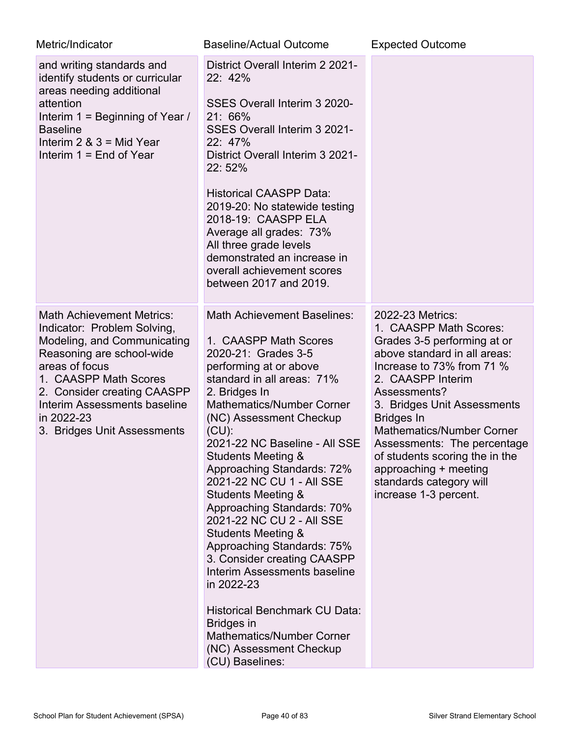| Metric/Indicator                                                                                                                                                                                                                                                                          | <b>Baseline/Actual Outcome</b>                                                                                                                                                                                                                                                                                                                                                                                                                                                                                                                                                                                                                                                                                                                  | <b>Expected Outcome</b>                                                                                                                                                                                                                                                                                                                                                                                           |
|-------------------------------------------------------------------------------------------------------------------------------------------------------------------------------------------------------------------------------------------------------------------------------------------|-------------------------------------------------------------------------------------------------------------------------------------------------------------------------------------------------------------------------------------------------------------------------------------------------------------------------------------------------------------------------------------------------------------------------------------------------------------------------------------------------------------------------------------------------------------------------------------------------------------------------------------------------------------------------------------------------------------------------------------------------|-------------------------------------------------------------------------------------------------------------------------------------------------------------------------------------------------------------------------------------------------------------------------------------------------------------------------------------------------------------------------------------------------------------------|
| and writing standards and<br>identify students or curricular<br>areas needing additional<br>attention<br>Interim 1 = Beginning of Year /<br><b>Baseline</b><br>Interim $2 \& 3 = Mid Year$<br>Interim $1 =$ End of Year                                                                   | District Overall Interim 2 2021-<br>22: 42%<br>SSES Overall Interim 3 2020-<br>21: 66%<br>SSES Overall Interim 3 2021-<br>22: 47%<br>District Overall Interim 3 2021-<br>22:52%<br><b>Historical CAASPP Data:</b><br>2019-20: No statewide testing<br>2018-19: CAASPP ELA<br>Average all grades: 73%<br>All three grade levels<br>demonstrated an increase in<br>overall achievement scores<br>between 2017 and 2019.                                                                                                                                                                                                                                                                                                                           |                                                                                                                                                                                                                                                                                                                                                                                                                   |
| <b>Math Achievement Metrics:</b><br>Indicator: Problem Solving,<br>Modeling, and Communicating<br>Reasoning are school-wide<br>areas of focus<br>1. CAASPP Math Scores<br>2. Consider creating CAASPP<br><b>Interim Assessments baseline</b><br>in 2022-23<br>3. Bridges Unit Assessments | <b>Math Achievement Baselines:</b><br>1. CAASPP Math Scores<br>2020-21: Grades 3-5<br>performing at or above<br>standard in all areas: 71%<br>2. Bridges In<br><b>Mathematics/Number Corner</b><br>(NC) Assessment Checkup<br>$(CU)$ :<br>2021-22 NC Baseline - All SSE<br>Students Meeting &<br>Approaching Standards: 72%<br>2021-22 NC CU 1 - All SSE<br><b>Students Meeting &amp;</b><br>Approaching Standards: 70%<br>2021-22 NC CU 2 - All SSE<br><b>Students Meeting &amp;</b><br>Approaching Standards: 75%<br>3. Consider creating CAASPP<br>Interim Assessments baseline<br>in 2022-23<br><b>Historical Benchmark CU Data:</b><br><b>Bridges in</b><br><b>Mathematics/Number Corner</b><br>(NC) Assessment Checkup<br>(CU) Baselines: | 2022-23 Metrics:<br>1. CAASPP Math Scores:<br>Grades 3-5 performing at or<br>above standard in all areas:<br>Increase to 73% from 71 %<br>2. CAASPP Interim<br>Assessments?<br>3. Bridges Unit Assessments<br><b>Bridges In</b><br><b>Mathematics/Number Corner</b><br>Assessments: The percentage<br>of students scoring the in the<br>approaching + meeting<br>standards category will<br>increase 1-3 percent. |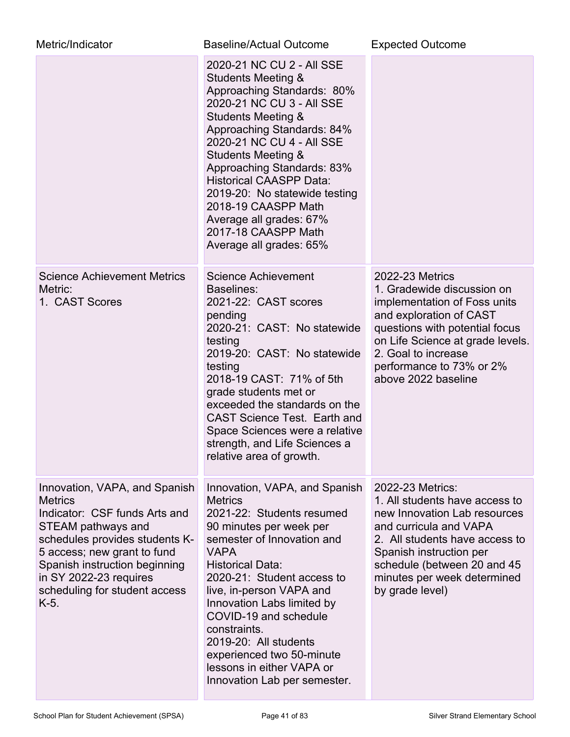| Metric/Indicator                                                                                                                                                                                                                                                            | <b>Baseline/Actual Outcome</b>                                                                                                                                                                                                                                                                                                                                                                                                                          | <b>Expected Outcome</b>                                                                                                                                                                                                                                         |
|-----------------------------------------------------------------------------------------------------------------------------------------------------------------------------------------------------------------------------------------------------------------------------|---------------------------------------------------------------------------------------------------------------------------------------------------------------------------------------------------------------------------------------------------------------------------------------------------------------------------------------------------------------------------------------------------------------------------------------------------------|-----------------------------------------------------------------------------------------------------------------------------------------------------------------------------------------------------------------------------------------------------------------|
|                                                                                                                                                                                                                                                                             | 2020-21 NC CU 2 - All SSE<br><b>Students Meeting &amp;</b><br>Approaching Standards: 80%<br>2020-21 NC CU 3 - All SSE<br><b>Students Meeting &amp;</b><br>Approaching Standards: 84%<br>2020-21 NC CU 4 - All SSE<br><b>Students Meeting &amp;</b><br>Approaching Standards: 83%<br><b>Historical CAASPP Data:</b><br>2019-20: No statewide testing<br>2018-19 CAASPP Math<br>Average all grades: 67%<br>2017-18 CAASPP Math<br>Average all grades: 65% |                                                                                                                                                                                                                                                                 |
| <b>Science Achievement Metrics</b><br>Metric:<br>1. CAST Scores                                                                                                                                                                                                             | <b>Science Achievement</b><br>Baselines:<br>2021-22: CAST scores<br>pending<br>2020-21: CAST: No statewide<br>testing<br>2019-20: CAST: No statewide<br>testing<br>2018-19 CAST: 71% of 5th<br>grade students met or<br>exceeded the standards on the<br><b>CAST Science Test. Earth and</b><br>Space Sciences were a relative<br>strength, and Life Sciences a<br>relative area of growth.                                                             | <b>2022-23 Metrics</b><br>1. Gradewide discussion on<br>implementation of Foss units<br>and exploration of CAST<br>questions with potential focus<br>on Life Science at grade levels.<br>2. Goal to increase<br>performance to 73% or 2%<br>above 2022 baseline |
| Innovation, VAPA, and Spanish<br><b>Metrics</b><br>Indicator: CSF funds Arts and<br>STEAM pathways and<br>schedules provides students K-<br>5 access; new grant to fund<br>Spanish instruction beginning<br>in SY 2022-23 requires<br>scheduling for student access<br>K-5. | Innovation, VAPA, and Spanish<br><b>Metrics</b><br>2021-22: Students resumed<br>90 minutes per week per<br>semester of Innovation and<br><b>VAPA</b><br><b>Historical Data:</b><br>2020-21: Student access to<br>live, in-person VAPA and<br>Innovation Labs limited by<br>COVID-19 and schedule<br>constraints.<br>2019-20: All students<br>experienced two 50-minute<br>lessons in either VAPA or<br>Innovation Lab per semester.                     | 2022-23 Metrics:<br>1. All students have access to<br>new Innovation Lab resources<br>and curricula and VAPA<br>2. All students have access to<br>Spanish instruction per<br>schedule (between 20 and 45<br>minutes per week determined<br>by grade level)      |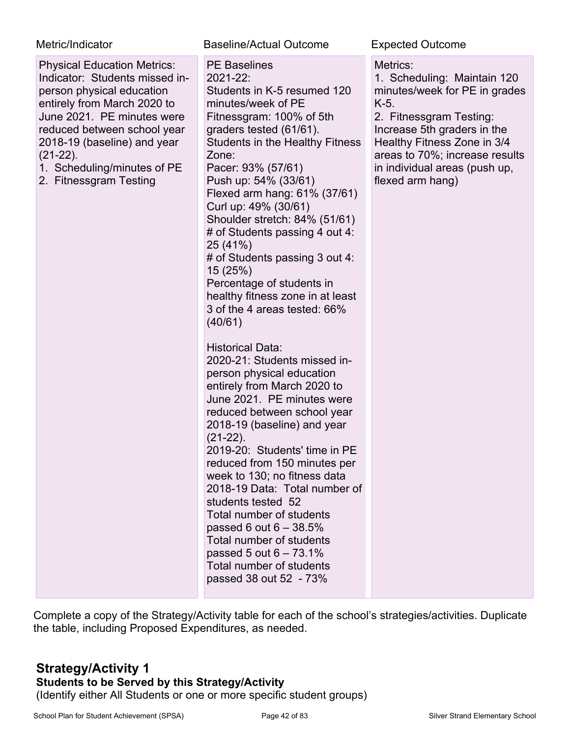### Metric/Indicator **Baseline/Actual Outcome** Expected Outcome

| <b>Physical Education Metrics:</b><br>Indicator: Students missed in-<br>person physical education<br>entirely from March 2020 to<br>June 2021. PE minutes were<br>reduced between school year<br>2018-19 (baseline) and year<br>$(21-22)$ .<br>1. Scheduling/minutes of PE<br>2. Fitnessgram Testing | <b>PE Baselines</b><br>2021-22:<br>Students in K-5 resumed 120<br>minutes/week of PE<br>Fitnessgram: 100% of 5th<br>graders tested (61/61).<br><b>Students in the Healthy Fitness</b><br>Zone:<br>Pacer: 93% (57/61)<br>Push up: 54% (33/61)<br>Flexed arm hang: 61% (37/61)<br>Curl up: 49% (30/61)<br>Shoulder stretch: 84% (51/61)<br># of Students passing 4 out 4:<br>25 (41%)<br># of Students passing 3 out 4:<br>15 (25%)<br>Percentage of students in<br>healthy fitness zone in at least<br>3 of the 4 areas tested: 66%<br>(40/61)                  | Metrics:<br>1. Scheduling: Maintain 120<br>minutes/week for PE in grades<br>K-5.<br>2. Fitnessgram Testing:<br>Increase 5th graders in the<br>Healthy Fitness Zone in 3/4<br>areas to 70%; increase results<br>in individual areas (push up,<br>flexed arm hang) |
|------------------------------------------------------------------------------------------------------------------------------------------------------------------------------------------------------------------------------------------------------------------------------------------------------|----------------------------------------------------------------------------------------------------------------------------------------------------------------------------------------------------------------------------------------------------------------------------------------------------------------------------------------------------------------------------------------------------------------------------------------------------------------------------------------------------------------------------------------------------------------|------------------------------------------------------------------------------------------------------------------------------------------------------------------------------------------------------------------------------------------------------------------|
|                                                                                                                                                                                                                                                                                                      | <b>Historical Data:</b><br>2020-21: Students missed in-<br>person physical education<br>entirely from March 2020 to<br>June 2021. PE minutes were<br>reduced between school year<br>2018-19 (baseline) and year<br>$(21-22)$ .<br>2019-20: Students' time in PE<br>reduced from 150 minutes per<br>week to 130; no fitness data<br>2018-19 Data: Total number of<br>students tested 52<br>Total number of students<br>passed 6 out $6 - 38.5\%$<br>Total number of students<br>passed 5 out $6 - 73.1\%$<br>Total number of students<br>passed 38 out 52 - 73% |                                                                                                                                                                                                                                                                  |

Complete a copy of the Strategy/Activity table for each of the school's strategies/activities. Duplicate the table, including Proposed Expenditures, as needed.

### **Strategy/Activity 1 Students to be Served by this Strategy/Activity** (Identify either All Students or one or more specific student groups)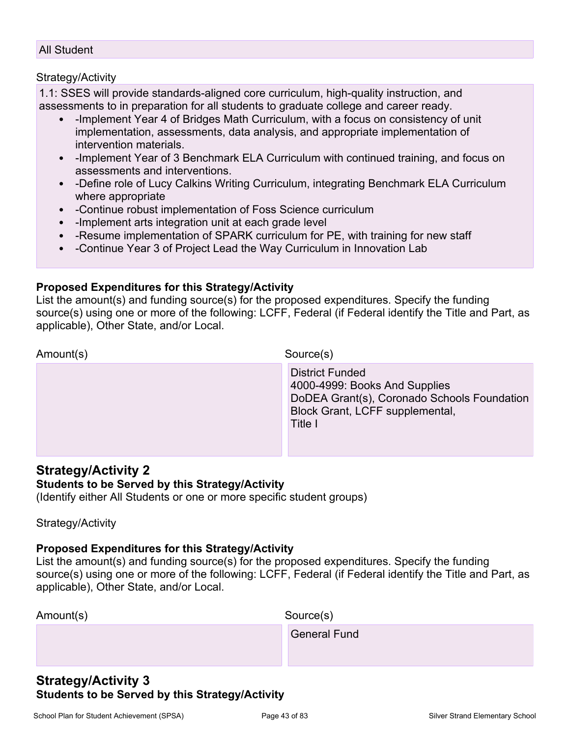#### All Student

#### Strategy/Activity

1.1: SSES will provide standards-aligned core curriculum, high-quality instruction, and assessments to in preparation for all students to graduate college and career ready.

- -Implement Year 4 of Bridges Math Curriculum, with a focus on consistency of unit implementation, assessments, data analysis, and appropriate implementation of intervention materials.
- -Implement Year of 3 Benchmark ELA Curriculum with continued training, and focus on assessments and interventions.
- -Define role of Lucy Calkins Writing Curriculum, integrating Benchmark ELA Curriculum where appropriate
- -Continue robust implementation of Foss Science curriculum
- -Implement arts integration unit at each grade level
- -Resume implementation of SPARK curriculum for PE, with training for new staff
- -Continue Year 3 of Project Lead the Way Curriculum in Innovation Lab

#### **Proposed Expenditures for this Strategy/Activity**

List the amount(s) and funding source(s) for the proposed expenditures. Specify the funding source(s) using one or more of the following: LCFF, Federal (if Federal identify the Title and Part, as applicable), Other State, and/or Local.

| <b>District Funded</b><br>4000-4999: Books And Supplies<br>DoDEA Grant(s), Coronado Schools Foundation<br>Block Grant, LCFF supplemental,<br>Title I |  |
|------------------------------------------------------------------------------------------------------------------------------------------------------|--|

### **Strategy/Activity 2**

#### **Students to be Served by this Strategy/Activity**

(Identify either All Students or one or more specific student groups)

Strategy/Activity

### **Proposed Expenditures for this Strategy/Activity**

List the amount(s) and funding source(s) for the proposed expenditures. Specify the funding source(s) using one or more of the following: LCFF, Federal (if Federal identify the Title and Part, as applicable), Other State, and/or Local.

| Amount(s) | Source(s)        |
|-----------|------------------|
|           | $Q_{\text{max}}$ |

General Fund

### **Strategy/Activity 3 Students to be Served by this Strategy/Activity**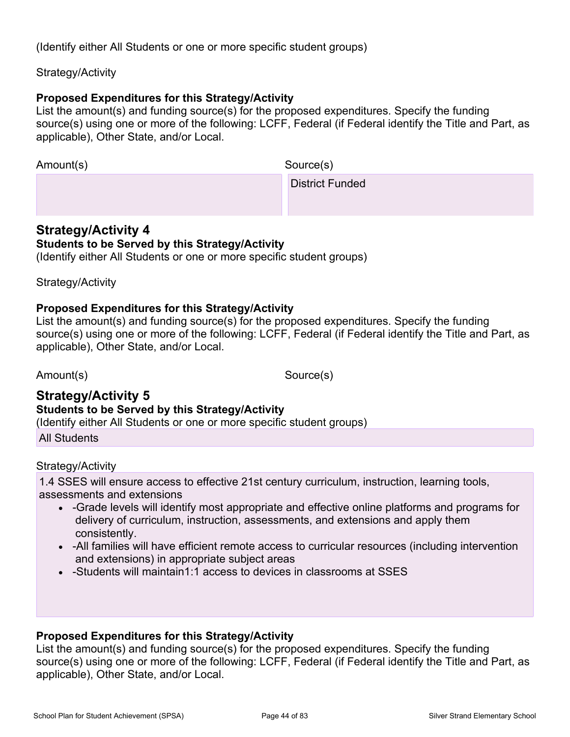(Identify either All Students or one or more specific student groups)

### Strategy/Activity

### **Proposed Expenditures for this Strategy/Activity**

List the amount(s) and funding source(s) for the proposed expenditures. Specify the funding source(s) using one or more of the following: LCFF, Federal (if Federal identify the Title and Part, as applicable), Other State, and/or Local.

Amount(s) Source(s)

District Funded

### **Strategy/Activity 4 Students to be Served by this Strategy/Activity**

(Identify either All Students or one or more specific student groups)

Strategy/Activity

### **Proposed Expenditures for this Strategy/Activity**

List the amount(s) and funding source(s) for the proposed expenditures. Specify the funding source(s) using one or more of the following: LCFF, Federal (if Federal identify the Title and Part, as applicable), Other State, and/or Local.

Amount(s) Source(s)

### **Strategy/Activity 5 Students to be Served by this Strategy/Activity** (Identify either All Students or one or more specific student groups)

All Students

### Strategy/Activity

1.4 SSES will ensure access to effective 21st century curriculum, instruction, learning tools, assessments and extensions

- -Grade levels will identify most appropriate and effective online platforms and programs for delivery of curriculum, instruction, assessments, and extensions and apply them consistently.
- -All families will have efficient remote access to curricular resources (including intervention and extensions) in appropriate subject areas
- -Students will maintain1:1 access to devices in classrooms at SSES

### **Proposed Expenditures for this Strategy/Activity**

List the amount(s) and funding source(s) for the proposed expenditures. Specify the funding source(s) using one or more of the following: LCFF, Federal (if Federal identify the Title and Part, as applicable), Other State, and/or Local.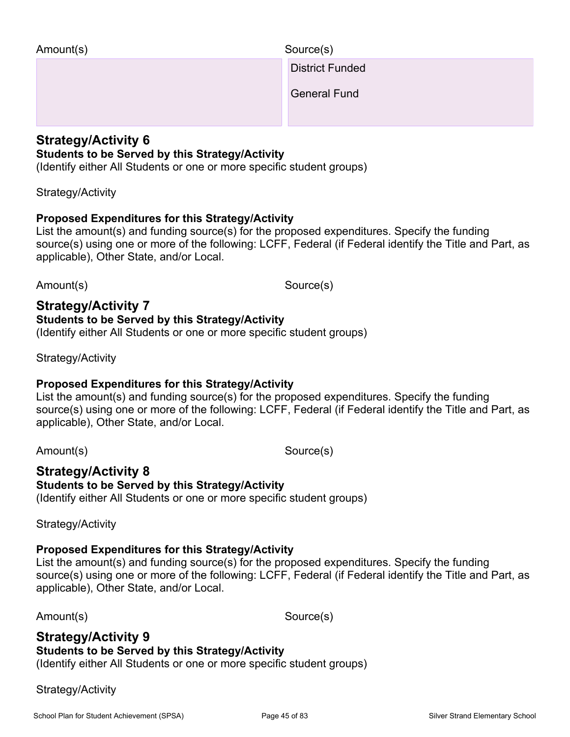District Funded

General Fund

### **Strategy/Activity 6**

### **Students to be Served by this Strategy/Activity**

(Identify either All Students or one or more specific student groups)

#### Strategy/Activity

### **Proposed Expenditures for this Strategy/Activity**

List the amount(s) and funding source(s) for the proposed expenditures. Specify the funding source(s) using one or more of the following: LCFF, Federal (if Federal identify the Title and Part, as applicable), Other State, and/or Local.

Amount(s) Source(s)

#### **Strategy/Activity 7 Students to be Served by this Strategy/Activity**

(Identify either All Students or one or more specific student groups)

Strategy/Activity

### **Proposed Expenditures for this Strategy/Activity**

List the amount(s) and funding source(s) for the proposed expenditures. Specify the funding source(s) using one or more of the following: LCFF, Federal (if Federal identify the Title and Part, as applicable), Other State, and/or Local.

Amount(s) Source(s)

#### **Strategy/Activity 8 Students to be Served by this Strategy/Activity** (Identify either All Students or one or more specific student groups)

Strategy/Activity

## **Proposed Expenditures for this Strategy/Activity**

List the amount(s) and funding source(s) for the proposed expenditures. Specify the funding source(s) using one or more of the following: LCFF, Federal (if Federal identify the Title and Part, as applicable), Other State, and/or Local.

Amount(s) Source(s)

## **Strategy/Activity 9**

### **Students to be Served by this Strategy/Activity**

(Identify either All Students or one or more specific student groups)

Strategy/Activity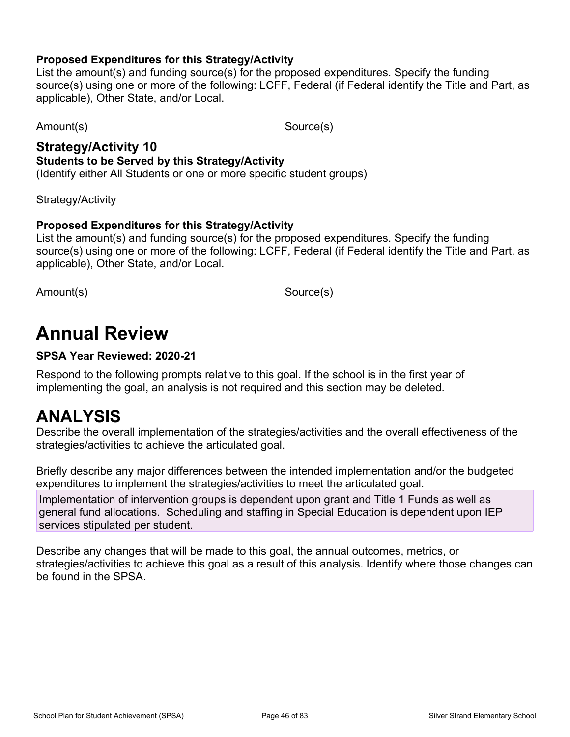### **Proposed Expenditures for this Strategy/Activity**

List the amount(s) and funding source(s) for the proposed expenditures. Specify the funding source(s) using one or more of the following: LCFF, Federal (if Federal identify the Title and Part, as applicable), Other State, and/or Local.

Amount(s) Source(s)

## **Strategy/Activity 10 Students to be Served by this Strategy/Activity**

(Identify either All Students or one or more specific student groups)

Strategy/Activity

### **Proposed Expenditures for this Strategy/Activity**

List the amount(s) and funding source(s) for the proposed expenditures. Specify the funding source(s) using one or more of the following: LCFF, Federal (if Federal identify the Title and Part, as applicable), Other State, and/or Local.

Amount(s) Source(s)

## **Annual Review**

### **SPSA Year Reviewed: 2020-21**

Respond to the following prompts relative to this goal. If the school is in the first year of implementing the goal, an analysis is not required and this section may be deleted.

## **ANALYSIS**

Describe the overall implementation of the strategies/activities and the overall effectiveness of the strategies/activities to achieve the articulated goal.

Briefly describe any major differences between the intended implementation and/or the budgeted expenditures to implement the strategies/activities to meet the articulated goal.

Implementation of intervention groups is dependent upon grant and Title 1 Funds as well as general fund allocations. Scheduling and staffing in Special Education is dependent upon IEP services stipulated per student.

Describe any changes that will be made to this goal, the annual outcomes, metrics, or strategies/activities to achieve this goal as a result of this analysis. Identify where those changes can be found in the SPSA.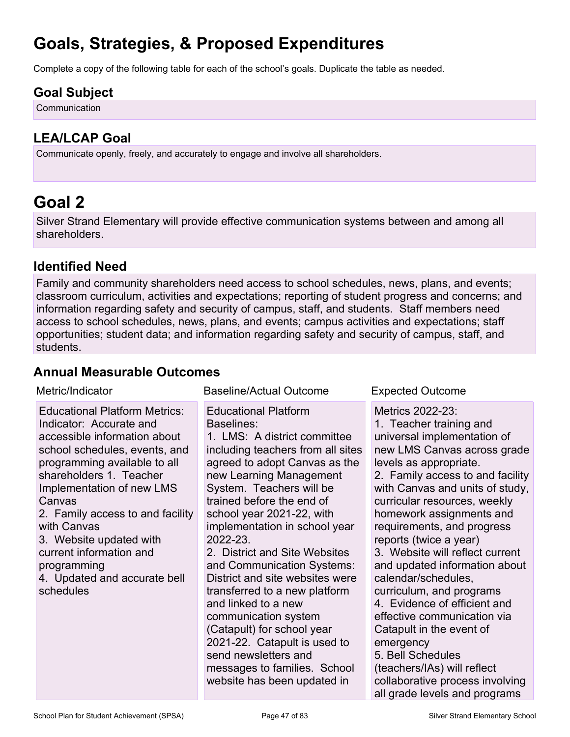## **Goals, Strategies, & Proposed Expenditures**

Complete a copy of the following table for each of the school's goals. Duplicate the table as needed.

## **Goal Subject**

**Communication** 

## **LEA/LCAP Goal**

Communicate openly, freely, and accurately to engage and involve all shareholders.

## **Goal 2**

Silver Strand Elementary will provide effective communication systems between and among all shareholders.

### **Identified Need**

Family and community shareholders need access to school schedules, news, plans, and events; classroom curriculum, activities and expectations; reporting of student progress and concerns; and information regarding safety and security of campus, staff, and students. Staff members need access to school schedules, news, plans, and events; campus activities and expectations; staff opportunities; student data; and information regarding safety and security of campus, staff, and students.

### **Annual Measurable Outcomes**

| Metric/Indicator                                                                                                                                                                                                                                                                                                                                                                                        | <b>Baseline/Actual Outcome</b>                                                                                                                                                                                                                                                                                                                                                                                                                                                                                                                                                                                                                       | <b>Expected Outcome</b>                                                                                                                                                                                                                                                                                                                                                                                                                                                                                                                                                                                                                                                               |
|---------------------------------------------------------------------------------------------------------------------------------------------------------------------------------------------------------------------------------------------------------------------------------------------------------------------------------------------------------------------------------------------------------|------------------------------------------------------------------------------------------------------------------------------------------------------------------------------------------------------------------------------------------------------------------------------------------------------------------------------------------------------------------------------------------------------------------------------------------------------------------------------------------------------------------------------------------------------------------------------------------------------------------------------------------------------|---------------------------------------------------------------------------------------------------------------------------------------------------------------------------------------------------------------------------------------------------------------------------------------------------------------------------------------------------------------------------------------------------------------------------------------------------------------------------------------------------------------------------------------------------------------------------------------------------------------------------------------------------------------------------------------|
| <b>Educational Platform Metrics:</b><br>Indicator: Accurate and<br>accessible information about<br>school schedules, events, and<br>programming available to all<br>shareholders 1. Teacher<br>Implementation of new LMS<br>Canvas<br>2. Family access to and facility<br>with Canvas<br>3. Website updated with<br>current information and<br>programming<br>4. Updated and accurate bell<br>schedules | <b>Educational Platform</b><br>Baselines:<br>1. LMS: A district committee<br>including teachers from all sites<br>agreed to adopt Canvas as the<br>new Learning Management<br>System. Teachers will be<br>trained before the end of<br>school year 2021-22, with<br>implementation in school year<br>2022-23.<br>2. District and Site Websites<br>and Communication Systems:<br>District and site websites were<br>transferred to a new platform<br>and linked to a new<br>communication system<br>(Catapult) for school year<br>2021-22. Catapult is used to<br>send newsletters and<br>messages to families. School<br>website has been updated in | Metrics 2022-23:<br>1. Teacher training and<br>universal implementation of<br>new LMS Canvas across grade<br>levels as appropriate.<br>2. Family access to and facility<br>with Canvas and units of study,<br>curricular resources, weekly<br>homework assignments and<br>requirements, and progress<br>reports (twice a year)<br>3. Website will reflect current<br>and updated information about<br>calendar/schedules,<br>curriculum, and programs<br>4. Evidence of efficient and<br>effective communication via<br>Catapult in the event of<br>emergency<br>5. Bell Schedules<br>(teachers/IAs) will reflect<br>collaborative process involving<br>all grade levels and programs |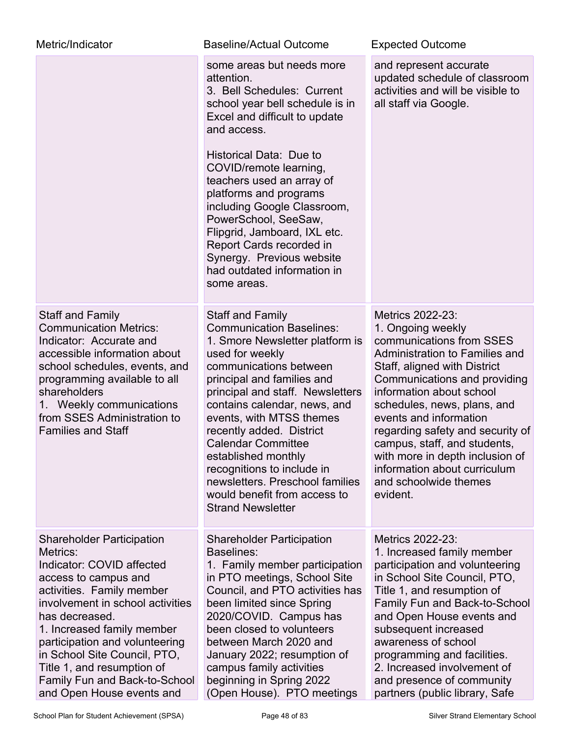| Metric/Indicator                                                                                                                                                                                                                                                                                                                                                                 | <b>Baseline/Actual Outcome</b>                                                                                                                                                                                                                                                                                                                                                                                                                                                        | <b>Expected Outcome</b>                                                                                                                                                                                                                                                                                                                                                                                                             |
|----------------------------------------------------------------------------------------------------------------------------------------------------------------------------------------------------------------------------------------------------------------------------------------------------------------------------------------------------------------------------------|---------------------------------------------------------------------------------------------------------------------------------------------------------------------------------------------------------------------------------------------------------------------------------------------------------------------------------------------------------------------------------------------------------------------------------------------------------------------------------------|-------------------------------------------------------------------------------------------------------------------------------------------------------------------------------------------------------------------------------------------------------------------------------------------------------------------------------------------------------------------------------------------------------------------------------------|
|                                                                                                                                                                                                                                                                                                                                                                                  | some areas but needs more<br>attention.<br>3. Bell Schedules: Current<br>school year bell schedule is in<br>Excel and difficult to update<br>and access.                                                                                                                                                                                                                                                                                                                              | and represent accurate<br>updated schedule of classroom<br>activities and will be visible to<br>all staff via Google.                                                                                                                                                                                                                                                                                                               |
|                                                                                                                                                                                                                                                                                                                                                                                  | Historical Data: Due to<br>COVID/remote learning,<br>teachers used an array of<br>platforms and programs<br>including Google Classroom,<br>PowerSchool, SeeSaw,<br>Flipgrid, Jamboard, IXL etc.<br>Report Cards recorded in<br>Synergy. Previous website<br>had outdated information in<br>some areas.                                                                                                                                                                                |                                                                                                                                                                                                                                                                                                                                                                                                                                     |
| <b>Staff and Family</b><br><b>Communication Metrics:</b><br>Indicator: Accurate and<br>accessible information about<br>school schedules, events, and<br>programming available to all<br>shareholders<br>1. Weekly communications<br>from SSES Administration to<br><b>Families and Staff</b>                                                                                     | <b>Staff and Family</b><br><b>Communication Baselines:</b><br>1. Smore Newsletter platform is<br>used for weekly<br>communications between<br>principal and families and<br>principal and staff. Newsletters<br>contains calendar, news, and<br>events, with MTSS themes<br>recently added. District<br><b>Calendar Committee</b><br>established monthly<br>recognitions to include in<br>newsletters. Preschool families<br>would benefit from access to<br><b>Strand Newsletter</b> | Metrics 2022-23:<br>1. Ongoing weekly<br>communications from SSES<br>Administration to Families and<br>Staff, aligned with District<br>Communications and providing<br>information about school<br>schedules, news, plans, and<br>events and information<br>regarding safety and security of<br>campus, staff, and students<br>with more in depth inclusion of<br>information about curriculum<br>and schoolwide themes<br>evident. |
| <b>Shareholder Participation</b><br>Metrics:<br>Indicator: COVID affected<br>access to campus and<br>activities. Family member<br>involvement in school activities<br>has decreased.<br>1. Increased family member<br>participation and volunteering<br>in School Site Council, PTO,<br>Title 1, and resumption of<br>Family Fun and Back-to-School<br>and Open House events and | <b>Shareholder Participation</b><br>Baselines:<br>1. Family member participation<br>in PTO meetings, School Site<br>Council, and PTO activities has<br>been limited since Spring<br>2020/COVID. Campus has<br>been closed to volunteers<br>between March 2020 and<br>January 2022; resumption of<br>campus family activities<br>beginning in Spring 2022<br>(Open House). PTO meetings                                                                                                | Metrics 2022-23:<br>1. Increased family member<br>participation and volunteering<br>in School Site Council, PTO,<br>Title 1, and resumption of<br>Family Fun and Back-to-School<br>and Open House events and<br>subsequent increased<br>awareness of school<br>programming and facilities.<br>2. Increased involvement of<br>and presence of community<br>partners (public library, Safe                                            |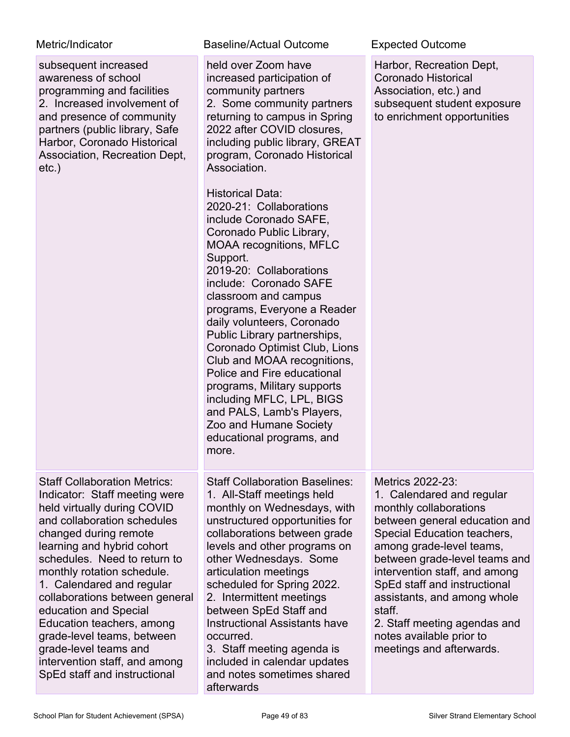| Metric/Indicator |
|------------------|
|------------------|

| subsequent increased<br>awareness of school<br>programming and facilities<br>2. Increased involvement of<br>and presence of community<br>partners (public library, Safe<br>Harbor, Coronado Historical<br>Association, Recreation Dept,<br>$etc.$ )                                                                                                                                                                                                                                                  | held over Zoom have<br>increased participation of<br>community partners<br>2. Some community partners<br>returning to campus in Spring<br>2022 after COVID closures,<br>including public library, GREAT<br>program, Coronado Historical<br>Association.<br><b>Historical Data:</b><br>2020-21: Collaborations<br>include Coronado SAFE,<br>Coronado Public Library,<br><b>MOAA recognitions, MFLC</b><br>Support.<br>2019-20: Collaborations<br>include: Coronado SAFE<br>classroom and campus<br>programs, Everyone a Reader<br>daily volunteers, Coronado<br>Public Library partnerships,<br>Coronado Optimist Club, Lions<br>Club and MOAA recognitions,<br>Police and Fire educational<br>programs, Military supports<br>including MFLC, LPL, BIGS<br>and PALS, Lamb's Players,<br>Zoo and Humane Society<br>educational programs, and<br>more. | Harbor, Recreation Dept,<br>Coronado Historical<br>Association, etc.) and<br>subsequent student exposure<br>to enrichment opportunities                                                                                                                                                                                                                                                                |
|------------------------------------------------------------------------------------------------------------------------------------------------------------------------------------------------------------------------------------------------------------------------------------------------------------------------------------------------------------------------------------------------------------------------------------------------------------------------------------------------------|-----------------------------------------------------------------------------------------------------------------------------------------------------------------------------------------------------------------------------------------------------------------------------------------------------------------------------------------------------------------------------------------------------------------------------------------------------------------------------------------------------------------------------------------------------------------------------------------------------------------------------------------------------------------------------------------------------------------------------------------------------------------------------------------------------------------------------------------------------|--------------------------------------------------------------------------------------------------------------------------------------------------------------------------------------------------------------------------------------------------------------------------------------------------------------------------------------------------------------------------------------------------------|
| <b>Staff Collaboration Metrics:</b><br>Indicator: Staff meeting were<br>held virtually during COVID<br>and collaboration schedules<br>changed during remote<br>learning and hybrid cohort<br>schedules. Need to return to<br>monthly rotation schedule.<br>1. Calendared and regular<br>collaborations between general<br>education and Special<br>Education teachers, among<br>grade-level teams, between<br>grade-level teams and<br>intervention staff, and among<br>SpEd staff and instructional | <b>Staff Collaboration Baselines:</b><br>1. All-Staff meetings held<br>monthly on Wednesdays, with<br>unstructured opportunities for<br>collaborations between grade<br>levels and other programs on<br>other Wednesdays. Some<br>articulation meetings<br>scheduled for Spring 2022.<br>2. Intermittent meetings<br>between SpEd Staff and<br><b>Instructional Assistants have</b><br>occurred.<br>3. Staff meeting agenda is<br>included in calendar updates<br>and notes sometimes shared<br>afterwards                                                                                                                                                                                                                                                                                                                                          | Metrics 2022-23:<br>1. Calendared and regular<br>monthly collaborations<br>between general education and<br>Special Education teachers,<br>among grade-level teams,<br>between grade-level teams and<br>intervention staff, and among<br>SpEd staff and instructional<br>assistants, and among whole<br>staff.<br>2. Staff meeting agendas and<br>notes available prior to<br>meetings and afterwards. |

Baseline/Actual Outcome **Expected Outcome**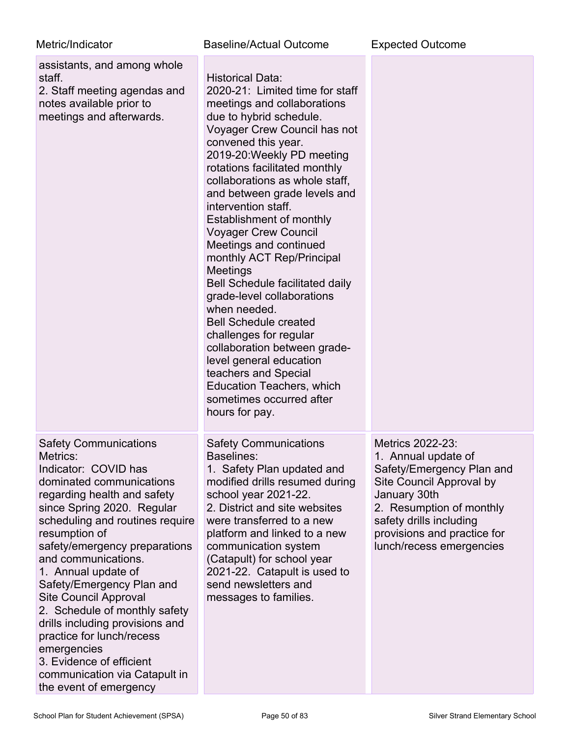| Metric/Indicator                                                                                                                                                                                                                                                                                                                                                                                                                                                                                                                                                 | <b>Baseline/Actual Outcome</b>                                                                                                                                                                                                                                                                                                                                                                                                                                                                                                                                                                                                                                                                                                                                                    | <b>Expected Outcome</b>                                                                                                                                                                                                            |
|------------------------------------------------------------------------------------------------------------------------------------------------------------------------------------------------------------------------------------------------------------------------------------------------------------------------------------------------------------------------------------------------------------------------------------------------------------------------------------------------------------------------------------------------------------------|-----------------------------------------------------------------------------------------------------------------------------------------------------------------------------------------------------------------------------------------------------------------------------------------------------------------------------------------------------------------------------------------------------------------------------------------------------------------------------------------------------------------------------------------------------------------------------------------------------------------------------------------------------------------------------------------------------------------------------------------------------------------------------------|------------------------------------------------------------------------------------------------------------------------------------------------------------------------------------------------------------------------------------|
| assistants, and among whole<br>staff.<br>2. Staff meeting agendas and<br>notes available prior to<br>meetings and afterwards.                                                                                                                                                                                                                                                                                                                                                                                                                                    | Historical Data:<br>2020-21: Limited time for staff<br>meetings and collaborations<br>due to hybrid schedule.<br>Voyager Crew Council has not<br>convened this year.<br>2019-20: Weekly PD meeting<br>rotations facilitated monthly<br>collaborations as whole staff,<br>and between grade levels and<br>intervention staff.<br>Establishment of monthly<br><b>Voyager Crew Council</b><br>Meetings and continued<br>monthly ACT Rep/Principal<br>Meetings<br><b>Bell Schedule facilitated daily</b><br>grade-level collaborations<br>when needed.<br><b>Bell Schedule created</b><br>challenges for regular<br>collaboration between grade-<br>level general education<br>teachers and Special<br><b>Education Teachers, which</b><br>sometimes occurred after<br>hours for pay. |                                                                                                                                                                                                                                    |
| <b>Safety Communications</b><br>Metrics:<br>Indicator: COVID has<br>dominated communications<br>regarding health and safety<br>since Spring 2020. Regular<br>scheduling and routines require<br>resumption of<br>safety/emergency preparations<br>and communications.<br>1. Annual update of<br>Safety/Emergency Plan and<br><b>Site Council Approval</b><br>2. Schedule of monthly safety<br>drills including provisions and<br>practice for lunch/recess<br>emergencies<br>3. Evidence of efficient<br>communication via Catapult in<br>the event of emergency | <b>Safety Communications</b><br><b>Baselines:</b><br>1. Safety Plan updated and<br>modified drills resumed during<br>school year 2021-22.<br>2. District and site websites<br>were transferred to a new<br>platform and linked to a new<br>communication system<br>(Catapult) for school year<br>2021-22. Catapult is used to<br>send newsletters and<br>messages to families.                                                                                                                                                                                                                                                                                                                                                                                                    | Metrics 2022-23:<br>1. Annual update of<br>Safety/Emergency Plan and<br>Site Council Approval by<br>January 30th<br>2. Resumption of monthly<br>safety drills including<br>provisions and practice for<br>lunch/recess emergencies |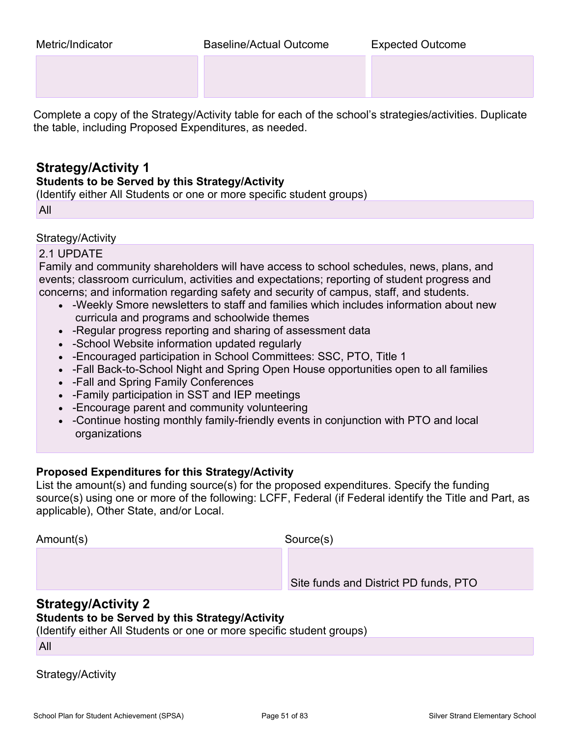Complete a copy of the Strategy/Activity table for each of the school's strategies/activities. Duplicate the table, including Proposed Expenditures, as needed.

### **Strategy/Activity 1**

#### **Students to be Served by this Strategy/Activity**

(Identify either All Students or one or more specific student groups)

All

### Strategy/Activity

### 2.1 UPDATE

Family and community shareholders will have access to school schedules, news, plans, and events; classroom curriculum, activities and expectations; reporting of student progress and concerns; and information regarding safety and security of campus, staff, and students.

- -Weekly Smore newsletters to staff and families which includes information about new curricula and programs and schoolwide themes
- -Regular progress reporting and sharing of assessment data
- -School Website information updated regularly
- -Encouraged participation in School Committees: SSC, PTO, Title 1
- -Fall Back-to-School Night and Spring Open House opportunities open to all families
- -Fall and Spring Family Conferences
- -Family participation in SST and IEP meetings
- -Encourage parent and community volunteering
- -Continue hosting monthly family-friendly events in conjunction with PTO and local organizations

### **Proposed Expenditures for this Strategy/Activity**

List the amount(s) and funding source(s) for the proposed expenditures. Specify the funding source(s) using one or more of the following: LCFF, Federal (if Federal identify the Title and Part, as applicable), Other State, and/or Local.

Amount(s) Source(s)

Site funds and District PD funds, PTO

### **Strategy/Activity 2**

### **Students to be Served by this Strategy/Activity**

(Identify either All Students or one or more specific student groups)

All

Strategy/Activity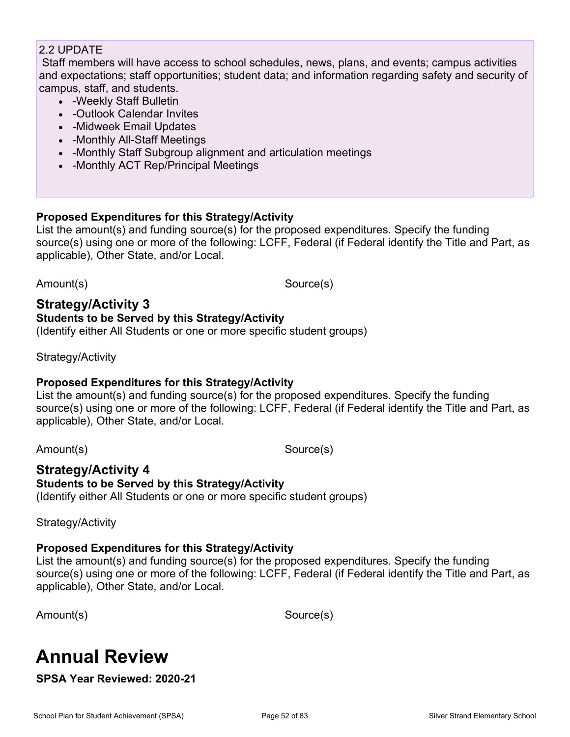### 2.2 UPDATE

 Staff members will have access to school schedules, news, plans, and events; campus activities and expectations; staff opportunities; student data; and information regarding safety and security of campus, staff, and students.

- -Weekly Staff Bulletin
- -Outlook Calendar Invites
- -Midweek Email Updates
- -Monthly All-Staff Meetings
- -Monthly Staff Subgroup alignment and articulation meetings
- -Monthly ACT Rep/Principal Meetings

### **Proposed Expenditures for this Strategy/Activity**

List the amount(s) and funding source(s) for the proposed expenditures. Specify the funding source(s) using one or more of the following: LCFF, Federal (if Federal identify the Title and Part, as applicable), Other State, and/or Local.

Amount(s) Source(s)

### **Strategy/Activity 3 Students to be Served by this Strategy/Activity**

(Identify either All Students or one or more specific student groups)

Strategy/Activity

### **Proposed Expenditures for this Strategy/Activity**

List the amount(s) and funding source(s) for the proposed expenditures. Specify the funding source(s) using one or more of the following: LCFF, Federal (if Federal identify the Title and Part, as applicable), Other State, and/or Local.

Amount(s) Source(s)

### **Strategy/Activity 4**

**Students to be Served by this Strategy/Activity** (Identify either All Students or one or more specific student groups)

Strategy/Activity

### **Proposed Expenditures for this Strategy/Activity**

List the amount(s) and funding source(s) for the proposed expenditures. Specify the funding source(s) using one or more of the following: LCFF, Federal (if Federal identify the Title and Part, as applicable), Other State, and/or Local.

Amount(s) Source(s)

## **Annual Review**

**SPSA Year Reviewed: 2020-21**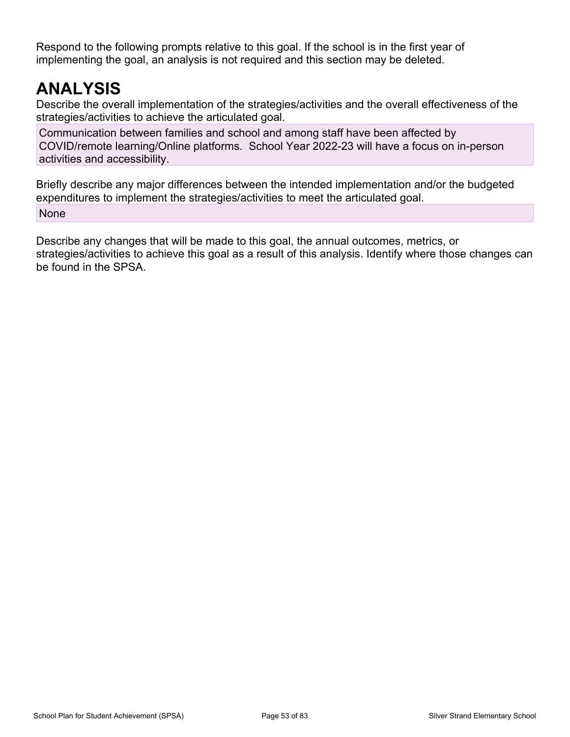Respond to the following prompts relative to this goal. If the school is in the first year of implementing the goal, an analysis is not required and this section may be deleted.

## **ANALYSIS**

Describe the overall implementation of the strategies/activities and the overall effectiveness of the strategies/activities to achieve the articulated goal.

Communication between families and school and among staff have been affected by COVID/remote learning/Online platforms. School Year 2022-23 will have a focus on in-person activities and accessibility.

Briefly describe any major differences between the intended implementation and/or the budgeted expenditures to implement the strategies/activities to meet the articulated goal. None

Describe any changes that will be made to this goal, the annual outcomes, metrics, or strategies/activities to achieve this goal as a result of this analysis. Identify where those changes can be found in the SPSA.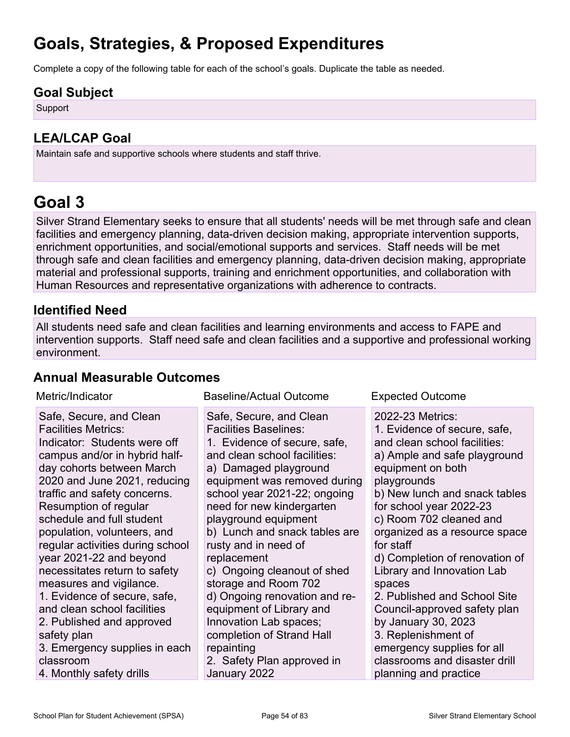## **Goals, Strategies, & Proposed Expenditures**

Complete a copy of the following table for each of the school's goals. Duplicate the table as needed.

### **Goal Subject**

**Support** 

## **LEA/LCAP Goal**

Maintain safe and supportive schools where students and staff thrive.

## **Goal 3**

Silver Strand Elementary seeks to ensure that all students' needs will be met through safe and clean facilities and emergency planning, data-driven decision making, appropriate intervention supports, enrichment opportunities, and social/emotional supports and services. Staff needs will be met through safe and clean facilities and emergency planning, data-driven decision making, appropriate material and professional supports, training and enrichment opportunities, and collaboration with Human Resources and representative organizations with adherence to contracts.

## **Identified Need**

All students need safe and clean facilities and learning environments and access to FAPE and intervention supports. Staff need safe and clean facilities and a supportive and professional working environment.

### **Annual Measurable Outcomes**

| Metric/Indicator                                                                                                                                                                                                                                                                                                                                                                                                                                                                                                                                                                                                         | <b>Baseline/Actual Outcome</b>                                                                                                                                                                                                                                                                                                                                                                                                                                                                                                                                                       | <b>Expected Outcome</b>                                                                                                                                                                                                                                                                                                                                                                                                                                                                                                                                                   |
|--------------------------------------------------------------------------------------------------------------------------------------------------------------------------------------------------------------------------------------------------------------------------------------------------------------------------------------------------------------------------------------------------------------------------------------------------------------------------------------------------------------------------------------------------------------------------------------------------------------------------|--------------------------------------------------------------------------------------------------------------------------------------------------------------------------------------------------------------------------------------------------------------------------------------------------------------------------------------------------------------------------------------------------------------------------------------------------------------------------------------------------------------------------------------------------------------------------------------|---------------------------------------------------------------------------------------------------------------------------------------------------------------------------------------------------------------------------------------------------------------------------------------------------------------------------------------------------------------------------------------------------------------------------------------------------------------------------------------------------------------------------------------------------------------------------|
| Safe, Secure, and Clean<br><b>Facilities Metrics:</b><br>Indicator: Students were off<br>campus and/or in hybrid half-<br>day cohorts between March<br>2020 and June 2021, reducing<br>traffic and safety concerns.<br>Resumption of regular<br>schedule and full student<br>population, volunteers, and<br>regular activities during school<br>year 2021-22 and beyond<br>necessitates return to safety<br>measures and vigilance.<br>1. Evidence of secure, safe,<br>and clean school facilities<br>2. Published and approved<br>safety plan<br>3. Emergency supplies in each<br>classroom<br>4. Monthly safety drills | Safe, Secure, and Clean<br><b>Facilities Baselines:</b><br>1. Evidence of secure, safe,<br>and clean school facilities:<br>a) Damaged playground<br>equipment was removed during<br>school year 2021-22; ongoing<br>need for new kindergarten<br>playground equipment<br>b) Lunch and snack tables are<br>rusty and in need of<br>replacement<br>c) Ongoing cleanout of shed<br>storage and Room 702<br>d) Ongoing renovation and re-<br>equipment of Library and<br>Innovation Lab spaces;<br>completion of Strand Hall<br>repainting<br>2. Safety Plan approved in<br>January 2022 | 2022-23 Metrics:<br>1. Evidence of secure, safe,<br>and clean school facilities:<br>a) Ample and safe playground<br>equipment on both<br>playgrounds<br>b) New lunch and snack tables<br>for school year 2022-23<br>c) Room 702 cleaned and<br>organized as a resource space<br>for staff<br>d) Completion of renovation of<br>Library and Innovation Lab<br>spaces<br>2. Published and School Site<br>Council-approved safety plan<br>by January 30, 2023<br>3. Replenishment of<br>emergency supplies for all<br>classrooms and disaster drill<br>planning and practice |
|                                                                                                                                                                                                                                                                                                                                                                                                                                                                                                                                                                                                                          |                                                                                                                                                                                                                                                                                                                                                                                                                                                                                                                                                                                      |                                                                                                                                                                                                                                                                                                                                                                                                                                                                                                                                                                           |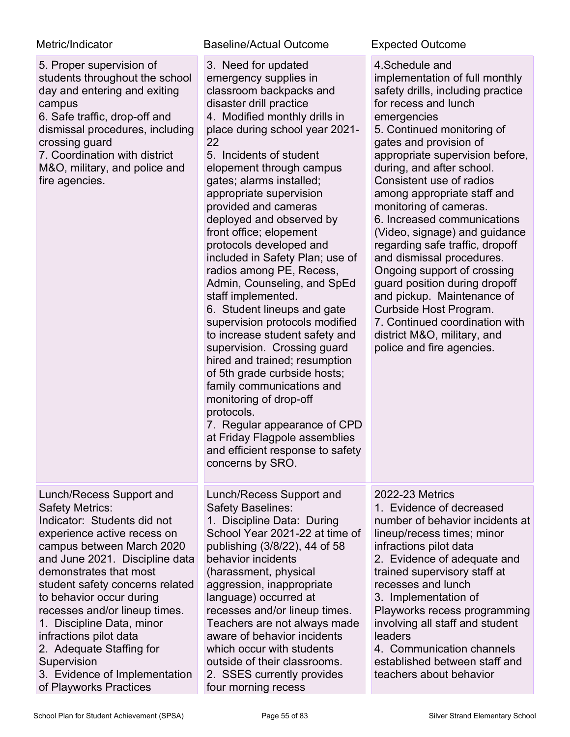| Metric/Indicator                                                                                                                                                                                                                                                                                                                                                                                                                                                       | <b>Baseline/Actual Outcome</b>                                                                                                                                                                                                                                                                                                                                                                                                                                                                                                                                                                                                                                                                                                                                                                                                                                                                                           | <b>Expected Outcome</b>                                                                                                                                                                                                                                                                                                                                                                                                                                                                                                                                                                                                                                                                          |
|------------------------------------------------------------------------------------------------------------------------------------------------------------------------------------------------------------------------------------------------------------------------------------------------------------------------------------------------------------------------------------------------------------------------------------------------------------------------|--------------------------------------------------------------------------------------------------------------------------------------------------------------------------------------------------------------------------------------------------------------------------------------------------------------------------------------------------------------------------------------------------------------------------------------------------------------------------------------------------------------------------------------------------------------------------------------------------------------------------------------------------------------------------------------------------------------------------------------------------------------------------------------------------------------------------------------------------------------------------------------------------------------------------|--------------------------------------------------------------------------------------------------------------------------------------------------------------------------------------------------------------------------------------------------------------------------------------------------------------------------------------------------------------------------------------------------------------------------------------------------------------------------------------------------------------------------------------------------------------------------------------------------------------------------------------------------------------------------------------------------|
| 5. Proper supervision of<br>students throughout the school<br>day and entering and exiting<br>campus<br>6. Safe traffic, drop-off and<br>dismissal procedures, including<br>crossing guard<br>7. Coordination with district<br>M&O, military, and police and<br>fire agencies.                                                                                                                                                                                         | 3. Need for updated<br>emergency supplies in<br>classroom backpacks and<br>disaster drill practice<br>4. Modified monthly drills in<br>place during school year 2021-<br>22<br>5. Incidents of student<br>elopement through campus<br>gates; alarms installed;<br>appropriate supervision<br>provided and cameras<br>deployed and observed by<br>front office; elopement<br>protocols developed and<br>included in Safety Plan; use of<br>radios among PE, Recess,<br>Admin, Counseling, and SpEd<br>staff implemented.<br>6. Student lineups and gate<br>supervision protocols modified<br>to increase student safety and<br>supervision. Crossing guard<br>hired and trained; resumption<br>of 5th grade curbside hosts;<br>family communications and<br>monitoring of drop-off<br>protocols.<br>7. Regular appearance of CPD<br>at Friday Flagpole assemblies<br>and efficient response to safety<br>concerns by SRO. | 4. Schedule and<br>implementation of full monthly<br>safety drills, including practice<br>for recess and lunch<br>emergencies<br>5. Continued monitoring of<br>gates and provision of<br>appropriate supervision before,<br>during, and after school.<br>Consistent use of radios<br>among appropriate staff and<br>monitoring of cameras.<br>6. Increased communications<br>(Video, signage) and guidance<br>regarding safe traffic, dropoff<br>and dismissal procedures.<br>Ongoing support of crossing<br>guard position during dropoff<br>and pickup. Maintenance of<br>Curbside Host Program.<br>7. Continued coordination with<br>district M&O, military, and<br>police and fire agencies. |
| Lunch/Recess Support and<br><b>Safety Metrics:</b><br>Indicator: Students did not<br>experience active recess on<br>campus between March 2020<br>and June 2021. Discipline data<br>demonstrates that most<br>student safety concerns related<br>to behavior occur during<br>recesses and/or lineup times.<br>1. Discipline Data, minor<br>infractions pilot data<br>2. Adequate Staffing for<br>Supervision<br>3. Evidence of Implementation<br>of Playworks Practices | Lunch/Recess Support and<br>Safety Baselines:<br>1. Discipline Data: During<br>School Year 2021-22 at time of<br>publishing (3/8/22), 44 of 58<br>behavior incidents<br>(harassment, physical<br>aggression, inappropriate<br>language) occurred at<br>recesses and/or lineup times.<br>Teachers are not always made<br>aware of behavior incidents<br>which occur with students<br>outside of their classrooms.<br>2. SSES currently provides<br>four morning recess                                                                                                                                                                                                                                                                                                                                                                                                                                                    | 2022-23 Metrics<br>1. Evidence of decreased<br>number of behavior incidents at<br>lineup/recess times; minor<br>infractions pilot data<br>2. Evidence of adequate and<br>trained supervisory staff at<br>recesses and lunch<br>3. Implementation of<br>Playworks recess programming<br>involving all staff and student<br>leaders<br>4. Communication channels<br>established between staff and<br>teachers about behavior                                                                                                                                                                                                                                                                       |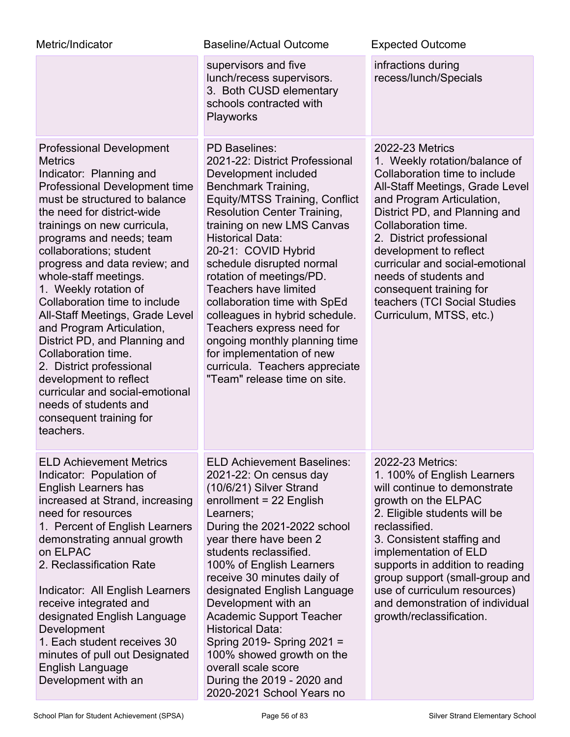| Metric/Indicator                                                                                                                                                                                                                                                                                                                                                                                                                                                                                                                                                                                                                                                         | <b>Baseline/Actual Outcome</b>                                                                                                                                                                                                                                                                                                                                                                                                                                                                                                                                                        | <b>Expected Outcome</b>                                                                                                                                                                                                                                                                                                                                                                                                  |
|--------------------------------------------------------------------------------------------------------------------------------------------------------------------------------------------------------------------------------------------------------------------------------------------------------------------------------------------------------------------------------------------------------------------------------------------------------------------------------------------------------------------------------------------------------------------------------------------------------------------------------------------------------------------------|---------------------------------------------------------------------------------------------------------------------------------------------------------------------------------------------------------------------------------------------------------------------------------------------------------------------------------------------------------------------------------------------------------------------------------------------------------------------------------------------------------------------------------------------------------------------------------------|--------------------------------------------------------------------------------------------------------------------------------------------------------------------------------------------------------------------------------------------------------------------------------------------------------------------------------------------------------------------------------------------------------------------------|
|                                                                                                                                                                                                                                                                                                                                                                                                                                                                                                                                                                                                                                                                          | supervisors and five<br>lunch/recess supervisors.<br>3. Both CUSD elementary<br>schools contracted with<br>Playworks                                                                                                                                                                                                                                                                                                                                                                                                                                                                  | infractions during<br>recess/lunch/Specials                                                                                                                                                                                                                                                                                                                                                                              |
| <b>Professional Development</b><br><b>Metrics</b><br>Indicator: Planning and<br>Professional Development time<br>must be structured to balance<br>the need for district-wide<br>trainings on new curricula,<br>programs and needs; team<br>collaborations; student<br>progress and data review; and<br>whole-staff meetings.<br>1. Weekly rotation of<br>Collaboration time to include<br>All-Staff Meetings, Grade Level<br>and Program Articulation,<br>District PD, and Planning and<br>Collaboration time.<br>2. District professional<br>development to reflect<br>curricular and social-emotional<br>needs of students and<br>consequent training for<br>teachers. | <b>PD Baselines:</b><br>2021-22: District Professional<br>Development included<br>Benchmark Training,<br>Equity/MTSS Training, Conflict<br><b>Resolution Center Training,</b><br>training on new LMS Canvas<br><b>Historical Data:</b><br>20-21: COVID Hybrid<br>schedule disrupted normal<br>rotation of meetings/PD.<br><b>Teachers have limited</b><br>collaboration time with SpEd<br>colleagues in hybrid schedule.<br>Teachers express need for<br>ongoing monthly planning time<br>for implementation of new<br>curricula. Teachers appreciate<br>"Team" release time on site. | <b>2022-23 Metrics</b><br>1. Weekly rotation/balance of<br>Collaboration time to include<br>All-Staff Meetings, Grade Level<br>and Program Articulation,<br>District PD, and Planning and<br>Collaboration time.<br>2. District professional<br>development to reflect<br>curricular and social-emotional<br>needs of students and<br>consequent training for<br>teachers (TCI Social Studies<br>Curriculum, MTSS, etc.) |
| <b>ELD Achievement Metrics</b><br>Indicator: Population of<br><b>English Learners has</b><br>increased at Strand, increasing<br>need for resources<br>1. Percent of English Learners<br>demonstrating annual growth<br>on ELPAC<br>2. Reclassification Rate<br>Indicator: All English Learners<br>receive integrated and<br>designated English Language<br>Development<br>1. Each student receives 30<br>minutes of pull out Designated<br>English Language<br>Development with an                                                                                                                                                                                       | <b>ELD Achievement Baselines:</b><br>2021-22: On census day<br>(10/6/21) Silver Strand<br>enrollment = 22 English<br>Learners;<br>During the 2021-2022 school<br>year there have been 2<br>students reclassified.<br>100% of English Learners<br>receive 30 minutes daily of<br>designated English Language<br>Development with an<br><b>Academic Support Teacher</b><br><b>Historical Data:</b><br>Spring 2019- Spring 2021 =<br>100% showed growth on the<br>overall scale score<br>During the 2019 - 2020 and<br>2020-2021 School Years no                                         | 2022-23 Metrics:<br>1. 100% of English Learners<br>will continue to demonstrate<br>growth on the ELPAC<br>2. Eligible students will be<br>reclassified.<br>3. Consistent staffing and<br>implementation of ELD<br>supports in addition to reading<br>group support (small-group and<br>use of curriculum resources)<br>and demonstration of individual<br>growth/reclassification.                                       |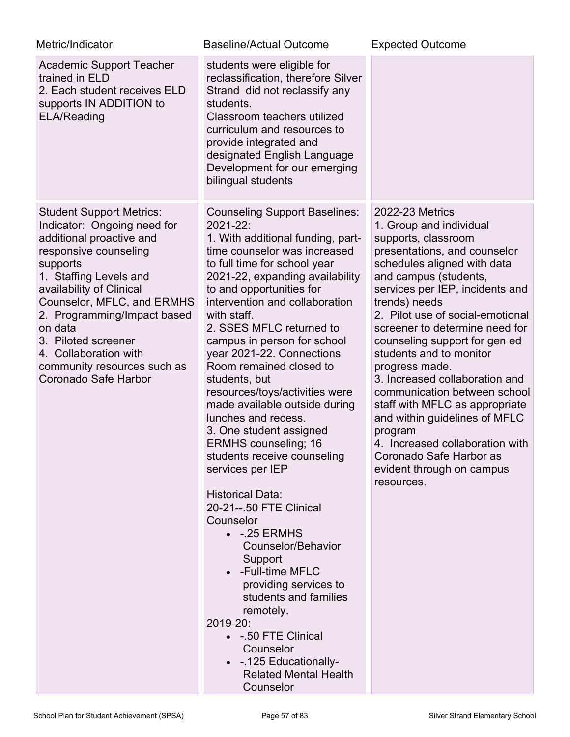| Metric/Indicator                                                                                                                                                                                                                                                                                                                                                     | <b>Baseline/Actual Outcome</b>                                                                                                                                                                                                                                                                                                                                                                                                                                                                                                                                                                                                                                                                                                                                                                                                                                                                                                                        | <b>Expected Outcome</b>                                                                                                                                                                                                                                                                                                                                                                                                                                                                                                                                                                                                           |
|----------------------------------------------------------------------------------------------------------------------------------------------------------------------------------------------------------------------------------------------------------------------------------------------------------------------------------------------------------------------|-------------------------------------------------------------------------------------------------------------------------------------------------------------------------------------------------------------------------------------------------------------------------------------------------------------------------------------------------------------------------------------------------------------------------------------------------------------------------------------------------------------------------------------------------------------------------------------------------------------------------------------------------------------------------------------------------------------------------------------------------------------------------------------------------------------------------------------------------------------------------------------------------------------------------------------------------------|-----------------------------------------------------------------------------------------------------------------------------------------------------------------------------------------------------------------------------------------------------------------------------------------------------------------------------------------------------------------------------------------------------------------------------------------------------------------------------------------------------------------------------------------------------------------------------------------------------------------------------------|
| <b>Academic Support Teacher</b><br>trained in ELD<br>2. Each student receives ELD<br>supports IN ADDITION to<br><b>ELA/Reading</b>                                                                                                                                                                                                                                   | students were eligible for<br>reclassification, therefore Silver<br>Strand did not reclassify any<br>students.<br>Classroom teachers utilized<br>curriculum and resources to<br>provide integrated and<br>designated English Language<br>Development for our emerging<br>bilingual students                                                                                                                                                                                                                                                                                                                                                                                                                                                                                                                                                                                                                                                           |                                                                                                                                                                                                                                                                                                                                                                                                                                                                                                                                                                                                                                   |
| <b>Student Support Metrics:</b><br>Indicator: Ongoing need for<br>additional proactive and<br>responsive counseling<br>supports<br>1. Staffing Levels and<br>availability of Clinical<br>Counselor, MFLC, and ERMHS<br>2. Programming/Impact based<br>on data<br>3. Piloted screener<br>4. Collaboration with<br>community resources such as<br>Coronado Safe Harbor | <b>Counseling Support Baselines:</b><br>2021-22:<br>1. With additional funding, part-<br>time counselor was increased<br>to full time for school year<br>2021-22, expanding availability<br>to and opportunities for<br>intervention and collaboration<br>with staff.<br>2. SSES MFLC returned to<br>campus in person for school<br>year 2021-22. Connections<br>Room remained closed to<br>students, but<br>resources/toys/activities were<br>made available outside during<br>lunches and recess.<br>3. One student assigned<br><b>ERMHS</b> counseling; 16<br>students receive counseling<br>services per IEP<br><b>Historical Data:</b><br>20-21--.50 FTE Clinical<br>Counselor<br>$\bullet$ -.25 ERMHS<br>Counselor/Behavior<br>Support<br>-Full-time MFLC<br>providing services to<br>students and families<br>remotely.<br>2019-20:<br>• - 50 FTE Clinical<br>Counselor<br>• - 125 Educationally-<br><b>Related Mental Health</b><br>Counselor | <b>2022-23 Metrics</b><br>1. Group and individual<br>supports, classroom<br>presentations, and counselor<br>schedules aligned with data<br>and campus (students,<br>services per IEP, incidents and<br>trends) needs<br>2. Pilot use of social-emotional<br>screener to determine need for<br>counseling support for gen ed<br>students and to monitor<br>progress made.<br>3. Increased collaboration and<br>communication between school<br>staff with MFLC as appropriate<br>and within guidelines of MFLC<br>program<br>4. Increased collaboration with<br>Coronado Safe Harbor as<br>evident through on campus<br>resources. |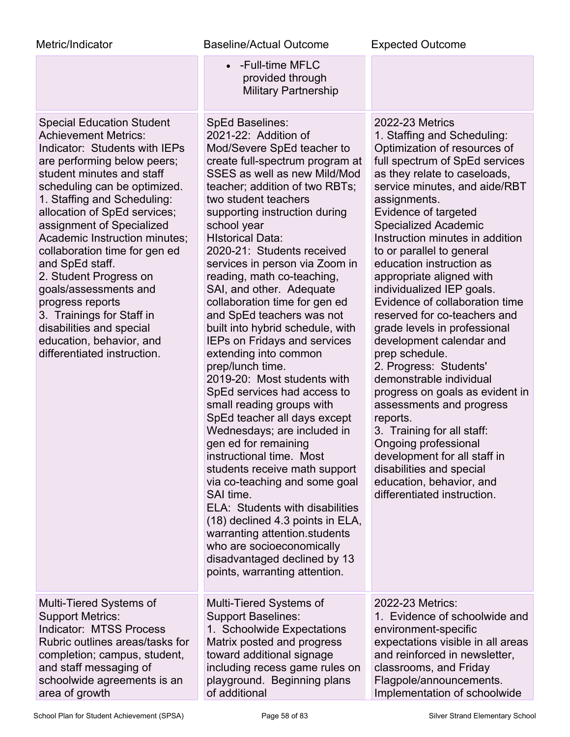| Metric/Indicator                                                                                                                                                                                                                                                                                                                                                                                                                                                                                                                                                         | <b>Baseline/Actual Outcome</b>                                                                                                                                                                                                                                                                                                                                                                                                                                                                                                                                                                                                                                                                                                                                                                                                                                                                                                                                                                                                                                                                          | <b>Expected Outcome</b>                                                                                                                                                                                                                                                                                                                                                                                                                                                                                                                                                                                                                                                                                                                                                                                                                                                           |
|--------------------------------------------------------------------------------------------------------------------------------------------------------------------------------------------------------------------------------------------------------------------------------------------------------------------------------------------------------------------------------------------------------------------------------------------------------------------------------------------------------------------------------------------------------------------------|---------------------------------------------------------------------------------------------------------------------------------------------------------------------------------------------------------------------------------------------------------------------------------------------------------------------------------------------------------------------------------------------------------------------------------------------------------------------------------------------------------------------------------------------------------------------------------------------------------------------------------------------------------------------------------------------------------------------------------------------------------------------------------------------------------------------------------------------------------------------------------------------------------------------------------------------------------------------------------------------------------------------------------------------------------------------------------------------------------|-----------------------------------------------------------------------------------------------------------------------------------------------------------------------------------------------------------------------------------------------------------------------------------------------------------------------------------------------------------------------------------------------------------------------------------------------------------------------------------------------------------------------------------------------------------------------------------------------------------------------------------------------------------------------------------------------------------------------------------------------------------------------------------------------------------------------------------------------------------------------------------|
|                                                                                                                                                                                                                                                                                                                                                                                                                                                                                                                                                                          | -Full-time MFLC<br>$\bullet$<br>provided through<br><b>Military Partnership</b>                                                                                                                                                                                                                                                                                                                                                                                                                                                                                                                                                                                                                                                                                                                                                                                                                                                                                                                                                                                                                         |                                                                                                                                                                                                                                                                                                                                                                                                                                                                                                                                                                                                                                                                                                                                                                                                                                                                                   |
| <b>Special Education Student</b><br><b>Achievement Metrics:</b><br>Indicator: Students with IEPs<br>are performing below peers;<br>student minutes and staff<br>scheduling can be optimized.<br>1. Staffing and Scheduling:<br>allocation of SpEd services;<br>assignment of Specialized<br>Academic Instruction minutes;<br>collaboration time for gen ed<br>and SpEd staff.<br>2. Student Progress on<br>goals/assessments and<br>progress reports<br>3. Trainings for Staff in<br>disabilities and special<br>education, behavior, and<br>differentiated instruction. | <b>SpEd Baselines:</b><br>2021-22: Addition of<br>Mod/Severe SpEd teacher to<br>create full-spectrum program at<br>SSES as well as new Mild/Mod<br>teacher; addition of two RBTs;<br>two student teachers<br>supporting instruction during<br>school year<br><b>HIstorical Data:</b><br>2020-21: Students received<br>services in person via Zoom in<br>reading, math co-teaching,<br>SAI, and other. Adequate<br>collaboration time for gen ed<br>and SpEd teachers was not<br>built into hybrid schedule, with<br><b>IEPs on Fridays and services</b><br>extending into common<br>prep/lunch time.<br>2019-20: Most students with<br>SpEd services had access to<br>small reading groups with<br>SpEd teacher all days except<br>Wednesdays; are included in<br>gen ed for remaining<br>instructional time. Most<br>students receive math support<br>via co-teaching and some goal<br>SAI time.<br>ELA: Students with disabilities<br>(18) declined 4.3 points in ELA,<br>warranting attention students<br>who are socioeconomically<br>disadvantaged declined by 13<br>points, warranting attention. | <b>2022-23 Metrics</b><br>1. Staffing and Scheduling:<br>Optimization of resources of<br>full spectrum of SpEd services<br>as they relate to caseloads,<br>service minutes, and aide/RBT<br>assignments.<br>Evidence of targeted<br><b>Specialized Academic</b><br>Instruction minutes in addition<br>to or parallel to general<br>education instruction as<br>appropriate aligned with<br>individualized IEP goals.<br>Evidence of collaboration time<br>reserved for co-teachers and<br>grade levels in professional<br>development calendar and<br>prep schedule.<br>2. Progress: Students'<br>demonstrable individual<br>progress on goals as evident in<br>assessments and progress<br>reports.<br>3. Training for all staff:<br>Ongoing professional<br>development for all staff in<br>disabilities and special<br>education, behavior, and<br>differentiated instruction. |
| Multi-Tiered Systems of<br><b>Support Metrics:</b><br><b>Indicator: MTSS Process</b><br>Rubric outlines areas/tasks for<br>completion; campus, student,<br>and staff messaging of<br>schoolwide agreements is an<br>area of growth                                                                                                                                                                                                                                                                                                                                       | Multi-Tiered Systems of<br><b>Support Baselines:</b><br>1. Schoolwide Expectations<br>Matrix posted and progress<br>toward additional signage<br>including recess game rules on<br>playground. Beginning plans<br>of additional                                                                                                                                                                                                                                                                                                                                                                                                                                                                                                                                                                                                                                                                                                                                                                                                                                                                         | 2022-23 Metrics:<br>1. Evidence of schoolwide and<br>environment-specific<br>expectations visible in all areas<br>and reinforced in newsletter,<br>classrooms, and Friday<br>Flagpole/announcements.<br>Implementation of schoolwide                                                                                                                                                                                                                                                                                                                                                                                                                                                                                                                                                                                                                                              |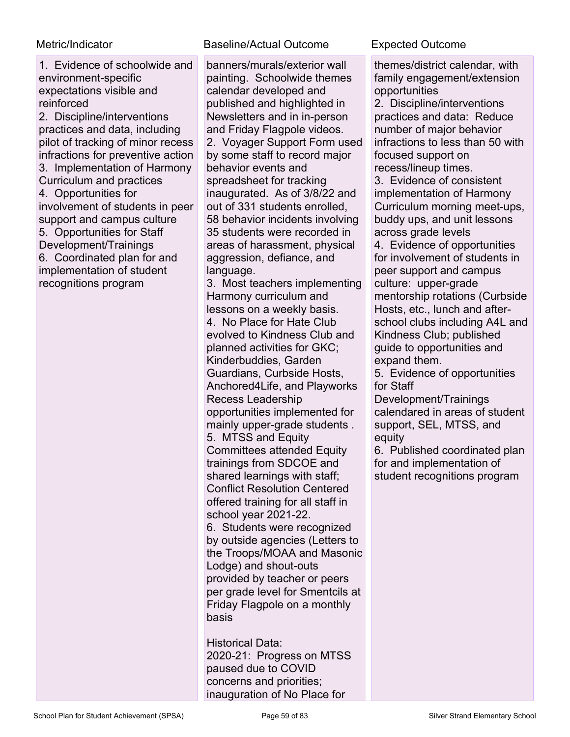1. Evidence of schoolwide and environment-specific expectations visible and reinforced

2. Discipline/interventions practices and data, including pilot of tracking of minor recess infractions for preventive action 3. Implementation of Harmony Curriculum and practices 4. Opportunities for involvement of students in peer support and campus culture 5. Opportunities for Staff Development/Trainings 6. Coordinated plan for and implementation of student recognitions program

### Metric/Indicator Baseline/Actual Outcome Expected Outcome

banners/murals/exterior wall painting. Schoolwide themes calendar developed and published and highlighted in Newsletters and in in-person and Friday Flagpole videos. 2. Voyager Support Form used by some staff to record major behavior events and spreadsheet for tracking inaugurated. As of 3/8/22 and out of 331 students enrolled, 58 behavior incidents involving 35 students were recorded in areas of harassment, physical aggression, defiance, and language.

3. Most teachers implementing Harmony curriculum and lessons on a weekly basis. 4. No Place for Hate Club evolved to Kindness Club and planned activities for GKC; Kinderbuddies, Garden Guardians, Curbside Hosts, Anchored4Life, and Playworks Recess Leadership opportunities implemented for mainly upper-grade students . 5. MTSS and Equity Committees attended Equity trainings from SDCOE and shared learnings with staff; Conflict Resolution Centered offered training for all staff in school year 2021-22. 6. Students were recognized by outside agencies (Letters to the Troops/MOAA and Masonic Lodge) and shout-outs provided by teacher or peers per grade level for Smentcils at Friday Flagpole on a monthly basis

Historical Data: 2020-21: Progress on MTSS paused due to COVID concerns and priorities; inauguration of No Place for

themes/district calendar, with family engagement/extension opportunities

2. Discipline/interventions practices and data: Reduce number of major behavior infractions to less than 50 with focused support on recess/lineup times.

3. Evidence of consistent implementation of Harmony Curriculum morning meet-ups, buddy ups, and unit lessons across grade levels

4. Evidence of opportunities for involvement of students in peer support and campus culture: upper-grade mentorship rotations (Curbside Hosts, etc., lunch and afterschool clubs including A4L and Kindness Club; published guide to opportunities and expand them.

5. Evidence of opportunities for Staff

Development/Trainings calendared in areas of student support, SEL, MTSS, and equity

6. Published coordinated plan for and implementation of student recognitions program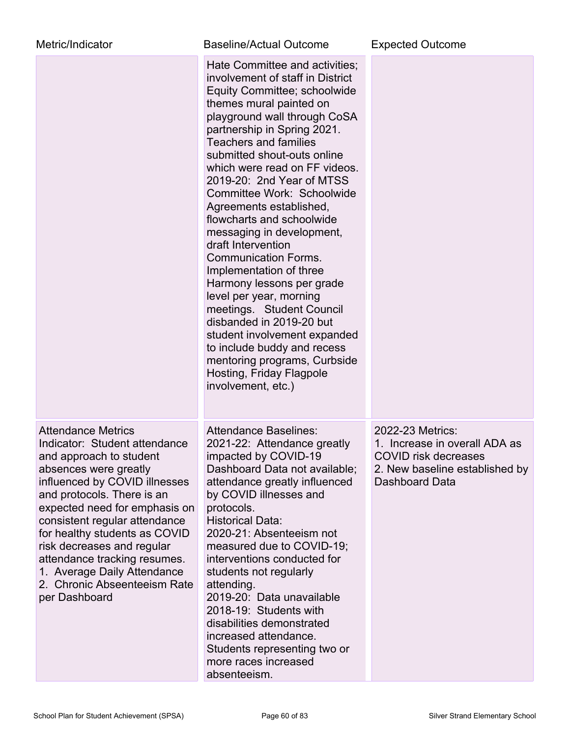| Metric/Indicator                                                                                                                                                                                                                                                                                                                                                                                                               | <b>Baseline/Actual Outcome</b>                                                                                                                                                                                                                                                                                                                                                                                                                                                                                                                                                                                                                                                                                                                                                                 | <b>Expected Outcome</b>                                                                                                              |
|--------------------------------------------------------------------------------------------------------------------------------------------------------------------------------------------------------------------------------------------------------------------------------------------------------------------------------------------------------------------------------------------------------------------------------|------------------------------------------------------------------------------------------------------------------------------------------------------------------------------------------------------------------------------------------------------------------------------------------------------------------------------------------------------------------------------------------------------------------------------------------------------------------------------------------------------------------------------------------------------------------------------------------------------------------------------------------------------------------------------------------------------------------------------------------------------------------------------------------------|--------------------------------------------------------------------------------------------------------------------------------------|
|                                                                                                                                                                                                                                                                                                                                                                                                                                | Hate Committee and activities;<br>involvement of staff in District<br>Equity Committee; schoolwide<br>themes mural painted on<br>playground wall through CoSA<br>partnership in Spring 2021.<br><b>Teachers and families</b><br>submitted shout-outs online<br>which were read on FF videos.<br>2019-20: 2nd Year of MTSS<br>Committee Work: Schoolwide<br>Agreements established,<br>flowcharts and schoolwide<br>messaging in development,<br>draft Intervention<br><b>Communication Forms.</b><br>Implementation of three<br>Harmony lessons per grade<br>level per year, morning<br>meetings. Student Council<br>disbanded in 2019-20 but<br>student involvement expanded<br>to include buddy and recess<br>mentoring programs, Curbside<br>Hosting, Friday Flagpole<br>involvement, etc.) |                                                                                                                                      |
| <b>Attendance Metrics</b><br>Indicator: Student attendance<br>and approach to student<br>absences were greatly<br>influenced by COVID illnesses<br>and protocols. There is an<br>expected need for emphasis on<br>consistent regular attendance<br>for healthy students as COVID<br>risk decreases and regular<br>attendance tracking resumes.<br>1. Average Daily Attendance<br>2. Chronic Abseenteeism Rate<br>per Dashboard | <b>Attendance Baselines:</b><br>2021-22: Attendance greatly<br>impacted by COVID-19<br>Dashboard Data not available;<br>attendance greatly influenced<br>by COVID illnesses and<br>protocols.<br><b>Historical Data:</b><br>2020-21: Absenteeism not<br>measured due to COVID-19;<br>interventions conducted for<br>students not regularly<br>attending.<br>2019-20: Data unavailable<br>2018-19: Students with<br>disabilities demonstrated<br>increased attendance.<br>Students representing two or<br>more races increased<br>absenteeism.                                                                                                                                                                                                                                                  | 2022-23 Metrics:<br>1. Increase in overall ADA as<br><b>COVID risk decreases</b><br>2. New baseline established by<br>Dashboard Data |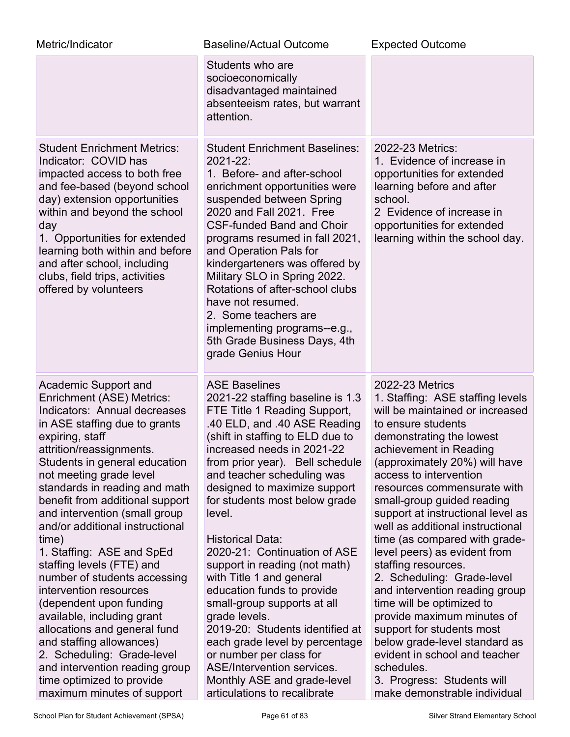| Metric/Indicator                                                                                                                                                                                                                                                                                                                                                                                                                                                                                                                                                                                                                                                                                                                                   | <b>Baseline/Actual Outcome</b>                                                                                                                                                                                                                                                                                                                                                                                                                                                                                                                                                                                                                                                                                                                   | <b>Expected Outcome</b>                                                                                                                                                                                                                                                                                                                                                                                                                                                                                                                                                                                                                                                                                                                                           |
|----------------------------------------------------------------------------------------------------------------------------------------------------------------------------------------------------------------------------------------------------------------------------------------------------------------------------------------------------------------------------------------------------------------------------------------------------------------------------------------------------------------------------------------------------------------------------------------------------------------------------------------------------------------------------------------------------------------------------------------------------|--------------------------------------------------------------------------------------------------------------------------------------------------------------------------------------------------------------------------------------------------------------------------------------------------------------------------------------------------------------------------------------------------------------------------------------------------------------------------------------------------------------------------------------------------------------------------------------------------------------------------------------------------------------------------------------------------------------------------------------------------|-------------------------------------------------------------------------------------------------------------------------------------------------------------------------------------------------------------------------------------------------------------------------------------------------------------------------------------------------------------------------------------------------------------------------------------------------------------------------------------------------------------------------------------------------------------------------------------------------------------------------------------------------------------------------------------------------------------------------------------------------------------------|
|                                                                                                                                                                                                                                                                                                                                                                                                                                                                                                                                                                                                                                                                                                                                                    | Students who are<br>socioeconomically<br>disadvantaged maintained<br>absenteeism rates, but warrant<br>attention.                                                                                                                                                                                                                                                                                                                                                                                                                                                                                                                                                                                                                                |                                                                                                                                                                                                                                                                                                                                                                                                                                                                                                                                                                                                                                                                                                                                                                   |
| <b>Student Enrichment Metrics:</b><br>Indicator: COVID has<br>impacted access to both free<br>and fee-based (beyond school<br>day) extension opportunities<br>within and beyond the school<br>day<br>1. Opportunities for extended<br>learning both within and before<br>and after school, including<br>clubs, field trips, activities<br>offered by volunteers                                                                                                                                                                                                                                                                                                                                                                                    | <b>Student Enrichment Baselines:</b><br>2021-22:<br>1. Before- and after-school<br>enrichment opportunities were<br>suspended between Spring<br>2020 and Fall 2021. Free<br><b>CSF-funded Band and Choir</b><br>programs resumed in fall 2021,<br>and Operation Pals for<br>kindergarteners was offered by<br>Military SLO in Spring 2022.<br>Rotations of after-school clubs<br>have not resumed.<br>2. Some teachers are<br>implementing programs--e.g.,<br>5th Grade Business Days, 4th<br>grade Genius Hour                                                                                                                                                                                                                                  | 2022-23 Metrics:<br>1. Evidence of increase in<br>opportunities for extended<br>learning before and after<br>school.<br>2 Evidence of increase in<br>opportunities for extended<br>learning within the school day.                                                                                                                                                                                                                                                                                                                                                                                                                                                                                                                                                |
| Academic Support and<br>Enrichment (ASE) Metrics:<br>Indicators: Annual decreases<br>in ASE staffing due to grants<br>expiring, staff<br>attrition/reassignments.<br>Students in general education<br>not meeting grade level<br>standards in reading and math<br>benefit from additional support<br>and intervention (small group<br>and/or additional instructional<br>time)<br>1. Staffing: ASE and SpEd<br>staffing levels (FTE) and<br>number of students accessing<br>intervention resources<br>(dependent upon funding<br>available, including grant<br>allocations and general fund<br>and staffing allowances)<br>2. Scheduling: Grade-level<br>and intervention reading group<br>time optimized to provide<br>maximum minutes of support | <b>ASE Baselines</b><br>2021-22 staffing baseline is 1.3<br>FTE Title 1 Reading Support,<br>.40 ELD, and .40 ASE Reading<br>(shift in staffing to ELD due to<br>increased needs in 2021-22<br>from prior year). Bell schedule<br>and teacher scheduling was<br>designed to maximize support<br>for students most below grade<br>level.<br><b>Historical Data:</b><br>2020-21: Continuation of ASE<br>support in reading (not math)<br>with Title 1 and general<br>education funds to provide<br>small-group supports at all<br>grade levels.<br>2019-20: Students identified at<br>each grade level by percentage<br>or number per class for<br><b>ASE/Intervention services.</b><br>Monthly ASE and grade-level<br>articulations to recalibrate | 2022-23 Metrics<br>1. Staffing: ASE staffing levels<br>will be maintained or increased<br>to ensure students<br>demonstrating the lowest<br>achievement in Reading<br>(approximately 20%) will have<br>access to intervention<br>resources commensurate with<br>small-group guided reading<br>support at instructional level as<br>well as additional instructional<br>time (as compared with grade-<br>level peers) as evident from<br>staffing resources.<br>2. Scheduling: Grade-level<br>and intervention reading group<br>time will be optimized to<br>provide maximum minutes of<br>support for students most<br>below grade-level standard as<br>evident in school and teacher<br>schedules.<br>3. Progress: Students will<br>make demonstrable individual |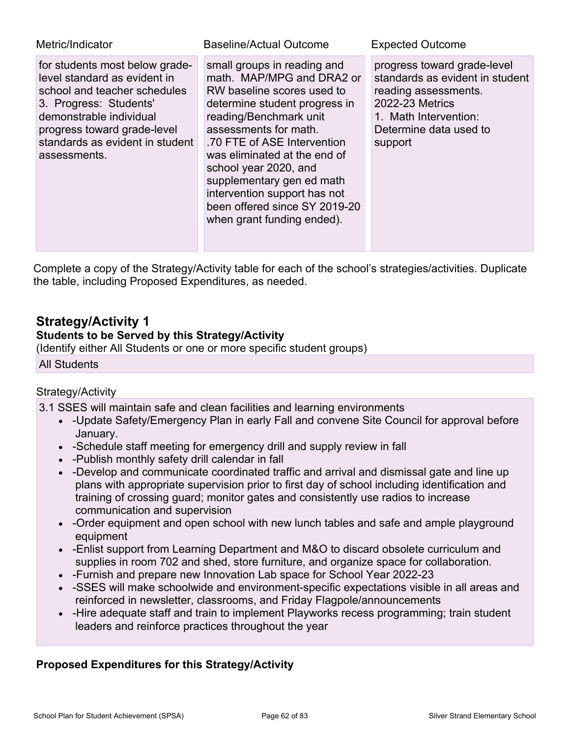| Metric/Indicator                                                                                                                                                                                                                      | Baseline/Actual Outcome                                                                                                                                                                                                                                                                                                                                                                        | <b>Expected Outcome</b>                                                                                                                                                 |
|---------------------------------------------------------------------------------------------------------------------------------------------------------------------------------------------------------------------------------------|------------------------------------------------------------------------------------------------------------------------------------------------------------------------------------------------------------------------------------------------------------------------------------------------------------------------------------------------------------------------------------------------|-------------------------------------------------------------------------------------------------------------------------------------------------------------------------|
| for students most below grade-<br>level standard as evident in<br>school and teacher schedules<br>3. Progress: Students'<br>demonstrable individual<br>progress toward grade-level<br>standards as evident in student<br>assessments. | small groups in reading and<br>math. MAP/MPG and DRA2 or<br>RW baseline scores used to<br>determine student progress in<br>reading/Benchmark unit<br>assessments for math.<br>.70 FTE of ASE Intervention<br>was eliminated at the end of<br>school year 2020, and<br>supplementary gen ed math<br>intervention support has not<br>been offered since SY 2019-20<br>when grant funding ended). | progress toward grade-level<br>standards as evident in student<br>reading assessments.<br>2022-23 Metrics<br>1. Math Intervention:<br>Determine data used to<br>support |

Complete a copy of the Strategy/Activity table for each of the school's strategies/activities. Duplicate the table, including Proposed Expenditures, as needed.

## **Strategy/Activity 1**

### **Students to be Served by this Strategy/Activity**

(Identify either All Students or one or more specific student groups)

All Students

### Strategy/Activity

3.1 SSES will maintain safe and clean facilities and learning environments

- -Update Safety/Emergency Plan in early Fall and convene Site Council for approval before January.
- -Schedule staff meeting for emergency drill and supply review in fall
- -Publish monthly safety drill calendar in fall
- -Develop and communicate coordinated traffic and arrival and dismissal gate and line up plans with appropriate supervision prior to first day of school including identification and training of crossing guard; monitor gates and consistently use radios to increase communication and supervision
- -Order equipment and open school with new lunch tables and safe and ample playground equipment
- -Enlist support from Learning Department and M&O to discard obsolete curriculum and supplies in room 702 and shed, store furniture, and organize space for collaboration.
- -Furnish and prepare new Innovation Lab space for School Year 2022-23
- -SSES will make schoolwide and environment-specific expectations visible in all areas and reinforced in newsletter, classrooms, and Friday Flagpole/announcements
- -Hire adequate staff and train to implement Playworks recess programming; train student leaders and reinforce practices throughout the year

### **Proposed Expenditures for this Strategy/Activity**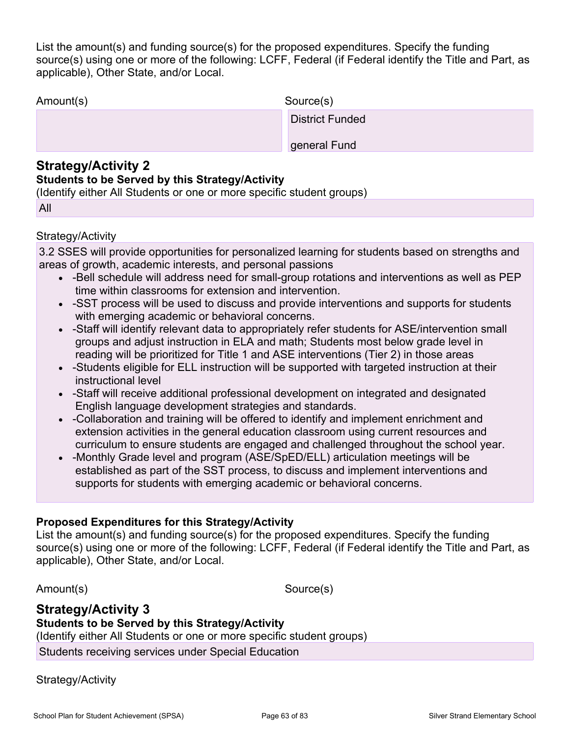List the amount(s) and funding source(s) for the proposed expenditures. Specify the funding source(s) using one or more of the following: LCFF, Federal (if Federal identify the Title and Part, as applicable), Other State, and/or Local.

| Amount(s) | Source(s)              |
|-----------|------------------------|
|           | <b>District Funded</b> |
|           | general Fund           |

### **Strategy/Activity 2**

### **Students to be Served by this Strategy/Activity**

(Identify either All Students or one or more specific student groups)

| u |  |
|---|--|
|   |  |

### Strategy/Activity

3.2 SSES will provide opportunities for personalized learning for students based on strengths and areas of growth, academic interests, and personal passions

- -Bell schedule will address need for small-group rotations and interventions as well as PEP time within classrooms for extension and intervention.
- -SST process will be used to discuss and provide interventions and supports for students with emerging academic or behavioral concerns.
- -Staff will identify relevant data to appropriately refer students for ASE/intervention small groups and adjust instruction in ELA and math; Students most below grade level in reading will be prioritized for Title 1 and ASE interventions (Tier 2) in those areas
- -Students eligible for ELL instruction will be supported with targeted instruction at their instructional level
- -Staff will receive additional professional development on integrated and designated English language development strategies and standards.
- -Collaboration and training will be offered to identify and implement enrichment and extension activities in the general education classroom using current resources and curriculum to ensure students are engaged and challenged throughout the school year.
- -Monthly Grade level and program (ASE/SpED/ELL) articulation meetings will be established as part of the SST process, to discuss and implement interventions and supports for students with emerging academic or behavioral concerns.

### **Proposed Expenditures for this Strategy/Activity**

List the amount(s) and funding source(s) for the proposed expenditures. Specify the funding source(s) using one or more of the following: LCFF, Federal (if Federal identify the Title and Part, as applicable), Other State, and/or Local.

Amount(s) Source(s)

## **Strategy/Activity 3**

**Students to be Served by this Strategy/Activity**

(Identify either All Students or one or more specific student groups)

Students receiving services under Special Education

Strategy/Activity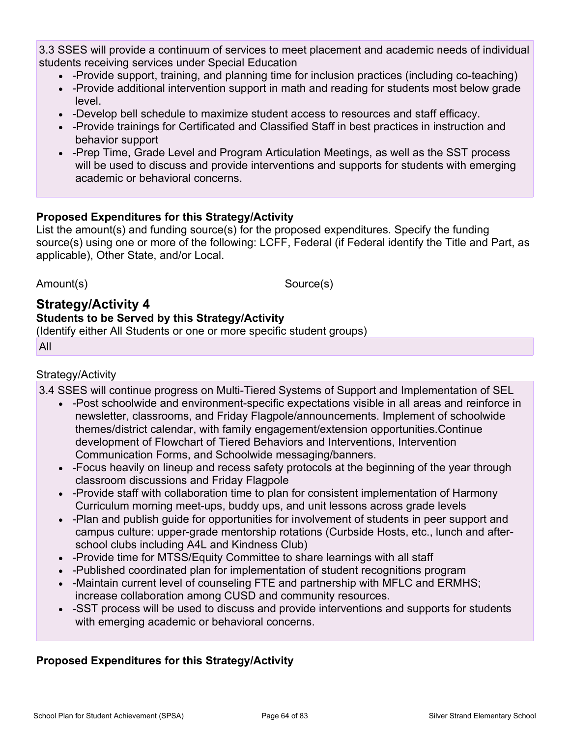3.3 SSES will provide a continuum of services to meet placement and academic needs of individual students receiving services under Special Education

- -Provide support, training, and planning time for inclusion practices (including co-teaching)
- - Provide additional intervention support in math and reading for students most below grade level.
- -Develop bell schedule to maximize student access to resources and staff efficacy.
- -Provide trainings for Certificated and Classified Staff in best practices in instruction and behavior support
- - Prep Time, Grade Level and Program Articulation Meetings, as well as the SST process will be used to discuss and provide interventions and supports for students with emerging academic or behavioral concerns.

### **Proposed Expenditures for this Strategy/Activity**

List the amount(s) and funding source(s) for the proposed expenditures. Specify the funding source(s) using one or more of the following: LCFF, Federal (if Federal identify the Title and Part, as applicable), Other State, and/or Local.

Amount(s) Source(s)

#### **Strategy/Activity 4 Students to be Served by this Strategy/Activity**

(Identify either All Students or one or more specific student groups)

All

### Strategy/Activity

3.4 SSES will continue progress on Multi-Tiered Systems of Support and Implementation of SEL

- -Post schoolwide and environment-specific expectations visible in all areas and reinforce in newsletter, classrooms, and Friday Flagpole/announcements. Implement of schoolwide themes/district calendar, with family engagement/extension opportunities.Continue development of Flowchart of Tiered Behaviors and Interventions, Intervention Communication Forms, and Schoolwide messaging/banners.
- -Focus heavily on lineup and recess safety protocols at the beginning of the year through classroom discussions and Friday Flagpole
- -Provide staff with collaboration time to plan for consistent implementation of Harmony Curriculum morning meet-ups, buddy ups, and unit lessons across grade levels
- -Plan and publish guide for opportunities for involvement of students in peer support and campus culture: upper-grade mentorship rotations (Curbside Hosts, etc., lunch and afterschool clubs including A4L and Kindness Club)
- -Provide time for MTSS/Equity Committee to share learnings with all staff
- -Published coordinated plan for implementation of student recognitions program
- -Maintain current level of counseling FTE and partnership with MFLC and ERMHS; increase collaboration among CUSD and community resources.
- -SST process will be used to discuss and provide interventions and supports for students with emerging academic or behavioral concerns.

### **Proposed Expenditures for this Strategy/Activity**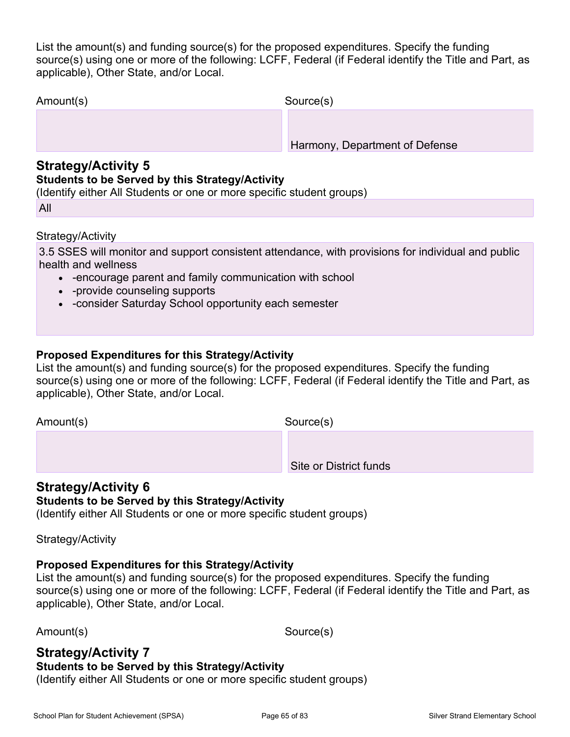List the amount(s) and funding source(s) for the proposed expenditures. Specify the funding source(s) using one or more of the following: LCFF, Federal (if Federal identify the Title and Part, as applicable), Other State, and/or Local.

| Amount(s)                                                   | Source(s)                      |
|-------------------------------------------------------------|--------------------------------|
|                                                             |                                |
|                                                             | Harmony, Department of Defense |
| $O$ functional $\Lambda$ of $\Lambda$ , $H_{\Lambda}$ , $F$ |                                |

## **Strategy/Activity 5**

### **Students to be Served by this Strategy/Activity**

(Identify either All Students or one or more specific student groups)

All

### Strategy/Activity

3.5 SSES will monitor and support consistent attendance, with provisions for individual and public health and wellness

- -encourage parent and family communication with school
- -provide counseling supports
- -consider Saturday School opportunity each semester

### **Proposed Expenditures for this Strategy/Activity**

List the amount(s) and funding source(s) for the proposed expenditures. Specify the funding source(s) using one or more of the following: LCFF, Federal (if Federal identify the Title and Part, as applicable), Other State, and/or Local.

Amount(s) Source(s)

Site or District funds

### **Strategy/Activity 6**

### **Students to be Served by this Strategy/Activity**

(Identify either All Students or one or more specific student groups)

Strategy/Activity

### **Proposed Expenditures for this Strategy/Activity**

List the amount(s) and funding source(s) for the proposed expenditures. Specify the funding source(s) using one or more of the following: LCFF, Federal (if Federal identify the Title and Part, as applicable), Other State, and/or Local.

Amount(s) Source(s)

### **Strategy/Activity 7**

### **Students to be Served by this Strategy/Activity**

(Identify either All Students or one or more specific student groups)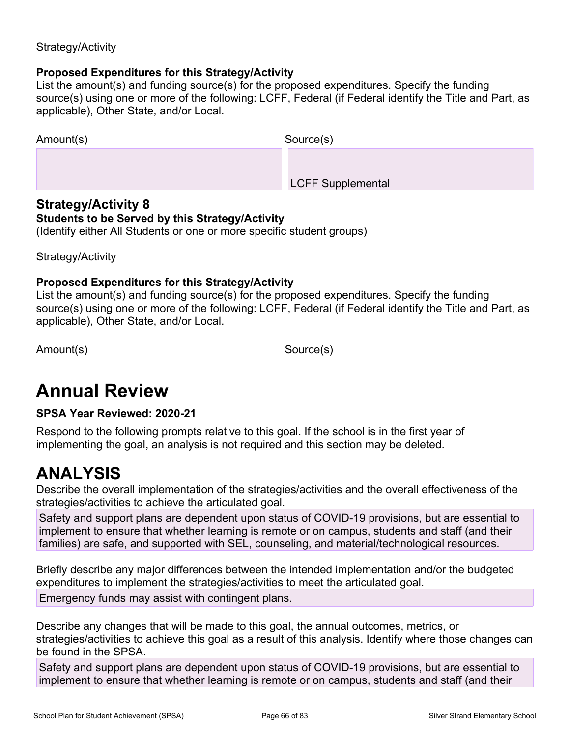### Strategy/Activity

### **Proposed Expenditures for this Strategy/Activity**

List the amount(s) and funding source(s) for the proposed expenditures. Specify the funding source(s) using one or more of the following: LCFF, Federal (if Federal identify the Title and Part, as applicable), Other State, and/or Local.

| Amount(s) | Source(s)                |
|-----------|--------------------------|
|           |                          |
|           | <b>LCFF Supplemental</b> |

### **Strategy/Activity 8**

#### **Students to be Served by this Strategy/Activity**

(Identify either All Students or one or more specific student groups)

Strategy/Activity

#### **Proposed Expenditures for this Strategy/Activity**

List the amount(s) and funding source(s) for the proposed expenditures. Specify the funding source(s) using one or more of the following: LCFF, Federal (if Federal identify the Title and Part, as applicable), Other State, and/or Local.

Amount(s) Source(s)

## **Annual Review**

### **SPSA Year Reviewed: 2020-21**

Respond to the following prompts relative to this goal. If the school is in the first year of implementing the goal, an analysis is not required and this section may be deleted.

## **ANALYSIS**

Describe the overall implementation of the strategies/activities and the overall effectiveness of the strategies/activities to achieve the articulated goal.

Safety and support plans are dependent upon status of COVID-19 provisions, but are essential to implement to ensure that whether learning is remote or on campus, students and staff (and their families) are safe, and supported with SEL, counseling, and material/technological resources.

Briefly describe any major differences between the intended implementation and/or the budgeted expenditures to implement the strategies/activities to meet the articulated goal.

Emergency funds may assist with contingent plans.

Describe any changes that will be made to this goal, the annual outcomes, metrics, or strategies/activities to achieve this goal as a result of this analysis. Identify where those changes can be found in the SPSA.

Safety and support plans are dependent upon status of COVID-19 provisions, but are essential to implement to ensure that whether learning is remote or on campus, students and staff (and their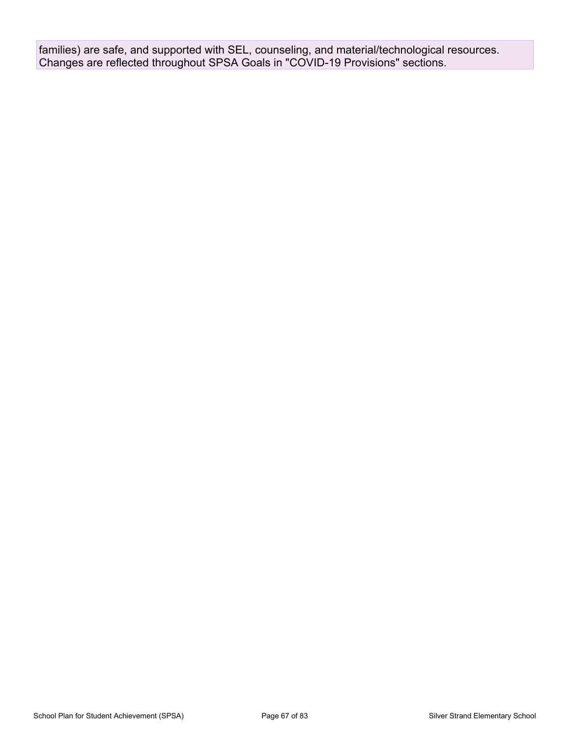families) are safe, and supported with SEL, counseling, and material/technological resources. Changes are reflected throughout SPSA Goals in "COVID-19 Provisions" sections.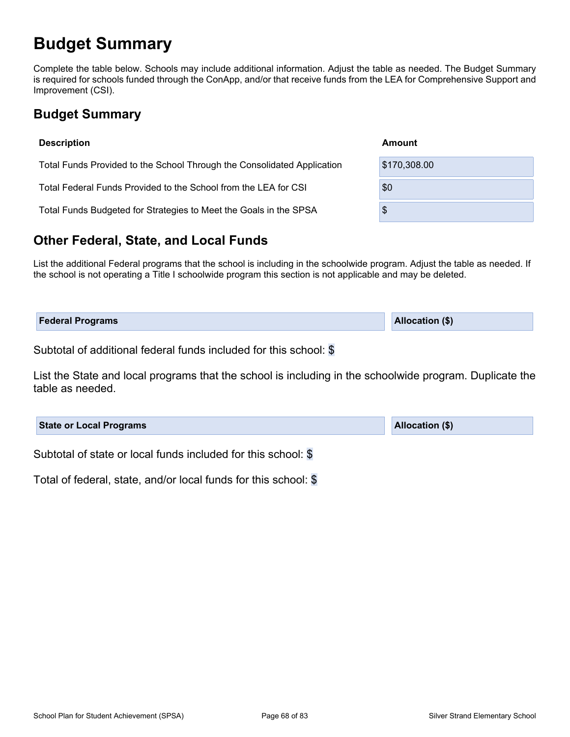## **Budget Summary**

Complete the table below. Schools may include additional information. Adjust the table as needed. The Budget Summary is required for schools funded through the ConApp, and/or that receive funds from the LEA for Comprehensive Support and Improvement (CSI).

## **Budget Summary**

| <b>Description</b>                                                      | Amount       |
|-------------------------------------------------------------------------|--------------|
| Total Funds Provided to the School Through the Consolidated Application | \$170,308.00 |
| Total Federal Funds Provided to the School from the LEA for CSI         | \$0          |
| Total Funds Budgeted for Strategies to Meet the Goals in the SPSA       | \$           |

## **Other Federal, State, and Local Funds**

List the additional Federal programs that the school is including in the schoolwide program. Adjust the table as needed. If the school is not operating a Title I schoolwide program this section is not applicable and may be deleted.

| <b>Federal Programs</b> | <b>Allocation (\$)</b> |
|-------------------------|------------------------|
|                         |                        |

Subtotal of additional federal funds included for this school: \$

List the State and local programs that the school is including in the schoolwide program. Duplicate the table as needed.

| <b>State or Local Programs</b>                               | <b>Allocation (\$)</b> |
|--------------------------------------------------------------|------------------------|
| Oukhatal of state on local funds included for this school. @ |                        |

Subtotal of state or local funds included for this school: \$

Total of federal, state, and/or local funds for this school: \$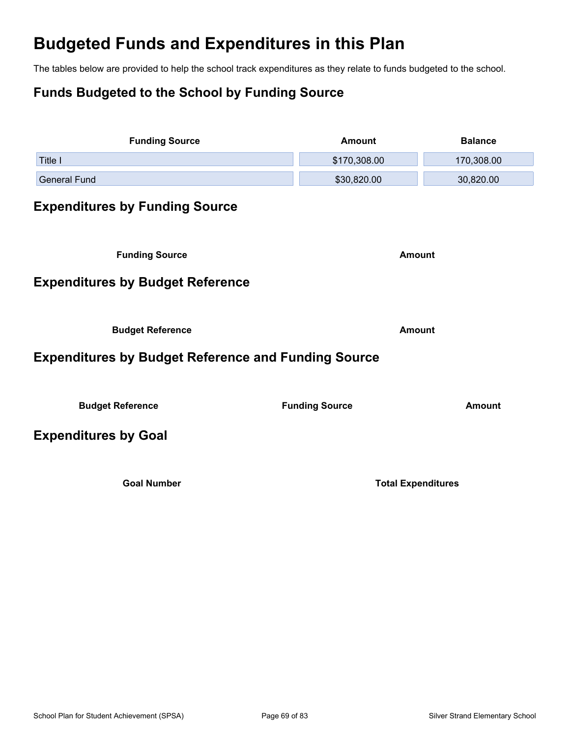## **Budgeted Funds and Expenditures in this Plan**

The tables below are provided to help the school track expenditures as they relate to funds budgeted to the school.

## **Funds Budgeted to the School by Funding Source**

| <b>Funding Source</b>                                      | <b>Amount</b>             | <b>Balance</b> |
|------------------------------------------------------------|---------------------------|----------------|
| Title I                                                    | \$170,308.00              | 170,308.00     |
| <b>General Fund</b>                                        | \$30,820.00               | 30,820.00      |
| <b>Expenditures by Funding Source</b>                      |                           |                |
| <b>Funding Source</b>                                      | <b>Amount</b>             |                |
| <b>Expenditures by Budget Reference</b>                    |                           |                |
| <b>Budget Reference</b>                                    | <b>Amount</b>             |                |
| <b>Expenditures by Budget Reference and Funding Source</b> |                           |                |
| <b>Budget Reference</b>                                    | <b>Funding Source</b>     | <b>Amount</b>  |
| <b>Expenditures by Goal</b>                                |                           |                |
| <b>Goal Number</b>                                         | <b>Total Expenditures</b> |                |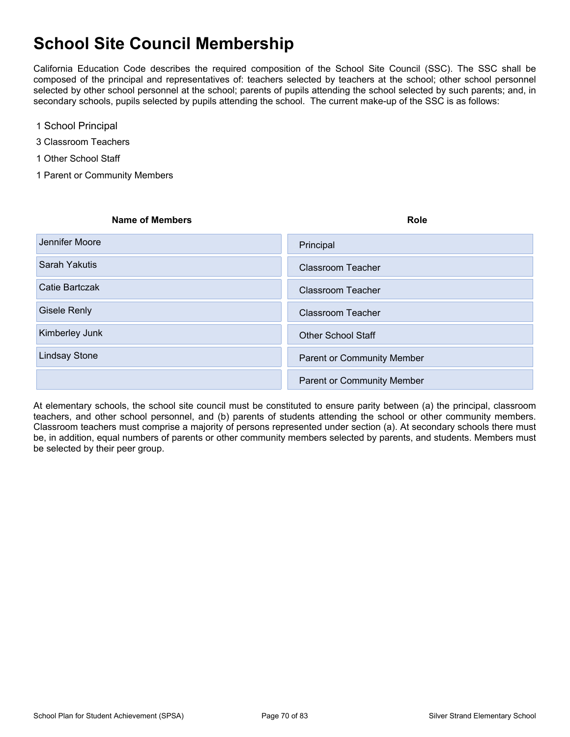## **School Site Council Membership**

California Education Code describes the required composition of the School Site Council (SSC). The SSC shall be composed of the principal and representatives of: teachers selected by teachers at the school; other school personnel selected by other school personnel at the school; parents of pupils attending the school selected by such parents; and, in secondary schools, pupils selected by pupils attending the school. The current make-up of the SSC is as follows:

- 1 School Principal
- 3 Classroom Teachers
- 1 Other School Staff
- 1 Parent or Community Members

| <b>Name of Members</b> | <b>Role</b>                       |
|------------------------|-----------------------------------|
| Jennifer Moore         | Principal                         |
| Sarah Yakutis          | <b>Classroom Teacher</b>          |
| Catie Bartczak         | Classroom Teacher                 |
| <b>Gisele Renly</b>    | <b>Classroom Teacher</b>          |
| Kimberley Junk         | <b>Other School Staff</b>         |
| <b>Lindsay Stone</b>   | <b>Parent or Community Member</b> |
|                        | Parent or Community Member        |

At elementary schools, the school site council must be constituted to ensure parity between (a) the principal, classroom teachers, and other school personnel, and (b) parents of students attending the school or other community members. Classroom teachers must comprise a majority of persons represented under section (a). At secondary schools there must be, in addition, equal numbers of parents or other community members selected by parents, and students. Members must be selected by their peer group.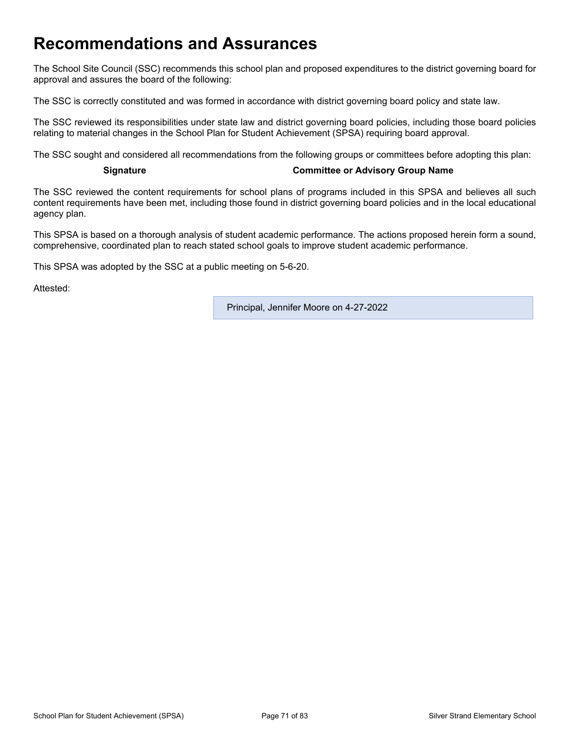## **Recommendations and Assurances**

The School Site Council (SSC) recommends this school plan and proposed expenditures to the district governing board for approval and assures the board of the following:

The SSC is correctly constituted and was formed in accordance with district governing board policy and state law.

The SSC reviewed its responsibilities under state law and district governing board policies, including those board policies relating to material changes in the School Plan for Student Achievement (SPSA) requiring board approval.

The SSC sought and considered all recommendations from the following groups or committees before adopting this plan:

#### **Signature Committee or Advisory Group Name**

The SSC reviewed the content requirements for school plans of programs included in this SPSA and believes all such content requirements have been met, including those found in district governing board policies and in the local educational agency plan.

This SPSA is based on a thorough analysis of student academic performance. The actions proposed herein form a sound, comprehensive, coordinated plan to reach stated school goals to improve student academic performance.

This SPSA was adopted by the SSC at a public meeting on 5-6-20.

Attested:

Principal, Jennifer Moore on 4-27-2022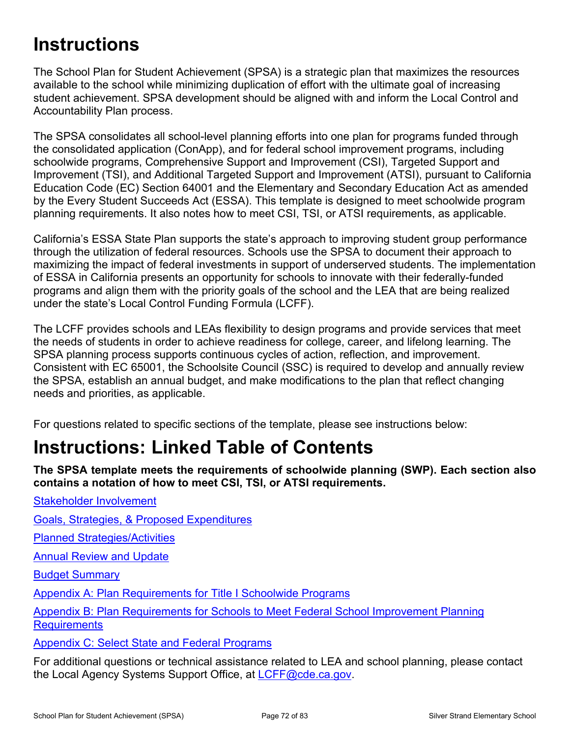# **Instructions**

The School Plan for Student Achievement (SPSA) is a strategic plan that maximizes the resources available to the school while minimizing duplication of effort with the ultimate goal of increasing student achievement. SPSA development should be aligned with and inform the Local Control and Accountability Plan process.

The SPSA consolidates all school-level planning efforts into one plan for programs funded through the consolidated application (ConApp), and for federal school improvement programs, including schoolwide programs, Comprehensive Support and Improvement (CSI), Targeted Support and Improvement (TSI), and Additional Targeted Support and Improvement (ATSI), pursuant to California Education Code (EC) Section 64001 and the Elementary and Secondary Education Act as amended by the Every Student Succeeds Act (ESSA). This template is designed to meet schoolwide program planning requirements. It also notes how to meet CSI, TSI, or ATSI requirements, as applicable.

California's ESSA State Plan supports the state's approach to improving student group performance through the utilization of federal resources. Schools use the SPSA to document their approach to maximizing the impact of federal investments in support of underserved students. The implementation of ESSA in California presents an opportunity for schools to innovate with their federally-funded programs and align them with the priority goals of the school and the LEA that are being realized under the state's Local Control Funding Formula (LCFF).

The LCFF provides schools and LEAs flexibility to design programs and provide services that meet the needs of students in order to achieve readiness for college, career, and lifelong learning. The SPSA planning process supports continuous cycles of action, reflection, and improvement. Consistent with EC 65001, the Schoolsite Council (SSC) is required to develop and annually review the SPSA, establish an annual budget, and make modifications to the plan that reflect changing needs and priorities, as applicable.

For questions related to specific sections of the template, please see instructions below:

# **Instructions: Linked Table of Contents**

**The SPSA template meets the requirements of schoolwide planning (SWP). Each section also contains a notation of how to meet CSI, TSI, or ATSI requirements.** 

[Goals, Strategies, & Proposed Expenditures](#page-73-0)

[Planned Strategies/Activities](#page-73-1)

**[Annual Review and Update](#page-74-0)** 

[Stakeholder Involvement](#page-72-0)

[Budget Summary](#page-75-0)

[Appendix A: Plan Requirements for Title I Schoolwide Programs](#page-77-0)

[Appendix B: Plan Requirements for Schools to Meet Federal School Improvement Planning](#page-80-0)  **[Requirements](#page-80-0)** 

[Appendix C: Select State and Federal Programs](#page-82-0)

For additional questions or technical assistance related to LEA and school planning, please contact the Local Agency Systems Support Office, at [LCFF@cde.ca.gov.](mailto:%20LCFF@cde.ca.gov)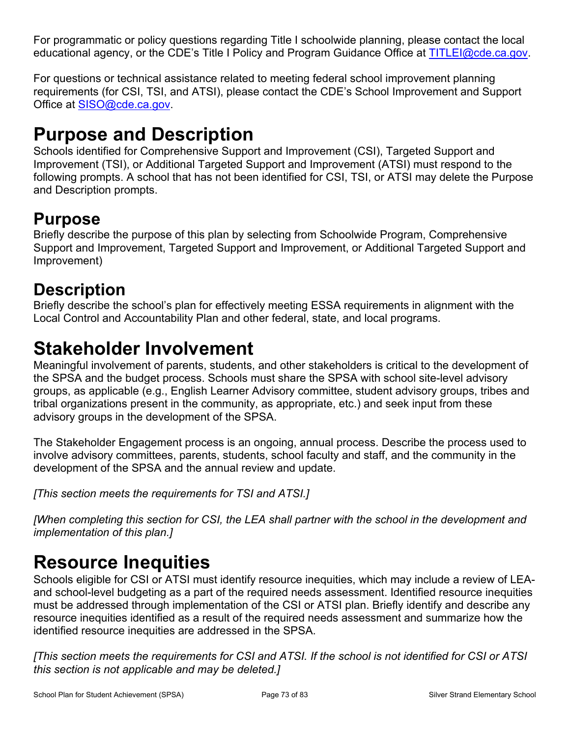For programmatic or policy questions regarding Title I schoolwide planning, please contact the local educational agency, or the CDE's Title I Policy and Program Guidance Office at [TITLEI@cde.ca.gov](mailto:%20TITLEI@cde.ca.gov).

For questions or technical assistance related to meeting federal school improvement planning requirements (for CSI, TSI, and ATSI), please contact the CDE's School Improvement and Support Office at [SISO@cde.ca.gov.](mailto:%20SISO@cde.ca.gov)

# **Purpose and Description**

Schools identified for Comprehensive Support and Improvement (CSI), Targeted Support and Improvement (TSI), or Additional Targeted Support and Improvement (ATSI) must respond to the following prompts. A school that has not been identified for CSI, TSI, or ATSI may delete the Purpose and Description prompts.

## **Purpose**

Briefly describe the purpose of this plan by selecting from Schoolwide Program, Comprehensive Support and Improvement, Targeted Support and Improvement, or Additional Targeted Support and Improvement)

## **Description**

Briefly describe the school's plan for effectively meeting ESSA requirements in alignment with the Local Control and Accountability Plan and other federal, state, and local programs.

# **Stakeholder Involvement**

Meaningful involvement of parents, students, and other stakeholders is critical to the development of the SPSA and the budget process. Schools must share the SPSA with school site-level advisory groups, as applicable (e.g., English Learner Advisory committee, student advisory groups, tribes and tribal organizations present in the community, as appropriate, etc.) and seek input from these advisory groups in the development of the SPSA.

The Stakeholder Engagement process is an ongoing, annual process. Describe the process used to involve advisory committees, parents, students, school faculty and staff, and the community in the development of the SPSA and the annual review and update.

*[This section meets the requirements for TSI and ATSI.]*

*[When completing this section for CSI, the LEA shall partner with the school in the development and implementation of this plan.]*

# **Resource Inequities**

Schools eligible for CSI or ATSI must identify resource inequities, which may include a review of LEAand school-level budgeting as a part of the required needs assessment. Identified resource inequities must be addressed through implementation of the CSI or ATSI plan. Briefly identify and describe any resource inequities identified as a result of the required needs assessment and summarize how the identified resource inequities are addressed in the SPSA.

*[This section meets the requirements for CSI and ATSI. If the school is not identified for CSI or ATSI this section is not applicable and may be deleted.]*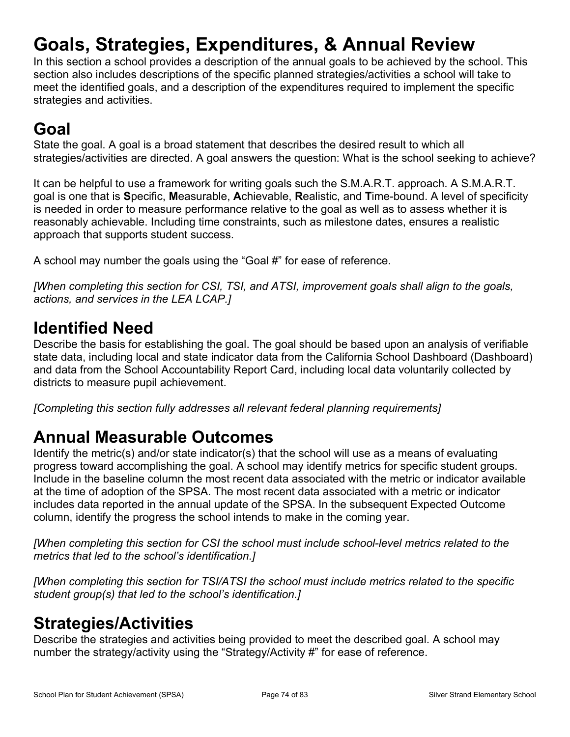# **Goals, Strategies, Expenditures, & Annual Review**

In this section a school provides a description of the annual goals to be achieved by the school. This section also includes descriptions of the specific planned strategies/activities a school will take to meet the identified goals, and a description of the expenditures required to implement the specific strategies and activities.

## **Goal**

State the goal. A goal is a broad statement that describes the desired result to which all strategies/activities are directed. A goal answers the question: What is the school seeking to achieve?

It can be helpful to use a framework for writing goals such the S.M.A.R.T. approach. A S.M.A.R.T. goal is one that is **S**pecific, **M**easurable, **A**chievable, **R**ealistic, and **T**ime-bound. A level of specificity is needed in order to measure performance relative to the goal as well as to assess whether it is reasonably achievable. Including time constraints, such as milestone dates, ensures a realistic approach that supports student success.

A school may number the goals using the "Goal #" for ease of reference.

*[When completing this section for CSI, TSI, and ATSI, improvement goals shall align to the goals, actions, and services in the LEA LCAP.]*

### **Identified Need**

Describe the basis for establishing the goal. The goal should be based upon an analysis of verifiable state data, including local and state indicator data from the California School Dashboard (Dashboard) and data from the School Accountability Report Card, including local data voluntarily collected by districts to measure pupil achievement.

*[Completing this section fully addresses all relevant federal planning requirements]*

### **Annual Measurable Outcomes**

Identify the metric(s) and/or state indicator(s) that the school will use as a means of evaluating progress toward accomplishing the goal. A school may identify metrics for specific student groups. Include in the baseline column the most recent data associated with the metric or indicator available at the time of adoption of the SPSA. The most recent data associated with a metric or indicator includes data reported in the annual update of the SPSA. In the subsequent Expected Outcome column, identify the progress the school intends to make in the coming year.

*[When completing this section for CSI the school must include school-level metrics related to the metrics that led to the school's identification.]*

*[When completing this section for TSI/ATSI the school must include metrics related to the specific student group(s) that led to the school's identification.]* 

### **Strategies/Activities**

Describe the strategies and activities being provided to meet the described goal. A school may number the strategy/activity using the "Strategy/Activity #" for ease of reference.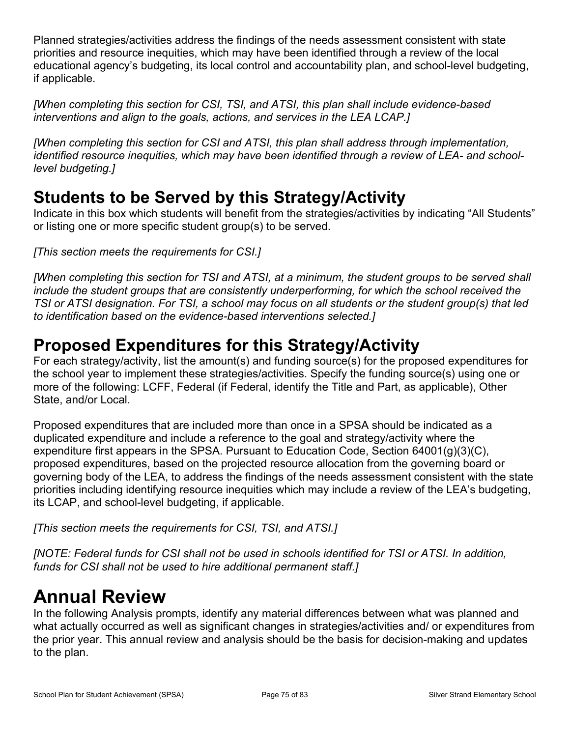Planned strategies/activities address the findings of the needs assessment consistent with state priorities and resource inequities, which may have been identified through a review of the local educational agency's budgeting, its local control and accountability plan, and school-level budgeting, if applicable.

*[When completing this section for CSI, TSI, and ATSI, this plan shall include evidence-based interventions and align to the goals, actions, and services in the LEA LCAP.]*

*[When completing this section for CSI and ATSI, this plan shall address through implementation, identified resource inequities, which may have been identified through a review of LEA- and schoollevel budgeting.]*

## **Students to be Served by this Strategy/Activity**

Indicate in this box which students will benefit from the strategies/activities by indicating "All Students" or listing one or more specific student group(s) to be served.

*[This section meets the requirements for CSI.]*

*[When completing this section for TSI and ATSI, at a minimum, the student groups to be served shall include the student groups that are consistently underperforming, for which the school received the TSI or ATSI designation. For TSI, a school may focus on all students or the student group(s) that led to identification based on the evidence-based interventions selected.]*

## **Proposed Expenditures for this Strategy/Activity**

For each strategy/activity, list the amount(s) and funding source(s) for the proposed expenditures for the school year to implement these strategies/activities. Specify the funding source(s) using one or more of the following: LCFF, Federal (if Federal, identify the Title and Part, as applicable), Other State, and/or Local.

Proposed expenditures that are included more than once in a SPSA should be indicated as a duplicated expenditure and include a reference to the goal and strategy/activity where the expenditure first appears in the SPSA. Pursuant to Education Code, Section 64001(g)(3)(C), proposed expenditures, based on the projected resource allocation from the governing board or governing body of the LEA, to address the findings of the needs assessment consistent with the state priorities including identifying resource inequities which may include a review of the LEA's budgeting, its LCAP, and school-level budgeting, if applicable.

*[This section meets the requirements for CSI, TSI, and ATSI.]*

*[NOTE: Federal funds for CSI shall not be used in schools identified for TSI or ATSI. In addition, funds for CSI shall not be used to hire additional permanent staff.]*

# **Annual Review**

In the following Analysis prompts, identify any material differences between what was planned and what actually occurred as well as significant changes in strategies/activities and/ or expenditures from the prior year. This annual review and analysis should be the basis for decision-making and updates to the plan.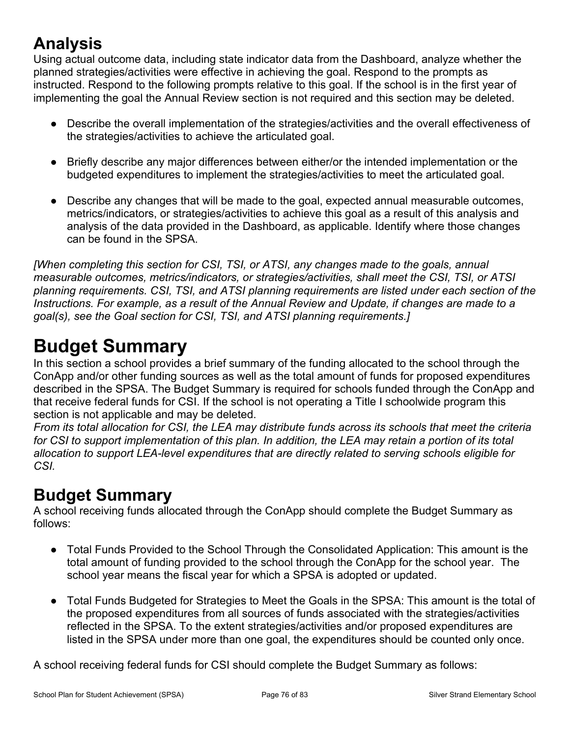## **Analysis**

Using actual outcome data, including state indicator data from the Dashboard, analyze whether the planned strategies/activities were effective in achieving the goal. Respond to the prompts as instructed. Respond to the following prompts relative to this goal. If the school is in the first year of implementing the goal the Annual Review section is not required and this section may be deleted.

- Describe the overall implementation of the strategies/activities and the overall effectiveness of the strategies/activities to achieve the articulated goal.
- Briefly describe any major differences between either/or the intended implementation or the budgeted expenditures to implement the strategies/activities to meet the articulated goal.
- Describe any changes that will be made to the goal, expected annual measurable outcomes, metrics/indicators, or strategies/activities to achieve this goal as a result of this analysis and analysis of the data provided in the Dashboard, as applicable. Identify where those changes can be found in the SPSA.

*[When completing this section for CSI, TSI, or ATSI, any changes made to the goals, annual measurable outcomes, metrics/indicators, or strategies/activities, shall meet the CSI, TSI, or ATSI planning requirements. CSI, TSI, and ATSI planning requirements are listed under each section of the Instructions. For example, as a result of the Annual Review and Update, if changes are made to a goal(s), see the Goal section for CSI, TSI, and ATSI planning requirements.]* 

# **Budget Summary**

In this section a school provides a brief summary of the funding allocated to the school through the ConApp and/or other funding sources as well as the total amount of funds for proposed expenditures described in the SPSA. The Budget Summary is required for schools funded through the ConApp and that receive federal funds for CSI. If the school is not operating a Title I schoolwide program this section is not applicable and may be deleted.

*From its total allocation for CSI, the LEA may distribute funds across its schools that meet the criteria for CSI to support implementation of this plan. In addition, the LEA may retain a portion of its total allocation to support LEA-level expenditures that are directly related to serving schools eligible for CSI.*

## **Budget Summary**

A school receiving funds allocated through the ConApp should complete the Budget Summary as follows:

- Total Funds Provided to the School Through the Consolidated Application: This amount is the total amount of funding provided to the school through the ConApp for the school year. The school year means the fiscal year for which a SPSA is adopted or updated.
- Total Funds Budgeted for Strategies to Meet the Goals in the SPSA: This amount is the total of the proposed expenditures from all sources of funds associated with the strategies/activities reflected in the SPSA. To the extent strategies/activities and/or proposed expenditures are listed in the SPSA under more than one goal, the expenditures should be counted only once.

A school receiving federal funds for CSI should complete the Budget Summary as follows: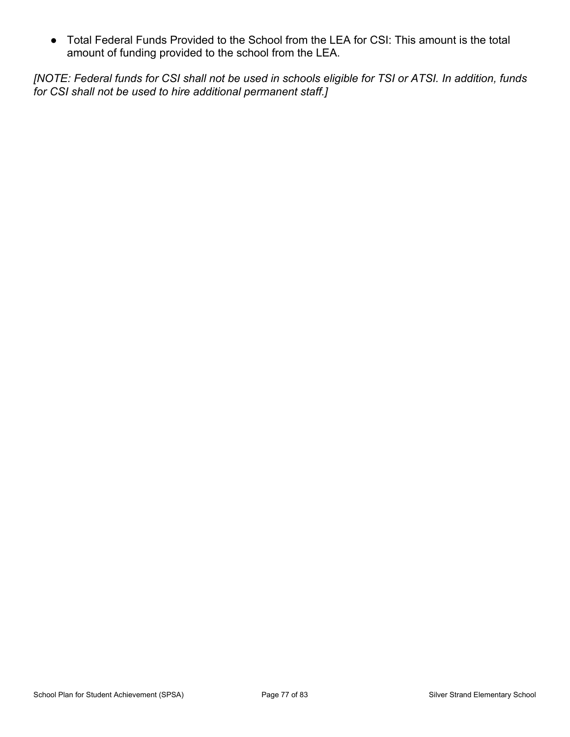● Total Federal Funds Provided to the School from the LEA for CSI: This amount is the total amount of funding provided to the school from the LEA.

*[NOTE: Federal funds for CSI shall not be used in schools eligible for TSI or ATSI. In addition, funds for CSI shall not be used to hire additional permanent staff.]*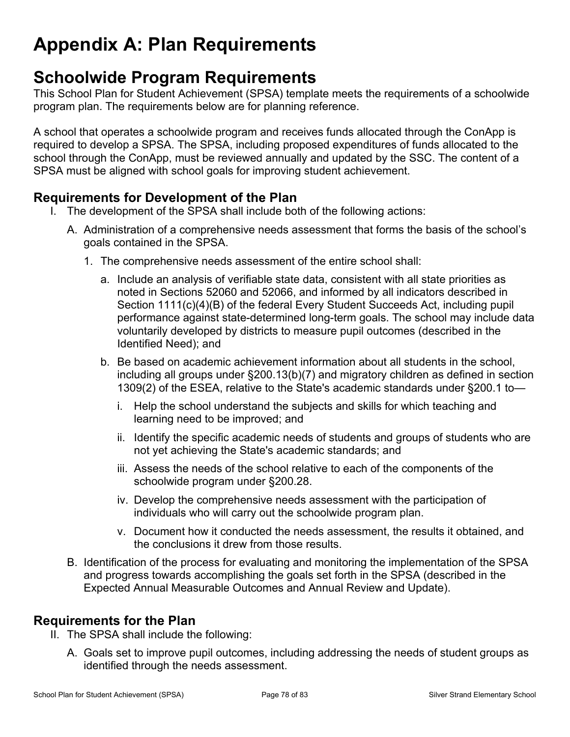# **Appendix A: Plan Requirements**

## **Schoolwide Program Requirements**

This School Plan for Student Achievement (SPSA) template meets the requirements of a schoolwide program plan. The requirements below are for planning reference.

A school that operates a schoolwide program and receives funds allocated through the ConApp is required to develop a SPSA. The SPSA, including proposed expenditures of funds allocated to the school through the ConApp, must be reviewed annually and updated by the SSC. The content of a SPSA must be aligned with school goals for improving student achievement.

### **Requirements for Development of the Plan**

- I. The development of the SPSA shall include both of the following actions:
	- A. Administration of a comprehensive needs assessment that forms the basis of the school's goals contained in the SPSA.
		- 1. The comprehensive needs assessment of the entire school shall:
			- a. Include an analysis of verifiable state data, consistent with all state priorities as noted in Sections 52060 and 52066, and informed by all indicators described in Section 1111(c)(4)(B) of the federal Every Student Succeeds Act, including pupil performance against state-determined long-term goals. The school may include data voluntarily developed by districts to measure pupil outcomes (described in the Identified Need); and
			- b. Be based on academic achievement information about all students in the school, including all groups under §200.13(b)(7) and migratory children as defined in section 1309(2) of the ESEA, relative to the State's academic standards under §200.1 to
				- i. Help the school understand the subjects and skills for which teaching and learning need to be improved; and
				- ii. Identify the specific academic needs of students and groups of students who are not yet achieving the State's academic standards; and
				- iii. Assess the needs of the school relative to each of the components of the schoolwide program under §200.28.
				- iv. Develop the comprehensive needs assessment with the participation of individuals who will carry out the schoolwide program plan.
				- v. Document how it conducted the needs assessment, the results it obtained, and the conclusions it drew from those results.
	- B. Identification of the process for evaluating and monitoring the implementation of the SPSA and progress towards accomplishing the goals set forth in the SPSA (described in the Expected Annual Measurable Outcomes and Annual Review and Update).

### **Requirements for the Plan**

- II. The SPSA shall include the following:
	- A. Goals set to improve pupil outcomes, including addressing the needs of student groups as identified through the needs assessment.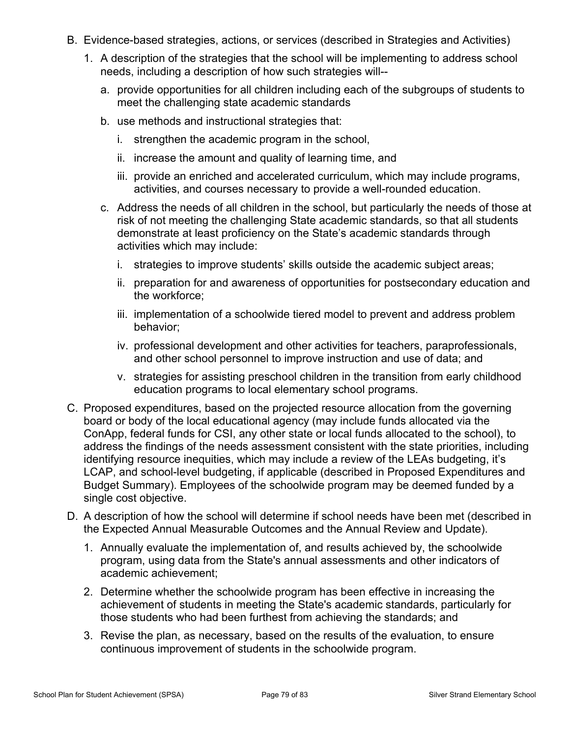- B. Evidence-based strategies, actions, or services (described in Strategies and Activities)
	- 1. A description of the strategies that the school will be implementing to address school needs, including a description of how such strategies will-
		- a. provide opportunities for all children including each of the subgroups of students to meet the challenging state academic standards
		- b. use methods and instructional strategies that:
			- i. strengthen the academic program in the school,
			- ii. increase the amount and quality of learning time, and
			- iii. provide an enriched and accelerated curriculum, which may include programs, activities, and courses necessary to provide a well-rounded education.
		- c. Address the needs of all children in the school, but particularly the needs of those at risk of not meeting the challenging State academic standards, so that all students demonstrate at least proficiency on the State's academic standards through activities which may include:
			- i. strategies to improve students' skills outside the academic subject areas;
			- ii. preparation for and awareness of opportunities for postsecondary education and the workforce;
			- iii. implementation of a schoolwide tiered model to prevent and address problem behavior;
			- iv. professional development and other activities for teachers, paraprofessionals, and other school personnel to improve instruction and use of data; and
			- v. strategies for assisting preschool children in the transition from early childhood education programs to local elementary school programs.
- C. Proposed expenditures, based on the projected resource allocation from the governing board or body of the local educational agency (may include funds allocated via the ConApp, federal funds for CSI, any other state or local funds allocated to the school), to address the findings of the needs assessment consistent with the state priorities, including identifying resource inequities, which may include a review of the LEAs budgeting, it's LCAP, and school-level budgeting, if applicable (described in Proposed Expenditures and Budget Summary). Employees of the schoolwide program may be deemed funded by a single cost objective.
- D. A description of how the school will determine if school needs have been met (described in the Expected Annual Measurable Outcomes and the Annual Review and Update).
	- 1. Annually evaluate the implementation of, and results achieved by, the schoolwide program, using data from the State's annual assessments and other indicators of academic achievement;
	- 2. Determine whether the schoolwide program has been effective in increasing the achievement of students in meeting the State's academic standards, particularly for those students who had been furthest from achieving the standards; and
	- 3. Revise the plan, as necessary, based on the results of the evaluation, to ensure continuous improvement of students in the schoolwide program.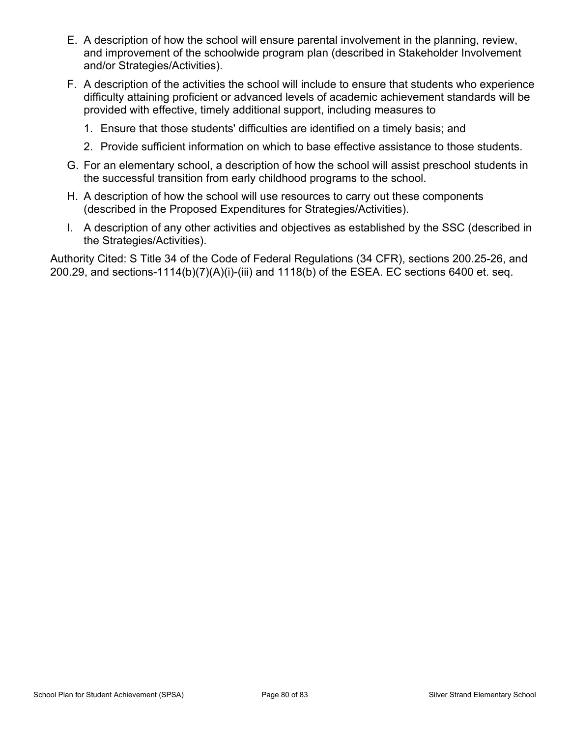- E. A description of how the school will ensure parental involvement in the planning, review, and improvement of the schoolwide program plan (described in Stakeholder Involvement and/or Strategies/Activities).
- F. A description of the activities the school will include to ensure that students who experience difficulty attaining proficient or advanced levels of academic achievement standards will be provided with effective, timely additional support, including measures to
	- 1. Ensure that those students' difficulties are identified on a timely basis; and
	- 2. Provide sufficient information on which to base effective assistance to those students.
- G. For an elementary school, a description of how the school will assist preschool students in the successful transition from early childhood programs to the school.
- H. A description of how the school will use resources to carry out these components (described in the Proposed Expenditures for Strategies/Activities).
- I. A description of any other activities and objectives as established by the SSC (described in the Strategies/Activities).

Authority Cited: S Title 34 of the Code of Federal Regulations (34 CFR), sections 200.25-26, and 200.29, and sections-1114(b)(7)(A)(i)-(iii) and 1118(b) of the ESEA. EC sections 6400 et. seq.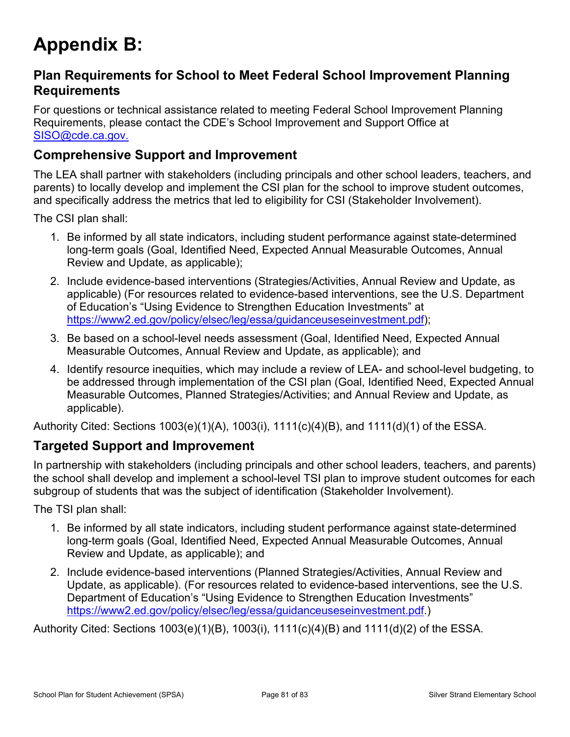# **Appendix B:**

### **Plan Requirements for School to Meet Federal School Improvement Planning Requirements**

For questions or technical assistance related to meeting Federal School Improvement Planning Requirements, please contact the CDE's School Improvement and Support Office at [SISO@cde.ca.gov.](mailto:%20SISO@cde.ca.gov.)

### **Comprehensive Support and Improvement**

The LEA shall partner with stakeholders (including principals and other school leaders, teachers, and parents) to locally develop and implement the CSI plan for the school to improve student outcomes, and specifically address the metrics that led to eligibility for CSI (Stakeholder Involvement).

The CSI plan shall:

- 1. Be informed by all state indicators, including student performance against state-determined long-term goals (Goal, Identified Need, Expected Annual Measurable Outcomes, Annual Review and Update, as applicable);
- 2. Include evidence-based interventions (Strategies/Activities, Annual Review and Update, as applicable) (For resources related to evidence-based interventions, see the U.S. Department of Education's "Using Evidence to Strengthen Education Investments" at [https://www2.ed.gov/policy/elsec/leg/essa/guidanceuseseinvestment.pdf\)](https://www2.ed.gov/policy/elsec/leg/essa/guidanceuseseinvestment.pdf);
- 3. Be based on a school-level needs assessment (Goal, Identified Need, Expected Annual Measurable Outcomes, Annual Review and Update, as applicable); and
- 4. Identify resource inequities, which may include a review of LEA- and school-level budgeting, to be addressed through implementation of the CSI plan (Goal, Identified Need, Expected Annual Measurable Outcomes, Planned Strategies/Activities; and Annual Review and Update, as applicable).

Authority Cited: Sections 1003(e)(1)(A), 1003(i), 1111(c)(4)(B), and 1111(d)(1) of the ESSA.

#### **Targeted Support and Improvement**

In partnership with stakeholders (including principals and other school leaders, teachers, and parents) the school shall develop and implement a school-level TSI plan to improve student outcomes for each subgroup of students that was the subject of identification (Stakeholder Involvement).

The TSI plan shall:

- 1. Be informed by all state indicators, including student performance against state-determined long-term goals (Goal, Identified Need, Expected Annual Measurable Outcomes, Annual Review and Update, as applicable); and
- 2. Include evidence-based interventions (Planned Strategies/Activities, Annual Review and Update, as applicable). (For resources related to evidence-based interventions, see the U.S. Department of Education's "Using Evidence to Strengthen Education Investments" <https://www2.ed.gov/policy/elsec/leg/essa/guidanceuseseinvestment.pdf.>)

Authority Cited: Sections 1003(e)(1)(B), 1003(i), 1111(c)(4)(B) and 1111(d)(2) of the ESSA.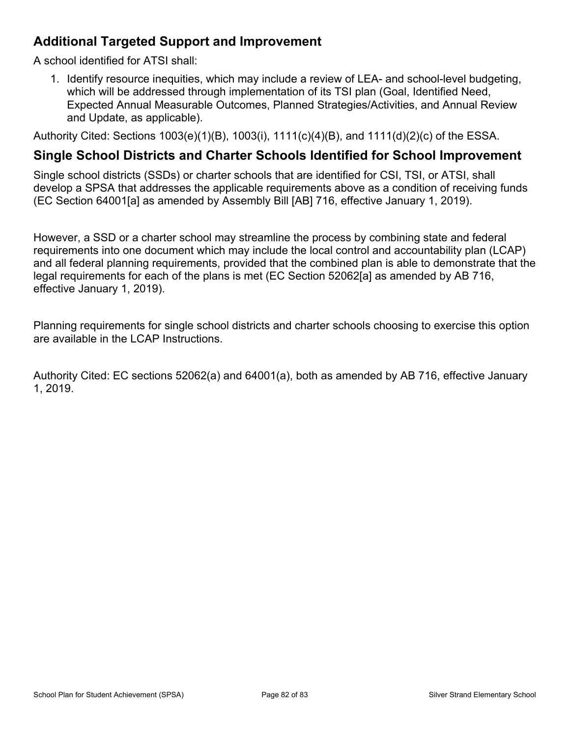### **Additional Targeted Support and Improvement**

A school identified for ATSI shall:

1. Identify resource inequities, which may include a review of LEA- and school-level budgeting, which will be addressed through implementation of its TSI plan (Goal, Identified Need, Expected Annual Measurable Outcomes, Planned Strategies/Activities, and Annual Review and Update, as applicable).

Authority Cited: Sections 1003(e)(1)(B), 1003(i), 1111(c)(4)(B), and 1111(d)(2)(c) of the ESSA.

#### **Single School Districts and Charter Schools Identified for School Improvement**

Single school districts (SSDs) or charter schools that are identified for CSI, TSI, or ATSI, shall develop a SPSA that addresses the applicable requirements above as a condition of receiving funds (EC Section 64001[a] as amended by Assembly Bill [AB] 716, effective January 1, 2019).

However, a SSD or a charter school may streamline the process by combining state and federal requirements into one document which may include the local control and accountability plan (LCAP) and all federal planning requirements, provided that the combined plan is able to demonstrate that the legal requirements for each of the plans is met (EC Section 52062[a] as amended by AB 716, effective January 1, 2019).

Planning requirements for single school districts and charter schools choosing to exercise this option are available in the LCAP Instructions.

Authority Cited: EC sections 52062(a) and 64001(a), both as amended by AB 716, effective January 1, 2019.